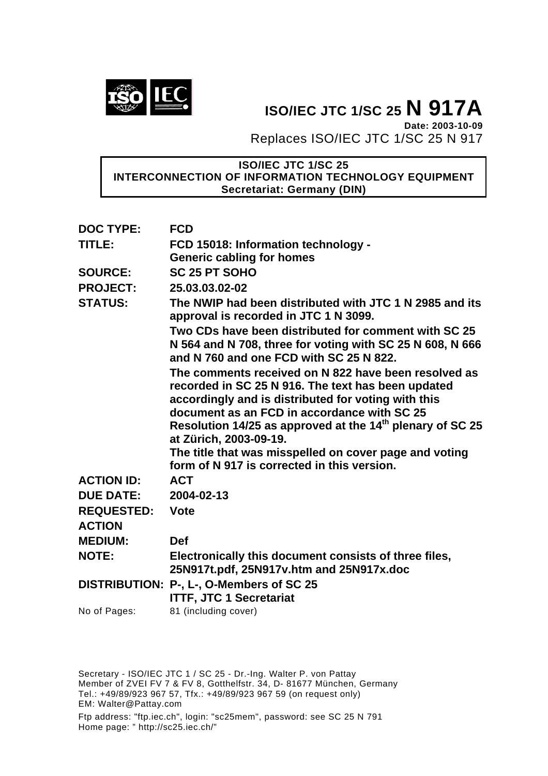

**ISO/IEC JTC 1/SC 25 N 917A Date: 2003-10-09** Replaces ISO/IEC JTC 1/SC 25 N 917

# **ISO/IEC JTC 1/SC 25 INTERCONNECTION OF INFORMATION TECHNOLOGY EQUIPMENT Secretariat: Germany (DIN)**

| <b>DOC TYPE:</b>  | <b>FCD</b>                                                                                                                                                                                                       |
|-------------------|------------------------------------------------------------------------------------------------------------------------------------------------------------------------------------------------------------------|
| TITLE:            | FCD 15018: Information technology -                                                                                                                                                                              |
|                   | <b>Generic cabling for homes</b>                                                                                                                                                                                 |
| <b>SOURCE:</b>    | <b>SC 25 PT SOHO</b>                                                                                                                                                                                             |
| <b>PROJECT:</b>   | 25.03.03.02-02                                                                                                                                                                                                   |
| <b>STATUS:</b>    | The NWIP had been distributed with JTC 1 N 2985 and its<br>approval is recorded in JTC 1 N 3099.                                                                                                                 |
|                   | Two CDs have been distributed for comment with SC 25<br>N 564 and N 708, three for voting with SC 25 N 608, N 666<br>and N 760 and one FCD with SC 25 N 822.                                                     |
|                   | The comments received on N 822 have been resolved as<br>recorded in SC 25 N 916. The text has been updated<br>accordingly and is distributed for voting with this<br>document as an FCD in accordance with SC 25 |
|                   | Resolution 14/25 as approved at the 14 <sup>th</sup> plenary of SC 25<br>at Zürich, 2003-09-19.                                                                                                                  |
|                   | The title that was misspelled on cover page and voting<br>form of N 917 is corrected in this version.                                                                                                            |
| <b>ACTION ID:</b> | <b>ACT</b>                                                                                                                                                                                                       |
| <b>DUE DATE:</b>  | 2004-02-13                                                                                                                                                                                                       |
| <b>REQUESTED:</b> | <b>Vote</b>                                                                                                                                                                                                      |
| <b>ACTION</b>     |                                                                                                                                                                                                                  |
| <b>MEDIUM:</b>    | <b>Def</b>                                                                                                                                                                                                       |
| <b>NOTE:</b>      | Electronically this document consists of three files,<br>25N917t.pdf, 25N917v.htm and 25N917x.doc                                                                                                                |
|                   | DISTRIBUTION: P-, L-, O-Members of SC 25<br><b>ITTF, JTC 1 Secretariat</b>                                                                                                                                       |
| No of Pages:      | 81 (including cover)                                                                                                                                                                                             |

Secretary - ISO/IEC JTC 1 / SC 25 - Dr.-Ing. Walter P. von Pattay Member of ZVEI FV 7 & FV 8, Gotthelfstr. 34, D- 81677 München, Germany Tel.: +49/89/923 967 57, Tfx.: +49/89/923 967 59 (on request only) EM: Walter@Pattay.com

Ftp address: "ftp.iec.ch", login: "sc25mem", password: see SC 25 N 791 Home page: " http://sc25.iec.ch/"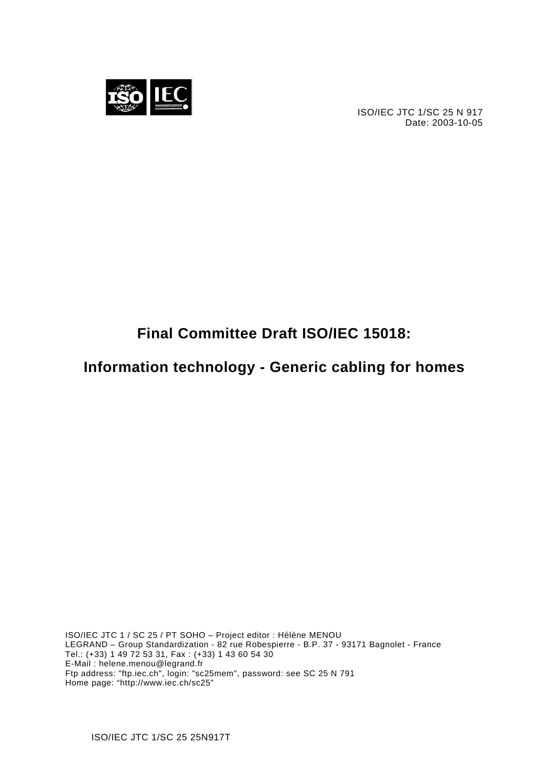

ISO/IEC JTC 1/SC 25 N 917 Date: 2003-10-05

# **Final Committee Draft ISO/IEC 15018:**

**Information technology - Generic cabling for homes** 

ISO/IEC JTC 1 / SC 25 / PT SOHO – Project editor : Hélène MENOU LEGRAND – Group Standardization - 82 rue Robespierre - B.P. 37 - 93171 Bagnolet - France Tel.: (+33) 1 49 72 53 31, Fax : (+33) 1 43 60 54 30 E-Mail : helene.menou@legrand.fr Ftp address: "ftp.iec.ch", login: "sc25mem", password: see SC 25 N 791 Home page: "http://www.iec.ch/sc25"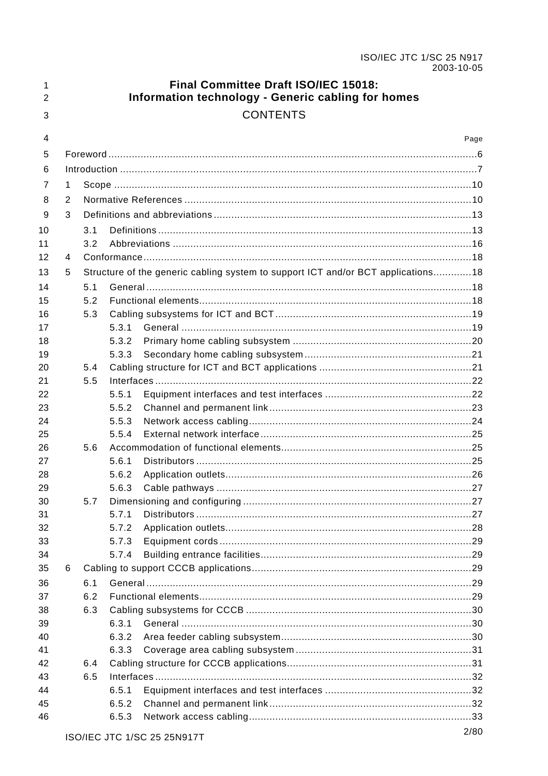| 1<br>$\overline{2}$ |   |     |                | Final Committee Draft ISO/IEC 15018:<br>Information technology - Generic cabling for homes |      |
|---------------------|---|-----|----------------|--------------------------------------------------------------------------------------------|------|
| 3                   |   |     |                | <b>CONTENTS</b>                                                                            |      |
| 4                   |   |     |                |                                                                                            | Page |
| 5                   |   |     |                |                                                                                            |      |
| 6                   |   |     |                |                                                                                            |      |
| 7                   | 1 |     |                |                                                                                            |      |
| 8                   | 2 |     |                |                                                                                            |      |
| 9                   | 3 |     |                |                                                                                            |      |
| 10                  |   | 3.1 |                |                                                                                            |      |
| 11                  |   | 3.2 |                |                                                                                            |      |
| 12                  | 4 |     |                |                                                                                            |      |
| 13                  | 5 |     |                | Structure of the generic cabling system to support ICT and/or BCT applications18           |      |
| 14                  |   | 5.1 |                |                                                                                            |      |
| 15                  |   | 5.2 |                |                                                                                            |      |
| 16                  |   | 5.3 |                |                                                                                            |      |
| 17                  |   |     | 5.3.1          |                                                                                            |      |
| 18                  |   |     | 5.3.2          |                                                                                            |      |
| 19                  |   |     | 5.3.3          |                                                                                            |      |
| 20                  |   | 5.4 |                |                                                                                            |      |
| 21                  |   | 5.5 |                |                                                                                            |      |
| 22                  |   |     | 5.5.1          |                                                                                            |      |
| 23                  |   |     | 5.5.2          |                                                                                            |      |
| 24                  |   |     | 5.5.3          |                                                                                            |      |
| 25                  |   |     | 5.5.4          |                                                                                            |      |
| 26                  |   | 5.6 |                |                                                                                            |      |
| 27<br>28            |   |     | 5.6.1<br>5.6.2 |                                                                                            |      |
| 29                  |   |     |                |                                                                                            |      |
| 30                  |   | 5.7 |                |                                                                                            |      |
| 31                  |   |     | 5.7.1          |                                                                                            |      |
| 32                  |   |     | 5.7.2          |                                                                                            |      |
| 33                  |   |     | 5.7.3          |                                                                                            |      |
| 34                  |   |     | 5.7.4          |                                                                                            |      |
| 35                  | 6 |     |                |                                                                                            |      |
| 36                  |   | 6.1 |                |                                                                                            |      |
| 37                  |   | 6.2 |                |                                                                                            |      |
| 38                  |   | 6.3 |                |                                                                                            |      |
| 39                  |   |     | 6.3.1          |                                                                                            |      |
| 40                  |   |     | 6.3.2          |                                                                                            |      |
| 41                  |   |     | 6.3.3          |                                                                                            |      |
| 42                  |   | 6.4 |                |                                                                                            |      |
| 43                  |   | 6.5 |                |                                                                                            |      |
| 44                  |   |     | 6.5.1          |                                                                                            |      |
| 45                  |   |     | 6.5.2          |                                                                                            |      |
| 46                  |   |     | 6.5.3          |                                                                                            |      |
|                     |   |     |                | ISO/IEC ITC 1/SC 25 25N917T                                                                | 2/80 |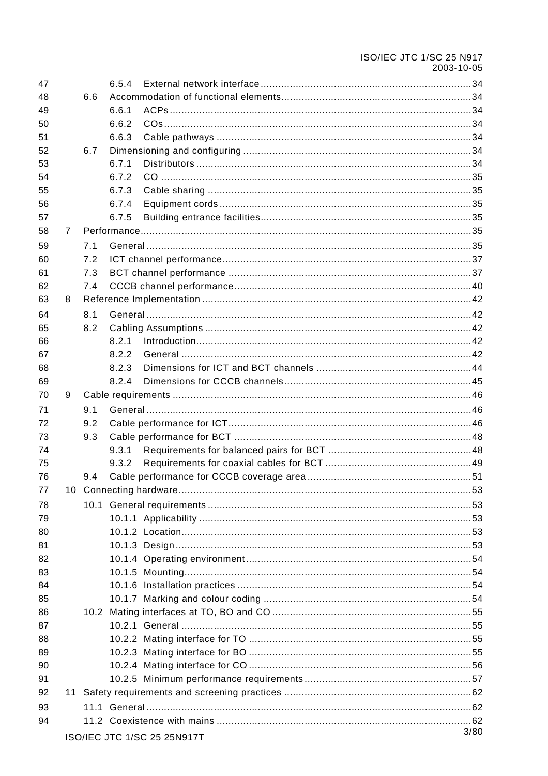# ISO/IEC JTC 1/SC 25 N917 2003-10-05

| 47 |                |     | 6.5.4 |                                 |      |
|----|----------------|-----|-------|---------------------------------|------|
| 48 |                | 6.6 |       |                                 |      |
| 49 |                |     | 6.6.1 |                                 |      |
| 50 |                |     | 6.6.2 |                                 |      |
| 51 |                |     | 6.6.3 |                                 |      |
| 52 |                | 6.7 |       |                                 |      |
| 53 |                |     | 6.7.1 |                                 |      |
| 54 |                |     | 6.7.2 |                                 |      |
| 55 |                |     | 6.7.3 |                                 |      |
| 56 |                |     | 6.7.4 |                                 |      |
| 57 |                |     | 6.7.5 |                                 |      |
| 58 | $\overline{7}$ |     |       |                                 |      |
| 59 |                | 7.1 |       |                                 |      |
| 60 |                | 7.2 |       |                                 |      |
| 61 |                | 7.3 |       |                                 |      |
| 62 |                | 7.4 |       |                                 |      |
| 63 | 8              |     |       |                                 |      |
| 64 |                | 8.1 |       |                                 |      |
| 65 |                | 8.2 |       |                                 |      |
| 66 |                |     | 8.2.1 |                                 |      |
| 67 |                |     | 8.2.2 |                                 |      |
| 68 |                |     | 8.2.3 |                                 |      |
| 69 |                |     | 8.2.4 |                                 |      |
| 70 | 9              |     |       |                                 |      |
| 71 |                | 9.1 |       |                                 |      |
| 72 |                | 9.2 |       |                                 |      |
| 73 |                | 9.3 |       |                                 |      |
| 74 |                |     | 9.3.1 |                                 |      |
| 75 |                |     | 9.3.2 |                                 |      |
| 76 |                | 9.4 |       |                                 |      |
| 77 |                |     |       |                                 |      |
| 78 |                |     |       |                                 |      |
| 79 |                |     |       |                                 |      |
| 80 |                |     |       |                                 |      |
| 81 |                |     |       |                                 |      |
| 82 |                |     |       |                                 |      |
| 83 |                |     |       |                                 |      |
| 84 |                |     |       |                                 |      |
| 85 |                |     |       |                                 |      |
| 86 |                |     |       |                                 |      |
| 87 |                |     |       |                                 |      |
| 88 |                |     |       |                                 |      |
| 89 |                |     |       |                                 |      |
| 90 |                |     |       |                                 |      |
| 91 |                |     |       |                                 |      |
| 92 |                |     |       |                                 |      |
| 93 |                |     |       |                                 |      |
| 94 |                |     |       |                                 |      |
|    |                |     |       | $ICOMED$ ITC $1/SC$ 25 25 N017T | 3/80 |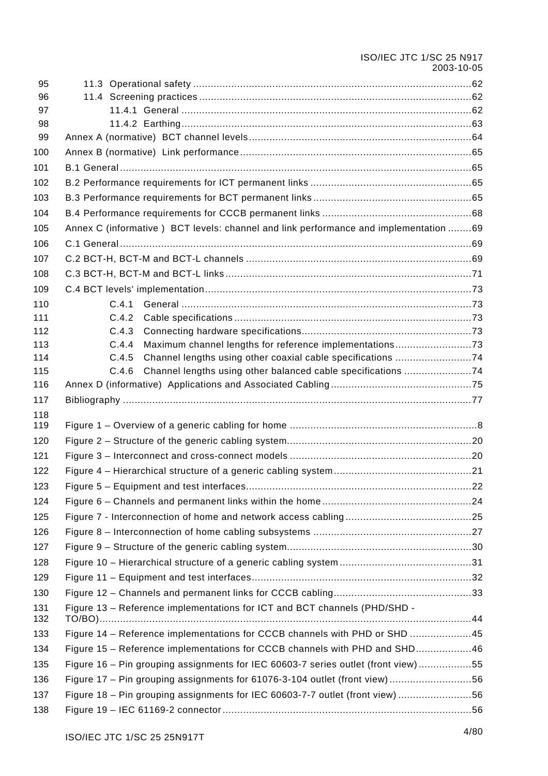| 96<br>97<br>98<br>99<br>100<br>101<br>102<br>103<br>104<br>Annex C (informative ) BCT levels: channel and link performance and implementation 69<br>105<br>106<br>107<br>108<br>110<br>C.4.1<br>C.4.2<br>C.4.3<br>Maximum channel lengths for reference implementations73<br>113<br>C.4.4<br>114<br>C.4.5<br>Channel lengths using other coaxial cable specifications 74<br>C.4.6<br>Channel lengths using other balanced cable specifications 74<br>115<br>116<br>117<br>118<br>119<br>123<br>127<br>128<br>129<br>130<br>131<br>Figure 13 - Reference implementations for ICT and BCT channels (PHD/SHD -<br>132<br>TO/BO)<br>Figure 14 - Reference implementations for CCCB channels with PHD or SHD 45<br>133<br>Figure 15 - Reference implementations for CCCB channels with PHD and SHD46<br>Figure 16 – Pin grouping assignments for IEC 60603-7 series outlet (front view) 55<br>136<br>Figure 17 – Pin grouping assignments for 61076-3-104 outlet (front view)56<br>Figure 18 – Pin grouping assignments for IEC 60603-7-7 outlet (front view) 56 | 95  |  |
|-------------------------------------------------------------------------------------------------------------------------------------------------------------------------------------------------------------------------------------------------------------------------------------------------------------------------------------------------------------------------------------------------------------------------------------------------------------------------------------------------------------------------------------------------------------------------------------------------------------------------------------------------------------------------------------------------------------------------------------------------------------------------------------------------------------------------------------------------------------------------------------------------------------------------------------------------------------------------------------------------------------------------------------------------------------|-----|--|
|                                                                                                                                                                                                                                                                                                                                                                                                                                                                                                                                                                                                                                                                                                                                                                                                                                                                                                                                                                                                                                                             |     |  |
|                                                                                                                                                                                                                                                                                                                                                                                                                                                                                                                                                                                                                                                                                                                                                                                                                                                                                                                                                                                                                                                             |     |  |
|                                                                                                                                                                                                                                                                                                                                                                                                                                                                                                                                                                                                                                                                                                                                                                                                                                                                                                                                                                                                                                                             |     |  |
|                                                                                                                                                                                                                                                                                                                                                                                                                                                                                                                                                                                                                                                                                                                                                                                                                                                                                                                                                                                                                                                             |     |  |
|                                                                                                                                                                                                                                                                                                                                                                                                                                                                                                                                                                                                                                                                                                                                                                                                                                                                                                                                                                                                                                                             |     |  |
|                                                                                                                                                                                                                                                                                                                                                                                                                                                                                                                                                                                                                                                                                                                                                                                                                                                                                                                                                                                                                                                             |     |  |
|                                                                                                                                                                                                                                                                                                                                                                                                                                                                                                                                                                                                                                                                                                                                                                                                                                                                                                                                                                                                                                                             |     |  |
|                                                                                                                                                                                                                                                                                                                                                                                                                                                                                                                                                                                                                                                                                                                                                                                                                                                                                                                                                                                                                                                             |     |  |
|                                                                                                                                                                                                                                                                                                                                                                                                                                                                                                                                                                                                                                                                                                                                                                                                                                                                                                                                                                                                                                                             |     |  |
|                                                                                                                                                                                                                                                                                                                                                                                                                                                                                                                                                                                                                                                                                                                                                                                                                                                                                                                                                                                                                                                             |     |  |
|                                                                                                                                                                                                                                                                                                                                                                                                                                                                                                                                                                                                                                                                                                                                                                                                                                                                                                                                                                                                                                                             |     |  |
|                                                                                                                                                                                                                                                                                                                                                                                                                                                                                                                                                                                                                                                                                                                                                                                                                                                                                                                                                                                                                                                             |     |  |
|                                                                                                                                                                                                                                                                                                                                                                                                                                                                                                                                                                                                                                                                                                                                                                                                                                                                                                                                                                                                                                                             |     |  |
|                                                                                                                                                                                                                                                                                                                                                                                                                                                                                                                                                                                                                                                                                                                                                                                                                                                                                                                                                                                                                                                             | 109 |  |
|                                                                                                                                                                                                                                                                                                                                                                                                                                                                                                                                                                                                                                                                                                                                                                                                                                                                                                                                                                                                                                                             |     |  |
|                                                                                                                                                                                                                                                                                                                                                                                                                                                                                                                                                                                                                                                                                                                                                                                                                                                                                                                                                                                                                                                             | 111 |  |
|                                                                                                                                                                                                                                                                                                                                                                                                                                                                                                                                                                                                                                                                                                                                                                                                                                                                                                                                                                                                                                                             | 112 |  |
|                                                                                                                                                                                                                                                                                                                                                                                                                                                                                                                                                                                                                                                                                                                                                                                                                                                                                                                                                                                                                                                             |     |  |
|                                                                                                                                                                                                                                                                                                                                                                                                                                                                                                                                                                                                                                                                                                                                                                                                                                                                                                                                                                                                                                                             |     |  |
|                                                                                                                                                                                                                                                                                                                                                                                                                                                                                                                                                                                                                                                                                                                                                                                                                                                                                                                                                                                                                                                             |     |  |
|                                                                                                                                                                                                                                                                                                                                                                                                                                                                                                                                                                                                                                                                                                                                                                                                                                                                                                                                                                                                                                                             |     |  |
|                                                                                                                                                                                                                                                                                                                                                                                                                                                                                                                                                                                                                                                                                                                                                                                                                                                                                                                                                                                                                                                             |     |  |
|                                                                                                                                                                                                                                                                                                                                                                                                                                                                                                                                                                                                                                                                                                                                                                                                                                                                                                                                                                                                                                                             |     |  |
|                                                                                                                                                                                                                                                                                                                                                                                                                                                                                                                                                                                                                                                                                                                                                                                                                                                                                                                                                                                                                                                             | 120 |  |
|                                                                                                                                                                                                                                                                                                                                                                                                                                                                                                                                                                                                                                                                                                                                                                                                                                                                                                                                                                                                                                                             | 121 |  |
|                                                                                                                                                                                                                                                                                                                                                                                                                                                                                                                                                                                                                                                                                                                                                                                                                                                                                                                                                                                                                                                             | 122 |  |
|                                                                                                                                                                                                                                                                                                                                                                                                                                                                                                                                                                                                                                                                                                                                                                                                                                                                                                                                                                                                                                                             |     |  |
|                                                                                                                                                                                                                                                                                                                                                                                                                                                                                                                                                                                                                                                                                                                                                                                                                                                                                                                                                                                                                                                             | 124 |  |
|                                                                                                                                                                                                                                                                                                                                                                                                                                                                                                                                                                                                                                                                                                                                                                                                                                                                                                                                                                                                                                                             | 125 |  |
|                                                                                                                                                                                                                                                                                                                                                                                                                                                                                                                                                                                                                                                                                                                                                                                                                                                                                                                                                                                                                                                             | 126 |  |
|                                                                                                                                                                                                                                                                                                                                                                                                                                                                                                                                                                                                                                                                                                                                                                                                                                                                                                                                                                                                                                                             |     |  |
|                                                                                                                                                                                                                                                                                                                                                                                                                                                                                                                                                                                                                                                                                                                                                                                                                                                                                                                                                                                                                                                             |     |  |
|                                                                                                                                                                                                                                                                                                                                                                                                                                                                                                                                                                                                                                                                                                                                                                                                                                                                                                                                                                                                                                                             |     |  |
|                                                                                                                                                                                                                                                                                                                                                                                                                                                                                                                                                                                                                                                                                                                                                                                                                                                                                                                                                                                                                                                             |     |  |
|                                                                                                                                                                                                                                                                                                                                                                                                                                                                                                                                                                                                                                                                                                                                                                                                                                                                                                                                                                                                                                                             |     |  |
|                                                                                                                                                                                                                                                                                                                                                                                                                                                                                                                                                                                                                                                                                                                                                                                                                                                                                                                                                                                                                                                             |     |  |
|                                                                                                                                                                                                                                                                                                                                                                                                                                                                                                                                                                                                                                                                                                                                                                                                                                                                                                                                                                                                                                                             |     |  |
|                                                                                                                                                                                                                                                                                                                                                                                                                                                                                                                                                                                                                                                                                                                                                                                                                                                                                                                                                                                                                                                             | 134 |  |
|                                                                                                                                                                                                                                                                                                                                                                                                                                                                                                                                                                                                                                                                                                                                                                                                                                                                                                                                                                                                                                                             | 135 |  |
|                                                                                                                                                                                                                                                                                                                                                                                                                                                                                                                                                                                                                                                                                                                                                                                                                                                                                                                                                                                                                                                             |     |  |
|                                                                                                                                                                                                                                                                                                                                                                                                                                                                                                                                                                                                                                                                                                                                                                                                                                                                                                                                                                                                                                                             | 137 |  |
|                                                                                                                                                                                                                                                                                                                                                                                                                                                                                                                                                                                                                                                                                                                                                                                                                                                                                                                                                                                                                                                             | 138 |  |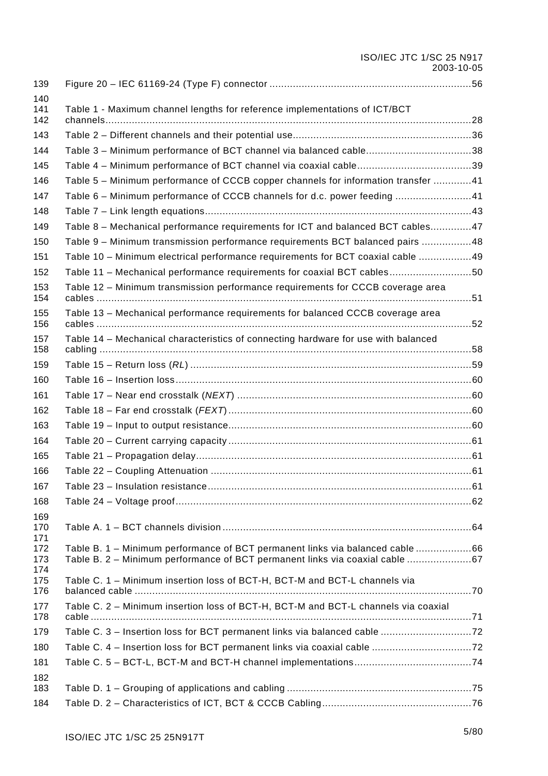# ISO/IEC JTC 1/SC 25 N917 2003-10-05

| 139               |                                                                                    |  |
|-------------------|------------------------------------------------------------------------------------|--|
| 140<br>141<br>142 | Table 1 - Maximum channel lengths for reference implementations of ICT/BCT         |  |
| 143               |                                                                                    |  |
| 144               | Table 3 - Minimum performance of BCT channel via balanced cable38                  |  |
| 145               |                                                                                    |  |
| 146               | Table 5 - Minimum performance of CCCB copper channels for information transfer 41  |  |
| 147               | Table 6 - Minimum performance of CCCB channels for d.c. power feeding 41           |  |
| 148               |                                                                                    |  |
| 149               | Table 8 - Mechanical performance requirements for ICT and balanced BCT cables47    |  |
| 150               | Table 9 - Minimum transmission performance requirements BCT balanced pairs 48      |  |
| 151               | Table 10 - Minimum electrical performance requirements for BCT coaxial cable 49    |  |
| 152               | Table 11 - Mechanical performance requirements for coaxial BCT cables50            |  |
| 153<br>154        | Table 12 - Minimum transmission performance requirements for CCCB coverage area    |  |
| 155<br>156        | Table 13 - Mechanical performance requirements for balanced CCCB coverage area     |  |
| 157               | Table 14 - Mechanical characteristics of connecting hardware for use with balanced |  |
| 158               |                                                                                    |  |
| 159               |                                                                                    |  |
| 160               |                                                                                    |  |
| 161               |                                                                                    |  |
| 162               |                                                                                    |  |
| 163               |                                                                                    |  |
| 164               |                                                                                    |  |
| 165               |                                                                                    |  |
| 166               |                                                                                    |  |
| 167               |                                                                                    |  |
| 168               |                                                                                    |  |
| 169<br>170<br>171 |                                                                                    |  |
| 172               | Table B. 1 - Minimum performance of BCT permanent links via balanced cable 66      |  |
| 173<br>174        | Table B. 2 - Minimum performance of BCT permanent links via coaxial cable 67       |  |
| 175<br>176        | Table C. 1 - Minimum insertion loss of BCT-H, BCT-M and BCT-L channels via         |  |
| 177<br>178        | Table C. 2 - Minimum insertion loss of BCT-H, BCT-M and BCT-L channels via coaxial |  |
| 179               |                                                                                    |  |
| 180               |                                                                                    |  |
| 181               |                                                                                    |  |
| 182<br>183        |                                                                                    |  |
| 184               |                                                                                    |  |
|                   |                                                                                    |  |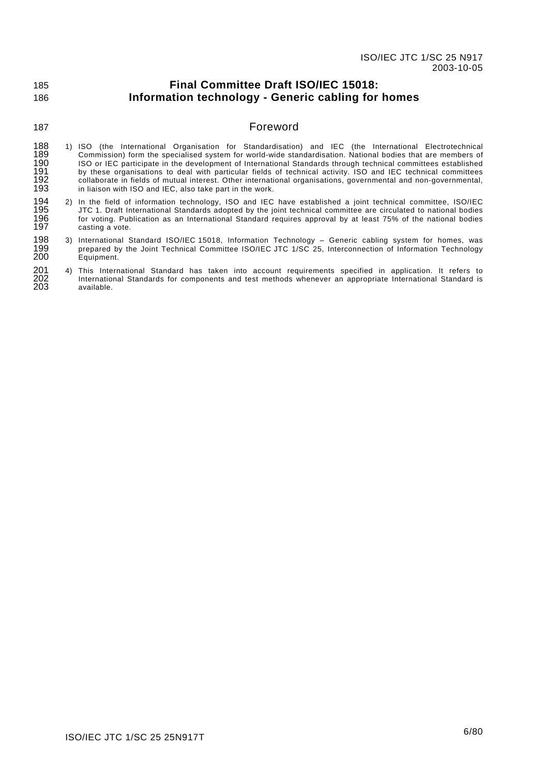#### <span id="page-6-0"></span>185 186 **Final Committee Draft ISO/IEC 15018: Information technology - Generic cabling for homes**

### 187

### Foreword

- 188 189 190 191 192 193 1) ISO (the International Organisation for Standardisation) and IEC (the International Electrotechnical Commission) form the specialised system for world-wide standardisation. National bodies that are members of ISO or IEC participate in the development of International Standards through technical committees established by these organisations to deal with particular fields of technical activity. ISO and IEC technical committees collaborate in fields of mutual interest. Other international organisations, governmental and non-governmental, in liaison with ISO and IEC, also take part in the work.
- 194 195 196 197 2) In the field of information technology, ISO and IEC have established a joint technical committee, ISO/IEC JTC 1. Draft International Standards adopted by the joint technical committee are circulated to national bodies for voting. Publication as an International Standard requires approval by at least 75% of the national bodies casting a vote.
- 198 199 200 3) International Standard ISO/IEC 15018, Information Technology – Generic cabling system for homes, was prepared by the Joint Technical Committee ISO/IEC JTC 1/SC 25, Interconnection of Information Technology Equipment.

#### 201 202 203 4) This International Standard has taken into account requirements specified in application. It refers to International Standards for components and test methods whenever an appropriate International Standard is available.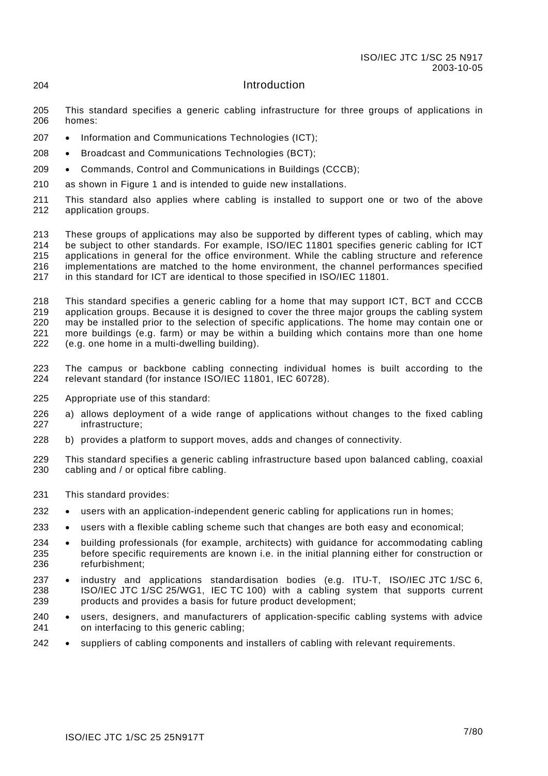# Introduction

- 205 206 This standard specifies a generic cabling infrastructure for three groups of applications in homes:
- 207 Information and Communications Technologies (ICT);
- 208 Broadcast and Communications Technologies (BCT);
- 209 Commands, Control and Communications in Buildings (CCCB);
- 210 as shown in [Figure 1](#page-8-1) and is intended to guide new installations.
- 211 212 This standard also applies where cabling is installed to support one or two of the above application groups.

213 214 215 216 217 These groups of applications may also be supported by different types of cabling, which may be subject to other standards. For example, ISO/IEC 11801 specifies generic cabling for ICT applications in general for the office environment. While the cabling structure and reference implementations are matched to the home environment, the channel performances specified in this standard for ICT are identical to those specified in ISO/IEC 11801.

218 219 220 221 222 This standard specifies a generic cabling for a home that may support ICT, BCT and CCCB application groups. Because it is designed to cover the three major groups the cabling system may be installed prior to the selection of specific applications. The home may contain one or more buildings (e.g. farm) or may be within a building which contains more than one home (e.g. one home in a multi-dwelling building).

- 223 224 The campus or backbone cabling connecting individual homes is built according to the relevant standard (for instance ISO/IEC 11801, IEC 60728).
- 225 Appropriate use of this standard:
- 226 227 a) allows deployment of a wide range of applications without changes to the fixed cabling infrastructure;
- 228 b) provides a platform to support moves, adds and changes of connectivity.
- 229 230 This standard specifies a generic cabling infrastructure based upon balanced cabling, coaxial cabling and / or optical fibre cabling.
- 231 This standard provides:

<span id="page-7-0"></span>204

- 232 users with an application-independent generic cabling for applications run in homes;
- 233 users with a flexible cabling scheme such that changes are both easy and economical;
- 234 235 236 building professionals (for example, architects) with guidance for accommodating cabling before specific requirements are known i.e. in the initial planning either for construction or refurbishment;
- 237 238 239 industry and applications standardisation bodies (e.g. ITU-T, ISO/IEC JTC 1/SC 6, ISO/IEC JTC 1/SC 25/WG1, IEC TC 100) with a cabling system that supports current products and provides a basis for future product development;
- 240 241 users, designers, and manufacturers of application-specific cabling systems with advice on interfacing to this generic cabling;
- 242 suppliers of cabling components and installers of cabling with relevant requirements.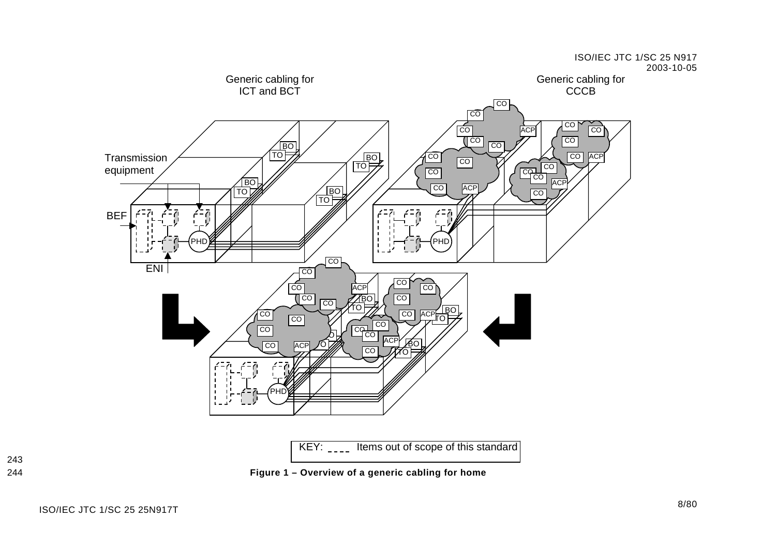

<span id="page-8-1"></span><span id="page-8-0"></span>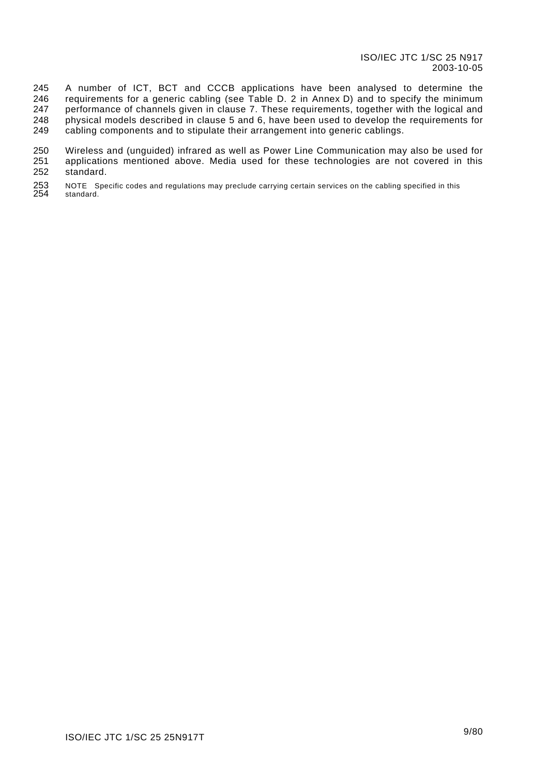245 246 247 248 249 A number of ICT, BCT and CCCB applications have been analysed to determine the requirements for a generic cabling (see [Table D. 2](#page-76-1) in [Annex D\)](#page-75-1) and to specify the minimum performance of channels given in clause [7.](#page-35-1) These requirements, together with the logical and physical models described in clause [5](#page-18-1) and [6,](#page-29-1) have been used to develop the requirements for cabling components and to stipulate their arrangement into generic cablings.

250 251 252 Wireless and (unguided) infrared as well as Power Line Communication may also be used for applications mentioned above. Media used for these technologies are not covered in this standard.

253 254 NOTE Specific codes and regulations may preclude carrying certain services on the cabling specified in this standard.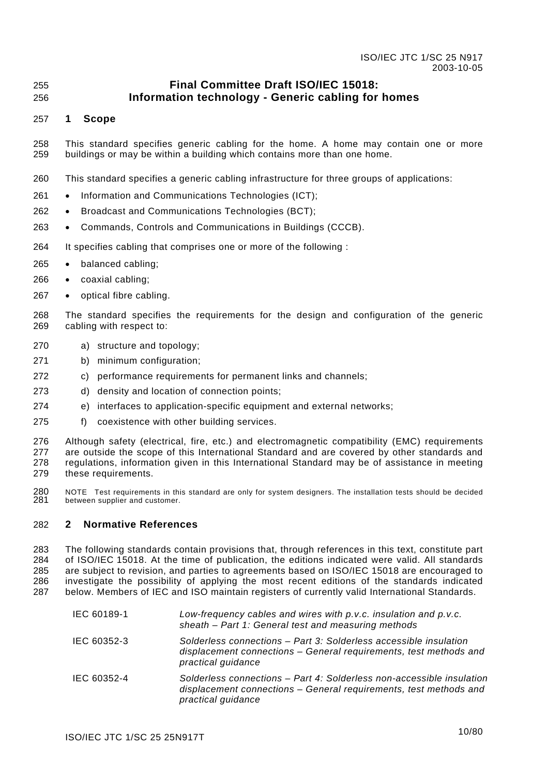#### <span id="page-10-0"></span>255 256 **Final Committee Draft ISO/IEC 15018: Information technology - Generic cabling for homes**

#### 257 **1 Scope**

- 258 259 This standard specifies generic cabling for the home. A home may contain one or more buildings or may be within a building which contains more than one home.
- 260 This standard specifies a generic cabling infrastructure for three groups of applications:
- 261 Information and Communications Technologies (ICT);
- 262 Broadcast and Communications Technologies (BCT);
- 263 Commands, Controls and Communications in Buildings (CCCB).
- 264 It specifies cabling that comprises one or more of the following :
- 265 balanced cabling;
- 266 coaxial cabling;
- 267 optical fibre cabling.
- 268 269 The standard specifies the requirements for the design and configuration of the generic cabling with respect to:
- 270 a) structure and topology;
- 271 b) minimum configuration;
- 272 c) performance requirements for permanent links and channels;
- 273 d) density and location of connection points;
- 274 e) interfaces to application-specific equipment and external networks;
- 275 f) coexistence with other building services.
- 276 277 278 279 Although safety (electrical, fire, etc.) and electromagnetic compatibility (EMC) requirements are outside the scope of this International Standard and are covered by other standards and regulations, information given in this International Standard may be of assistance in meeting these requirements.
- 280 281 NOTE Test requirements in this standard are only for system designers. The installation tests should be decided between supplier and customer.

#### 282 **2 Normative References**

283 284 285 286 287 The following standards contain provisions that, through references in this text, constitute part of ISO/IEC 15018. At the time of publication, the editions indicated were valid. All standards are subject to revision, and parties to agreements based on ISO/IEC 15018 are encouraged to investigate the possibility of applying the most recent editions of the standards indicated below. Members of IEC and ISO maintain registers of currently valid International Standards.

IEC 60189-1 *Low-frequency cables and wires with p.v.c. insulation and p.v.c. sheath – Part 1: General test and measuring methods*  IEC 60352-3 *Solderless connections – Part 3: Solderless accessible insulation displacement connections – General requirements, test methods and practical guidance*  IEC 60352-4 *Solderless connections – Part 4: Solderless non-accessible insulation displacement connections – General requirements, test methods and practical guidance*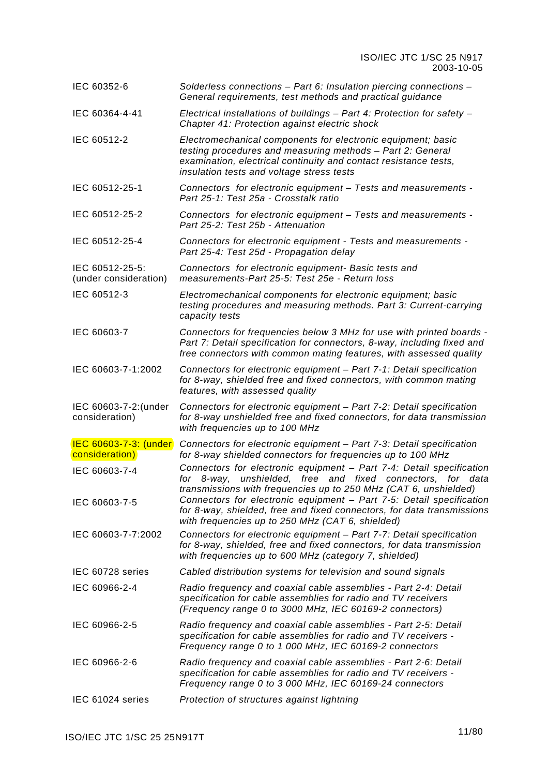| IEC 60352-6                              | Solderless connections - Part 6: Insulation piercing connections -<br>General requirements, test methods and practical guidance                                                                                                                                                                                                                          |
|------------------------------------------|----------------------------------------------------------------------------------------------------------------------------------------------------------------------------------------------------------------------------------------------------------------------------------------------------------------------------------------------------------|
| IEC 60364-4-41                           | Electrical installations of buildings - Part 4: Protection for safety -<br>Chapter 41: Protection against electric shock                                                                                                                                                                                                                                 |
| IEC 60512-2                              | Electromechanical components for electronic equipment; basic<br>testing procedures and measuring methods - Part 2: General<br>examination, electrical continuity and contact resistance tests,<br>insulation tests and voltage stress tests                                                                                                              |
| IEC 60512-25-1                           | Connectors for electronic equipment - Tests and measurements -<br>Part 25-1: Test 25a - Crosstalk ratio                                                                                                                                                                                                                                                  |
| IEC 60512-25-2                           | Connectors for electronic equipment - Tests and measurements -<br>Part 25-2: Test 25b - Attenuation                                                                                                                                                                                                                                                      |
| IEC 60512-25-4                           | Connectors for electronic equipment - Tests and measurements -<br>Part 25-4: Test 25d - Propagation delay                                                                                                                                                                                                                                                |
| IEC 60512-25-5:<br>(under consideration) | Connectors for electronic equipment- Basic tests and<br>measurements-Part 25-5: Test 25e - Return loss                                                                                                                                                                                                                                                   |
| IEC 60512-3                              | Electromechanical components for electronic equipment; basic<br>testing procedures and measuring methods. Part 3: Current-carrying<br>capacity tests                                                                                                                                                                                                     |
| IEC 60603-7                              | Connectors for frequencies below 3 MHz for use with printed boards -<br>Part 7: Detail specification for connectors, 8-way, including fixed and<br>free connectors with common mating features, with assessed quality                                                                                                                                    |
| IEC 60603-7-1:2002                       | Connectors for electronic equipment - Part 7-1: Detail specification<br>for 8-way, shielded free and fixed connectors, with common mating<br>features, with assessed quality                                                                                                                                                                             |
| IEC 60603-7-2: (under<br>consideration)  | Connectors for electronic equipment - Part 7-2: Detail specification<br>for 8-way unshielded free and fixed connectors, for data transmission<br>with frequencies up to 100 MHz                                                                                                                                                                          |
| IEC 60603-7-3: (under<br>consideration)  | Connectors for electronic equipment - Part 7-3: Detail specification<br>for 8-way shielded connectors for frequencies up to 100 MHz                                                                                                                                                                                                                      |
| IEC 60603-7-4<br>IEC 60603-7-5           | Connectors for electronic equipment - Part 7-4: Detail specification<br>for 8-way, unshielded, free and fixed connectors, for data<br>transmissions with frequencies up to 250 MHz (CAT 6, unshielded)<br>Connectors for electronic equipment - Part 7-5: Detail specification<br>for 8-way, shielded, free and fixed connectors, for data transmissions |
| IEC 60603-7-7:2002                       | with frequencies up to 250 MHz (CAT 6, shielded)<br>Connectors for electronic equipment - Part 7-7: Detail specification<br>for 8-way, shielded, free and fixed connectors, for data transmission<br>with frequencies up to 600 MHz (category 7, shielded)                                                                                               |
| IEC 60728 series                         | Cabled distribution systems for television and sound signals                                                                                                                                                                                                                                                                                             |
| IEC 60966-2-4                            | Radio frequency and coaxial cable assemblies - Part 2-4: Detail<br>specification for cable assemblies for radio and TV receivers<br>(Frequency range 0 to 3000 MHz, IEC 60169-2 connectors)                                                                                                                                                              |
| IEC 60966-2-5                            | Radio frequency and coaxial cable assemblies - Part 2-5: Detail<br>specification for cable assemblies for radio and TV receivers -<br>Frequency range 0 to 1 000 MHz, IEC 60169-2 connectors                                                                                                                                                             |
| IEC 60966-2-6                            | Radio frequency and coaxial cable assemblies - Part 2-6: Detail<br>specification for cable assemblies for radio and TV receivers -<br>Frequency range 0 to 3 000 MHz, IEC 60169-24 connectors                                                                                                                                                            |
| IEC 61024 series                         | Protection of structures against lightning                                                                                                                                                                                                                                                                                                               |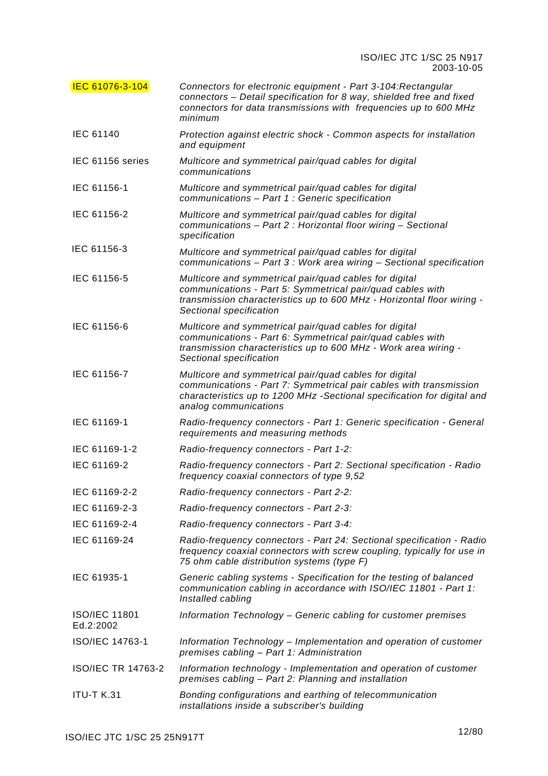| <b>IEC 61076-3-104</b>            | Connectors for electronic equipment - Part 3-104: Rectangular<br>connectors - Detail specification for 8 way, shielded free and fixed<br>connectors for data transmissions with frequencies up to 600 MHz<br>minimum             |
|-----------------------------------|----------------------------------------------------------------------------------------------------------------------------------------------------------------------------------------------------------------------------------|
| <b>IEC 61140</b>                  | Protection against electric shock - Common aspects for installation<br>and equipment                                                                                                                                             |
| IEC 61156 series                  | Multicore and symmetrical pair/quad cables for digital<br>communications                                                                                                                                                         |
| IEC 61156-1                       | Multicore and symmetrical pair/quad cables for digital<br>communications - Part 1 : Generic specification                                                                                                                        |
| IEC 61156-2                       | Multicore and symmetrical pair/quad cables for digital<br>communications - Part 2 : Horizontal floor wiring - Sectional<br>specification                                                                                         |
| IEC 61156-3                       | Multicore and symmetrical pair/quad cables for digital<br>communications - Part 3 : Work area wiring - Sectional specification                                                                                                   |
| IEC 61156-5                       | Multicore and symmetrical pair/quad cables for digital<br>communications - Part 5: Symmetrical pair/quad cables with<br>transmission characteristics up to 600 MHz - Horizontal floor wiring -<br>Sectional specification        |
| IEC 61156-6                       | Multicore and symmetrical pair/quad cables for digital<br>communications - Part 6: Symmetrical pair/quad cables with<br>transmission characteristics up to 600 MHz - Work area wiring -<br>Sectional specification               |
| IEC 61156-7                       | Multicore and symmetrical pair/quad cables for digital<br>communications - Part 7: Symmetrical pair cables with transmission<br>characteristics up to 1200 MHz -Sectional specification for digital and<br>analog communications |
| IEC 61169-1                       | Radio-frequency connectors - Part 1: Generic specification - General<br>requirements and measuring methods                                                                                                                       |
| IEC 61169-1-2                     | Radio-frequency connectors - Part 1-2:                                                                                                                                                                                           |
| IEC 61169-2                       | Radio-frequency connectors - Part 2: Sectional specification - Radio<br>frequency coaxial connectors of type 9,52                                                                                                                |
| IEC 61169-2-2                     | Radio-frequency connectors - Part 2-2:                                                                                                                                                                                           |
| IEC 61169-2-3                     | Radio-frequency connectors - Part 2-3:                                                                                                                                                                                           |
| IEC 61169-2-4                     | Radio-frequency connectors - Part 3-4:                                                                                                                                                                                           |
| IEC 61169-24                      | Radio-frequency connectors - Part 24: Sectional specification - Radio<br>frequency coaxial connectors with screw coupling, typically for use in<br>75 ohm cable distribution systems (type F)                                    |
| IEC 61935-1                       | Generic cabling systems - Specification for the testing of balanced<br>communication cabling in accordance with ISO/IEC 11801 - Part 1:<br>Installed cabling                                                                     |
| <b>ISO/IEC 11801</b><br>Ed.2:2002 | Information Technology - Generic cabling for customer premises                                                                                                                                                                   |
| ISO/IEC 14763-1                   | Information Technology - Implementation and operation of customer<br>premises cabling - Part 1: Administration                                                                                                                   |
| <b>ISO/IEC TR 14763-2</b>         | Information technology - Implementation and operation of customer<br>premises cabling - Part 2: Planning and installation                                                                                                        |
| <b>ITU-T K.31</b>                 | Bonding configurations and earthing of telecommunication<br>installations inside a subscriber's building                                                                                                                         |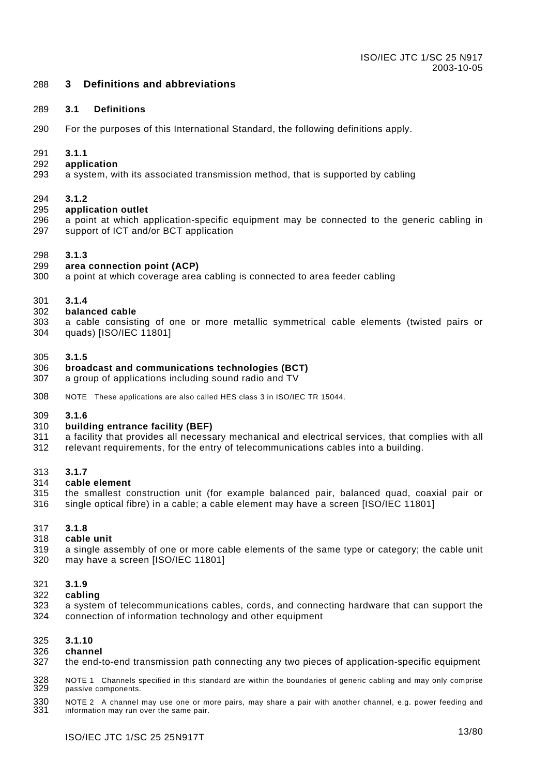#### <span id="page-13-0"></span>288 **3 Definitions and abbreviations**

#### 289 **3.1 Definitions**

290 For the purposes of this International Standard, the following definitions apply.

#### 291 **3.1.1**

#### 292 **application**

293 a system, with its associated transmission method, that is supported by cabling

#### 294 **3.1.2**

#### 295 **application outlet**

296 297 a point at which application-specific equipment may be connected to the generic cabling in support of ICT and/or BCT application

#### 298 **3.1.3**

#### 299 **area connection point (ACP)**

300 a point at which coverage area cabling is connected to area feeder cabling

#### 301 **3.1.4**

#### 302 **balanced cable**

303 304 a cable consisting of one or more metallic symmetrical cable elements (twisted pairs or quads) [ISO/IEC 11801]

#### 305 **3.1.5**

#### 306 **broadcast and communications technologies (BCT)**

- 307 a group of applications including sound radio and TV
- 308 NOTE These applications are also called HES class 3 in ISO/IEC TR 15044.

#### 309 **3.1.6**

#### 310 **building entrance facility (BEF)**

- 311 a facility that provides all necessary mechanical and electrical services, that complies with all
- 312 relevant requirements, for the entry of telecommunications cables into a building.

#### 313 **3.1.7**

#### 314 **cable element**

315 316 the smallest construction unit (for example balanced pair, balanced quad, coaxial pair or single optical fibre) in a cable; a cable element may have a screen [ISO/IEC 11801]

#### 317 **3.1.8**

#### 318 **cable unit**

319 320 a single assembly of one or more cable elements of the same type or category; the cable unit may have a screen [ISO/IEC 11801]

#### 321 **3.1.9**

- 322 **cabling**
- 323 324 a system of telecommunications cables, cords, and connecting hardware that can support the connection of information technology and other equipment

#### 325 **3.1.10**

#### 326 **channel**

327 the end-to-end transmission path connecting any two pieces of application-specific equipment

328 329 NOTE 1 Channels specified in this standard are within the boundaries of generic cabling and may only comprise passive components.

330 331 NOTE 2 A channel may use one or more pairs, may share a pair with another channel, e.g. power feeding and information may run over the same pair.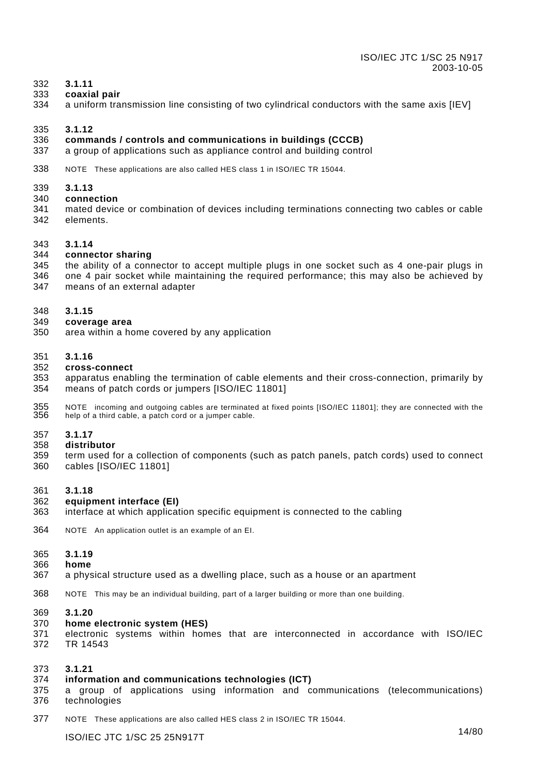#### 332 **3.1.11**

- 333 **coaxial pair**
- 334 a uniform transmission line consisting of two cylindrical conductors with the same axis [IEV]

#### 335 **3.1.12**

#### 336 **commands / controls and communications in buildings (CCCB)**

- 337 a group of applications such as appliance control and building control
- 338 NOTE These applications are also called HES class 1 in ISO/IEC TR 15044.
- 339 **3.1.13**
- 340 **connection**
- 341 342 mated device or combination of devices including terminations connecting two cables or cable elements.
- 343 **3.1.14**

#### 344 **connector sharing**

- 345 the ability of a connector to accept multiple plugs in one socket such as 4 one-pair plugs in
- 346 347 one 4 pair socket while maintaining the required performance; this may also be achieved by means of an external adapter
- 348 **3.1.15**
- 349 **coverage area**
- 350 area within a home covered by any application
- 351 **3.1.16**
- 352 **cross-connect**
- 353 354 apparatus enabling the termination of cable elements and their cross-connection, primarily by means of patch cords or jumpers [ISO/IEC 11801]
- 355 356 NOTE incoming and outgoing cables are terminated at fixed points [ISO/IEC 11801]; they are connected with the help of a third cable, a patch cord or a jumper cable.
- 357 **3.1.17**
- 358 **distributor**
- 359 360 term used for a collection of components (such as patch panels, patch cords) used to connect cables [ISO/IEC 11801]
- 361 **3.1.18**

#### 362 **equipment interface (EI)**

- 363 interface at which application specific equipment is connected to the cabling
- 364 NOTE An application outlet is an example of an EI.
- 365 **3.1.19**
- 366 **home**
- 367 a physical structure used as a dwelling place, such as a house or an apartment
- 368 NOTE This may be an individual building, part of a larger building or more than one building.

#### 369 **3.1.20**

- 370 **home electronic system (HES)**
- 371 372 electronic systems within homes that are interconnected in accordance with ISO/IEC TR 14543

#### 373 **3.1.21**

#### 374 **information and communications technologies (ICT)**

- 375 a group of applications using information and communications (telecommunications)
- 376 technologies
- 377 NOTE These applications are also called HES class 2 in ISO/IEC TR 15044.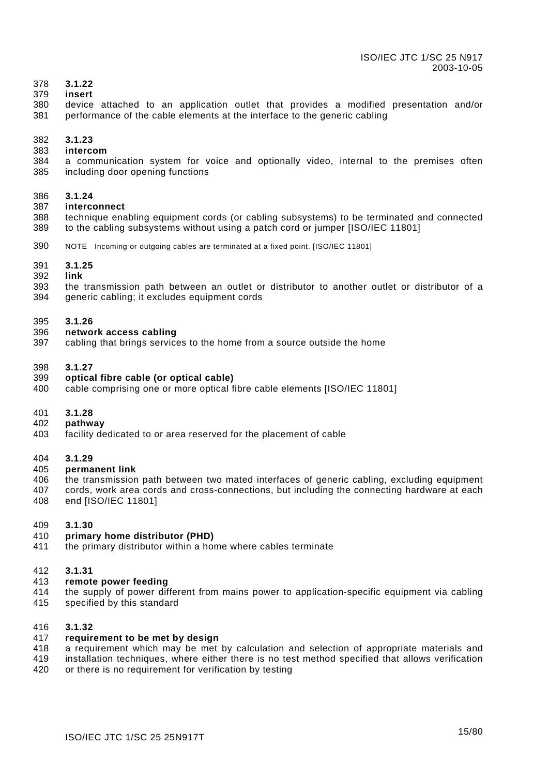#### 378 **3.1.22**

#### 379 **insert**

380 381 device attached to an application outlet that provides a modified presentation and/or performance of the cable elements at the interface to the generic cabling

#### 382 **3.1.23**

#### 383 **intercom**

384 385 a communication system for voice and optionally video, internal to the premises often including door opening functions

#### 386 **3.1.24**

#### 387 **interconnect**

388 389 technique enabling equipment cords (or cabling subsystems) to be terminated and connected to the cabling subsystems without using a patch cord or jumper [ISO/IEC 11801]

390 NOTE Incoming or outgoing cables are terminated at a fixed point. [ISO/IEC 11801]

#### 391 **3.1.25**

#### 392 **link**

393 394 the transmission path between an outlet or distributor to another outlet or distributor of a generic cabling; it excludes equipment cords

#### 395 **3.1.26**

#### 396 **network access cabling**

397 cabling that brings services to the home from a source outside the home

#### 398 **3.1.27**

#### 399 **optical fibre cable (or optical cable)**

400 cable comprising one or more optical fibre cable elements [ISO/IEC 11801]

#### 401 **3.1.28**

#### 402 **pathway**

403 facility dedicated to or area reserved for the placement of cable

#### 404 **3.1.29**

#### 405 **permanent link**

- 406 the transmission path between two mated interfaces of generic cabling, excluding equipment cords, work area cords and cross-connections, but including the connecting hardware at each
- 407 408 end [ISO/IEC 11801]

#### 409 **3.1.30**

#### 410 **primary home distributor (PHD)**

411 the primary distributor within a home where cables terminate

#### 412 **3.1.31**

- 413 **remote power feeding**
- 414 415 the supply of power different from mains power to application-specific equipment via cabling specified by this standard

#### 416 **3.1.32**

#### 417 **requirement to be met by design**

- 418 a requirement which may be met by calculation and selection of appropriate materials and
- 419 installation techniques, where either there is no test method specified that allows verification or there is no requirement for verification by testing
- 420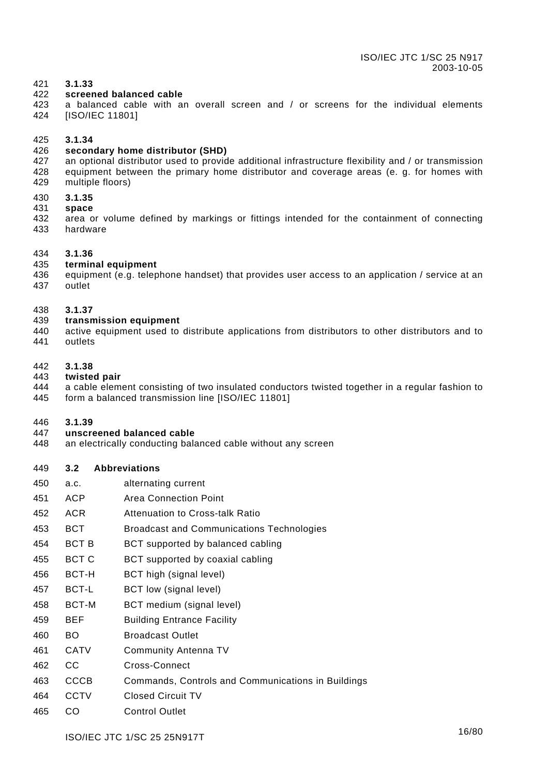#### <span id="page-16-0"></span>421 **3.1.33**

#### 422 **screened balanced cable**

423 424 a balanced cable with an overall screen and / or screens for the individual elements [ISO/IEC 11801]

#### 425 **3.1.34**

#### 426 **secondary home distributor (SHD)**

- 427 428 429 an optional distributor used to provide additional infrastructure flexibility and / or transmission equipment between the primary home distributor and coverage areas (e. g. for homes with multiple floors)
- 430 **3.1.35**
- 431 **space**
- 432 433 area or volume defined by markings or fittings intended for the containment of connecting hardware

#### 434 **3.1.36**

#### 435 **terminal equipment**

- 436 437 equipment (e.g. telephone handset) that provides user access to an application / service at an outlet
- 438 **3.1.37**
- 439 **transmission equipment**
- 440 441 active equipment used to distribute applications from distributors to other distributors and to outlets

#### 442 **3.1.38**

- 443 **twisted pair**
- 444 445 a cable element consisting of two insulated conductors twisted together in a regular fashion to form a balanced transmission line [ISO/IEC 11801]

#### 446 **3.1.39**

#### 447 **unscreened balanced cable**

448 an electrically conducting balanced cable without any screen

#### 449 **3.2 Abbreviations**

- 450 a.c. alternating current
- 451 ACP Area Connection Point
- 452 ACR Attenuation to Cross-talk Ratio
- 453 BCT Broadcast and Communications Technologies
- 454 BCT B BCT supported by balanced cabling
- 455 BCT C BCT supported by coaxial cabling
- 456 BCT-H BCT high (signal level)
- 457 BCT-L BCT low (signal level)
- 458 BCT-M BCT medium (signal level)
- 459 BEF Building Entrance Facility
- 460 BO Broadcast Outlet
- 461 CATV Community Antenna TV
- 462 CC Cross-Connect
- 463 CCCB Commands, Controls and Communications in Buildings
- 464 CCTV Closed Circuit TV
- 465 CO Control Outlet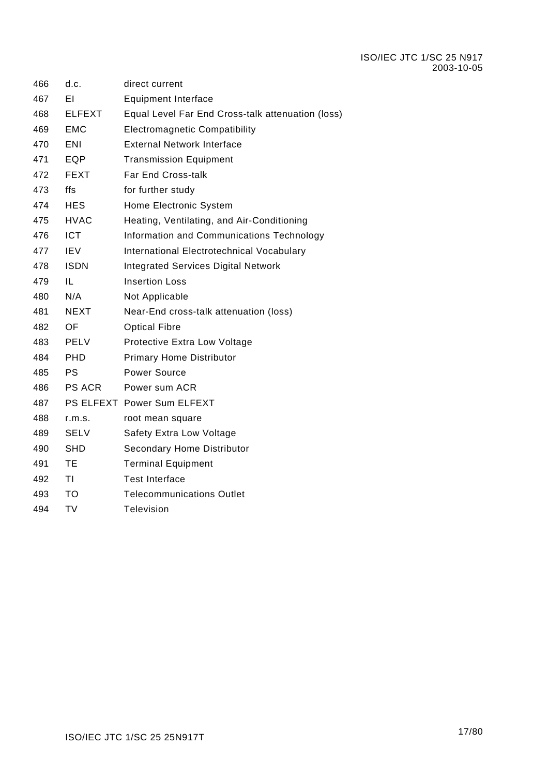| 466 | d.c.          | direct current                                    |
|-----|---------------|---------------------------------------------------|
| 467 | ΕI            | <b>Equipment Interface</b>                        |
| 468 | <b>ELFEXT</b> | Equal Level Far End Cross-talk attenuation (loss) |
| 469 | <b>EMC</b>    | <b>Electromagnetic Compatibility</b>              |
| 470 | ENI           | <b>External Network Interface</b>                 |
| 471 | EQP           | <b>Transmission Equipment</b>                     |
| 472 | FEXT          | <b>Far End Cross-talk</b>                         |
| 473 | ffs           | for further study                                 |
| 474 | <b>HES</b>    | Home Electronic System                            |
| 475 | <b>HVAC</b>   | Heating, Ventilating, and Air-Conditioning        |
| 476 | <b>ICT</b>    | Information and Communications Technology         |
| 477 | <b>IEV</b>    | International Electrotechnical Vocabulary         |
| 478 | <b>ISDN</b>   | <b>Integrated Services Digital Network</b>        |
| 479 | IL            | <b>Insertion Loss</b>                             |
| 480 | N/A           | Not Applicable                                    |
| 481 | <b>NEXT</b>   | Near-End cross-talk attenuation (loss)            |
| 482 | OF            | <b>Optical Fibre</b>                              |
| 483 | PELV          | Protective Extra Low Voltage                      |
| 484 | <b>PHD</b>    | <b>Primary Home Distributor</b>                   |
| 485 | PS            | <b>Power Source</b>                               |
| 486 | PS ACR        | Power sum ACR                                     |
| 487 |               | PS ELFEXT Power Sum ELFEXT                        |
| 488 | r.m.s.        | root mean square                                  |
| 489 | SELV          | Safety Extra Low Voltage                          |
| 490 | SHD           | Secondary Home Distributor                        |
| 491 | <b>TE</b>     | <b>Terminal Equipment</b>                         |
| 492 | ΤI            | <b>Test Interface</b>                             |
| 493 | <b>TO</b>     | <b>Telecommunications Outlet</b>                  |
| 494 | <b>TV</b>     | <b>Television</b>                                 |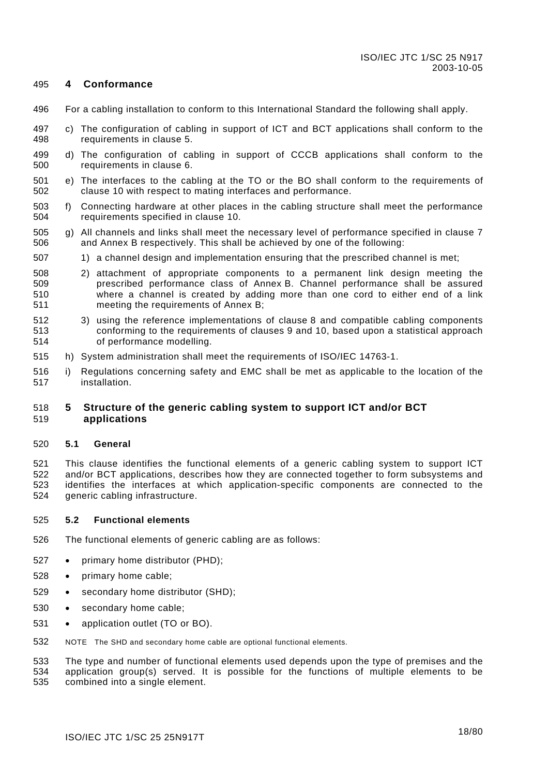#### <span id="page-18-0"></span>495 **4 Conformance**

- 496 For a cabling installation to conform to this International Standard the following shall apply.
- 497 498 c) The configuration of cabling in support of ICT and BCT applications shall conform to the requirements in clause [5.](#page-18-1)
- 499 500 d) The configuration of cabling in support of CCCB applications shall conform to the requirements in clause [6.](#page-29-1)
- 501 502 e) The interfaces to the cabling at the TO or the BO shall conform to the requirements of clause [10](#page-53-1) with respect to mating interfaces and performance.
- 503 504 f) Connecting hardware at other places in the cabling structure shall meet the performance requirements specified in clause [10.](#page-53-1)
- 505 506 g) All channels and links shall meet the necessary level of performance specified in clause [7](#page-35-1)  and [Annex B](#page-65-1) respectively. This shall be achieved by one of the following:
- 507 1) a channel design and implementation ensuring that the prescribed channel is met;
- 508 509 510 511 2) attachment of appropriate components to a permanent link design meeting the prescribed performance class of [Annex B.](#page-65-1) Channel performance shall be assured where a channel is created by adding more than one cord to either end of a link meeting the requirements of [Annex B;](#page-65-1)
- 512 513 514 3) using the reference implementations of clause [8](#page-42-1) and compatible cabling components conforming to the requirements of clauses [9](#page-46-1) and [10,](#page-53-1) based upon a statistical approach of performance modelling.
- 515 h) System administration shall meet the requirements of ISO/IEC 14763-1.
- 516 517 i) Regulations concerning safety and EMC shall be met as applicable to the location of the installation.

#### <span id="page-18-1"></span>518 519 **5 Structure of the generic cabling system to support ICT and/or BCT applications**

#### 520 **5.1 General**

521 522 523 524 This clause identifies the functional elements of a generic cabling system to support ICT and/or BCT applications, describes how they are connected together to form subsystems and identifies the interfaces at which application-specific components are connected to the generic cabling infrastructure.

#### 525 **5.2 Functional elements**

- 526 The functional elements of generic cabling are as follows:
- 527 primary home distributor (PHD);
- 528 primary home cable;
- 529 secondary home distributor (SHD);
- 530 secondary home cable;
- 531 application outlet (TO or BO).
- 532 NOTE The SHD and secondary home cable are optional functional elements.

533 534 535 The type and number of functional elements used depends upon the type of premises and the application group(s) served. It is possible for the functions of multiple elements to be combined into a single element.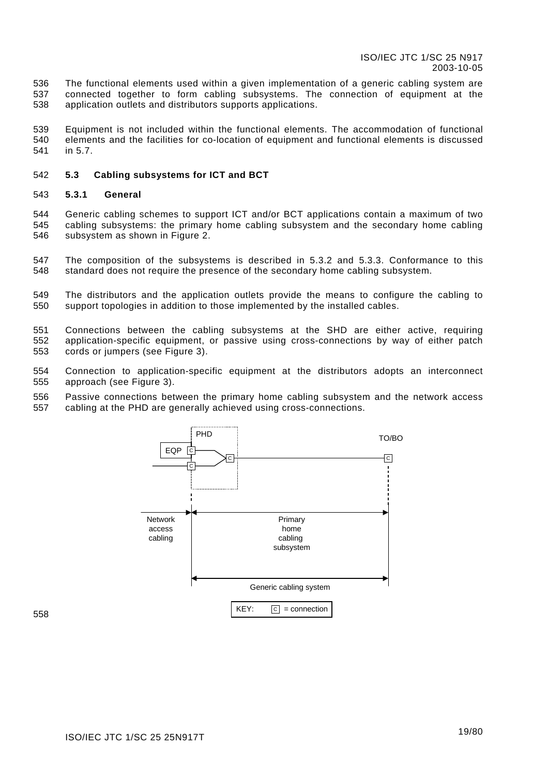<span id="page-19-0"></span>536 537 538 The functional elements used within a given implementation of a generic cabling system are connected together to form cabling subsystems. The connection of equipment at the application outlets and distributors supports applications.

539 540 541 Equipment is not included within the functional elements. The accommodation of functional elements and the facilities for co-location of equipment and functional elements is discussed in [5.7.](#page-27-1)

#### 542 **5.3 Cabling subsystems for ICT and BCT**

#### 543 **5.3.1 General**

544 545 546 Generic cabling schemes to support ICT and/or BCT applications contain a maximum of two cabling subsystems: the primary home cabling subsystem and the secondary home cabling subsystem as shown in [Figure 2.](#page-20-1)

547 548 The composition of the subsystems is described in [5.3.2](#page-20-2) and [5.3.3.](#page-21-1) Conformance to this standard does not require the presence of the secondary home cabling subsystem.

549 550 The distributors and the application outlets provide the means to configure the cabling to support topologies in addition to those implemented by the installed cables.

551 552 553 Connections between the cabling subsystems at the SHD are either active, requiring application-specific equipment, or passive using cross-connections by way of either patch cords or jumpers (see [Figure 3\).](#page-20-3)

554 555 Connection to application-specific equipment at the distributors adopts an interconnect approach (see [Figure 3\).](#page-20-3)

556 557 Passive connections between the primary home cabling subsystem and the network access cabling at the PHD are generally achieved using cross-connections.



558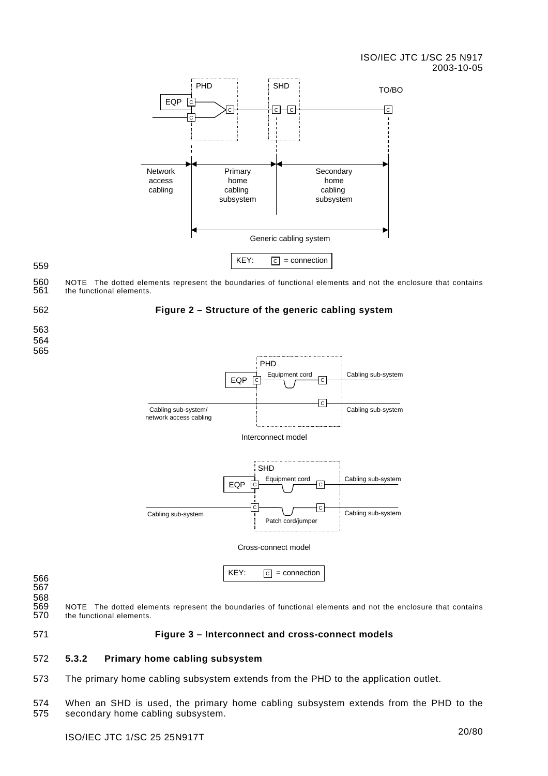### ISO/IEC JTC 1/SC 25 N917 2003-10-05

<span id="page-20-0"></span>

560 561 NOTE The dotted elements represent the boundaries of functional elements and not the enclosure that contains the functional elements.

562

### <span id="page-20-1"></span>**Figure 2 – Structure of the generic cabling system**

563 564

565



566

567 568

569 570 NOTE The dotted elements represent the boundaries of functional elements and not the enclosure that contains the functional elements.

<span id="page-20-3"></span>571 **Figure 3 – Interconnect and cross-connect models**

#### <span id="page-20-2"></span>572 **5.3.2 Primary home cabling subsystem**

573 The primary home cabling subsystem extends from the PHD to the application outlet.

574 575 When an SHD is used, the primary home cabling subsystem extends from the PHD to the secondary home cabling subsystem.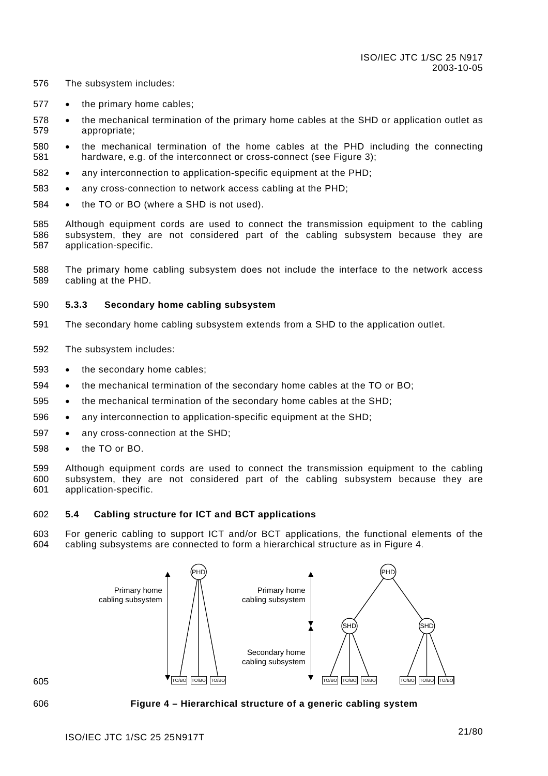- <span id="page-21-0"></span>576 The subsystem includes:
- 577 the primary home cables;
- 578 579 the mechanical termination of the primary home cables at the SHD or application outlet as appropriate;
- 580 581 the mechanical termination of the home cables at the PHD including the connecting hardware, e.g. of the interconnect or cross-connect (see [Figure](#page-20-3) 3);
- 582 any interconnection to application-specific equipment at the PHD;
- 583 any cross-connection to network access cabling at the PHD;
- 584 the TO or BO (where a SHD is not used).
- 585 586 587 Although equipment cords are used to connect the transmission equipment to the cabling subsystem, they are not considered part of the cabling subsystem because they are application-specific.
- 588 589 The primary home cabling subsystem does not include the interface to the network access cabling at the PHD.

#### <span id="page-21-1"></span>590 **5.3.3 Secondary home cabling subsystem**

- 591 The secondary home cabling subsystem extends from a SHD to the application outlet.
- 592 The subsystem includes:
- 593 the secondary home cables;
- 594 the mechanical termination of the secondary home cables at the TO or BO;
- 595 the mechanical termination of the secondary home cables at the SHD;
- 596 any interconnection to application-specific equipment at the SHD;
- 597 any cross-connection at the SHD;
- 598 the TO or BO.
- 599 600 601 Although equipment cords are used to connect the transmission equipment to the cabling subsystem, they are not considered part of the cabling subsystem because they are application-specific.

#### 602 **5.4 Cabling structure for ICT and BCT applications**

603 604 For generic cabling to support ICT and/or BCT applications, the functional elements of the cabling subsystems are connected to form a hierarchical structure as in [Figure 4.](#page-21-2)



<span id="page-21-2"></span>

606 **Figure 4 – Hierarchical structure of a generic cabling system**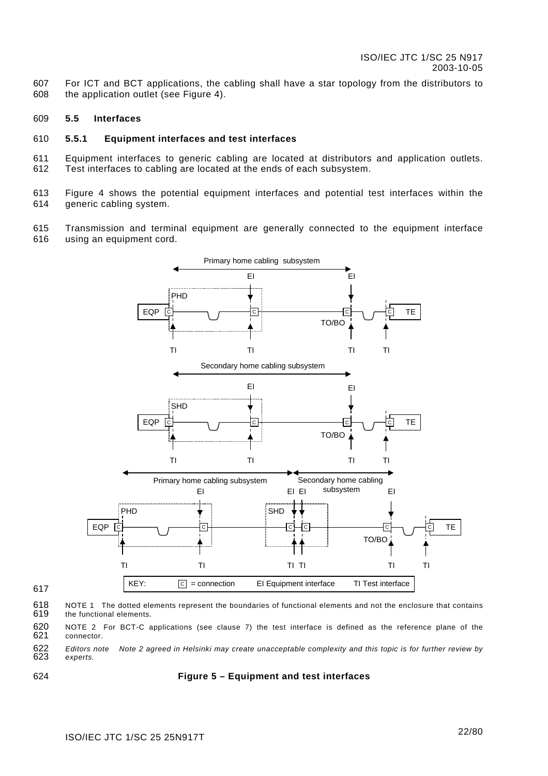<span id="page-22-0"></span>607 608 For ICT and BCT applications, the cabling shall have a star topology from the distributors to the application outlet (see [Figure 4\)](#page-21-2).

#### 609 **5.5 Interfaces**

#### 610 **5.5.1 Equipment interfaces and test interfaces**

611 612 Equipment interfaces to generic cabling are located at distributors and application outlets. Test interfaces to cabling are located at the ends of each subsystem.

613 614 [Figure 4](#page-21-2) shows the potential equipment interfaces and potential test interfaces within the generic cabling system.

615 616 Transmission and terminal equipment are generally connected to the equipment interface using an equipment cord.



- 618 619 NOTE 1 The dotted elements represent the boundaries of functional elements and not the enclosure that contains the functional elements.
- 620 621 NOTE 2 For BCT-C applications (see clause [7\)](#page-35-1) the test interface is defined as the reference plane of the connector.

622 623 *Editors note Note 2 agreed in Helsinki may create unacceptable complexity and this topic is for further review by experts.* 

624

617

### **Figure 5 – Equipment and test interfaces**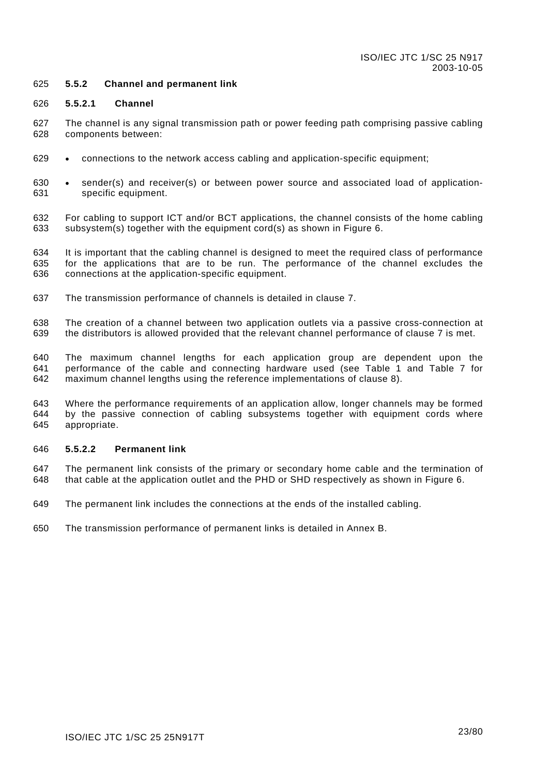#### <span id="page-23-0"></span>625 **5.5.2 Channel and permanent link**

#### 626 **5.5.2.1 Channel**

- 627 628 The channel is any signal transmission path or power feeding path comprising passive cabling components between:
- 629 • connections to the network access cabling and application-specific equipment;
- 630 631 sender(s) and receiver(s) or between power source and associated load of applicationspecific equipment.
- 632 633 For cabling to support ICT and/or BCT applications, the channel consists of the home cabling subsystem(s) together with the equipment cord(s) as shown in [Figure 6.](#page-24-1)

634 635 636 It is important that the cabling channel is designed to meet the required class of performance for the applications that are to be run. The performance of the channel excludes the connections at the application-specific equipment.

637 The transmission performance of channels is detailed in clause [7.](#page-35-1)

638 639 The creation of a channel between two application outlets via a passive cross-connection at the distributors is allowed provided that the relevant channel performance of clause [7](#page-35-1) is met.

640 641 642 The maximum channel lengths for each application group are dependent upon the performance of the cable and connecting hardware used (see [Table 1](#page-28-1) and [Table 7](#page-43-1) for maximum channel lengths using the reference implementations of clause [8\)](#page-42-1).

643 644 645 Where the performance requirements of an application allow, longer channels may be formed by the passive connection of cabling subsystems together with equipment cords where appropriate.

#### 646 **5.5.2.2 Permanent link**

647 648 The permanent link consists of the primary or secondary home cable and the termination of that cable at the application outlet and the PHD or SHD respectively as shown in [Figure 6.](#page-24-1) 

- 649 The permanent link includes the connections at the ends of the installed cabling.
- 650 The transmission performance of permanent links is detailed in [Annex B.](#page-65-1)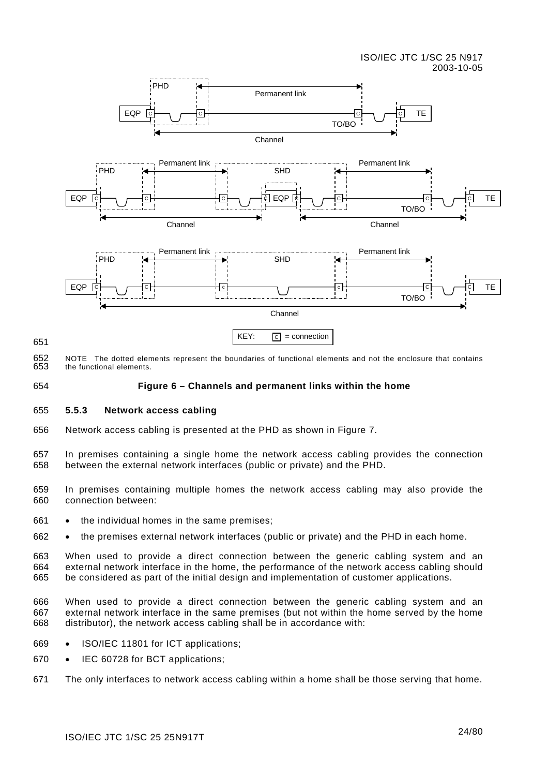### ISO/IEC JTC 1/SC 25 N917 2003-10-05

<span id="page-24-0"></span>

652 653 NOTE The dotted elements represent the boundaries of functional elements and not the enclosure that contains the functional elements.

654

651

# <span id="page-24-2"></span><span id="page-24-1"></span>**Figure 6 – Channels and permanent links within the home**

#### 655 **5.5.3 Network access cabling**

656 Network access cabling is presented at the PHD as shown in [Figure](#page-25-1) 7.

657 658 In premises containing a single home the network access cabling provides the connection between the external network interfaces (public or private) and the PHD.

- 659 660 In premises containing multiple homes the network access cabling may also provide the connection between:
- 661 the individual homes in the same premises;
- 662 the premises external network interfaces (public or private) and the PHD in each home.

663 664 665 When used to provide a direct connection between the generic cabling system and an external network interface in the home, the performance of the network access cabling should be considered as part of the initial design and implementation of customer applications.

666 667 668 When used to provide a direct connection between the generic cabling system and an external network interface in the same premises (but not within the home served by the home distributor), the network access cabling shall be in accordance with:

- 669 ISO/IEC 11801 for ICT applications;
- 670 IEC 60728 for BCT applications;
- 671 The only interfaces to network access cabling within a home shall be those serving that home.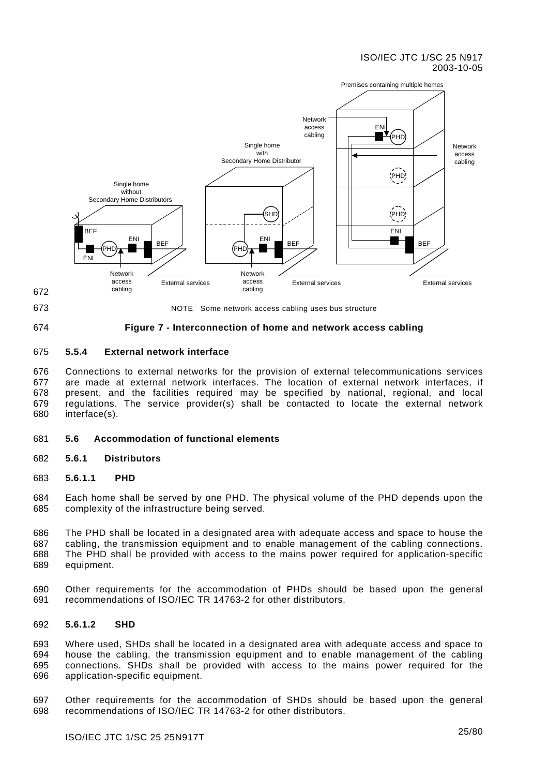### ISO/IEC JTC 1/SC 25 N917 2003-10-05

<span id="page-25-0"></span>

672 673

<span id="page-25-1"></span>NOTE Some network access cabling uses bus structure

#### 674 **Figure 7 - Interconnection of home and network access cabling**

#### <span id="page-25-2"></span>675 **5.5.4 External network interface**

676 677 678 679 680 Connections to external networks for the provision of external telecommunications services are made at external network interfaces. The location of external network interfaces, if present, and the facilities required may be specified by national, regional, and local regulations. The service provider(s) shall be contacted to locate the external network interface(s).

#### 681 **5.6 Accommodation of functional elements**

- 682 **5.6.1 Distributors**
- 683 **5.6.1.1 PHD**

684 685 Each home shall be served by one PHD. The physical volume of the PHD depends upon the complexity of the infrastructure being served.

686 687 688 689 The PHD shall be located in a designated area with adequate access and space to house the cabling, the transmission equipment and to enable management of the cabling connections. The PHD shall be provided with access to the mains power required for application-specific equipment.

690 691 Other requirements for the accommodation of PHDs should be based upon the general recommendations of ISO/IEC TR 14763-2 for other distributors.

#### 692 **5.6.1.2 SHD**

693 694 695 696 Where used, SHDs shall be located in a designated area with adequate access and space to house the cabling, the transmission equipment and to enable management of the cabling connections. SHDs shall be provided with access to the mains power required for the application-specific equipment.

697 698 Other requirements for the accommodation of SHDs should be based upon the general recommendations of ISO/IEC TR 14763-2 for other distributors.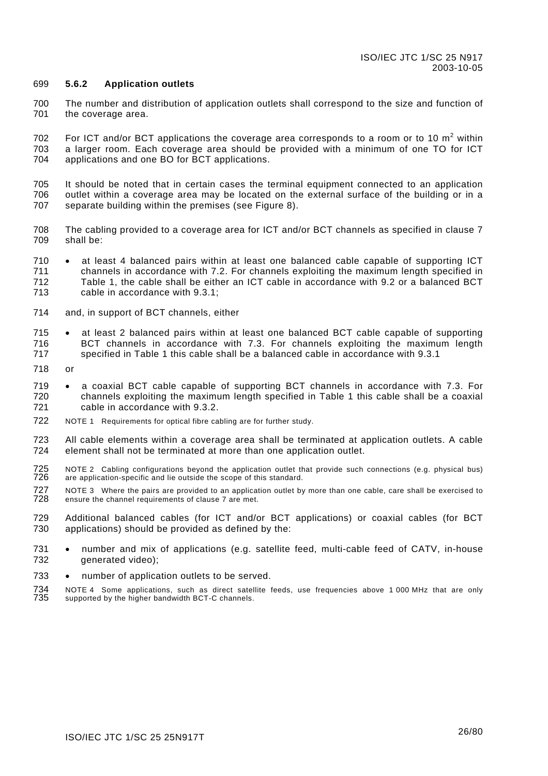#### <span id="page-26-0"></span>699 **5.6.2 Application outlets**

700 701 The number and distribution of application outlets shall correspond to the size and function of the coverage area.

702 703 704 For ICT and/or BCT applications the coverage area corresponds to a room or to 10  $m^2$  within a larger room. Each coverage area should be provided with a minimum of one TO for ICT applications and one BO for BCT applications.

- 705 706 707 It should be noted that in certain cases the terminal equipment connected to an application outlet within a coverage area may be located on the external surface of the building or in a separate building within the premises (see [Figure 8\)](#page-27-2).
- 708 709 The cabling provided to a coverage area for ICT and/or BCT channels as specified in clause [7](#page-35-1)  shall be:
- 710 711 712 713 at least 4 balanced pairs within at least one balanced cable capable of supporting ICT channels in accordance with [7.2.](#page-37-1) For channels exploiting the maximum length specified in [Table 1,](#page-28-1) the cable shall be either an ICT cable in accordance with [9.2 o](#page-46-2)r a balanced BCT cable in accordance with [9.3.1;](#page-48-1)
- 714 and, in support of BCT channels, either
- 715 716 717 at least 2 balanced pairs within at least one balanced BCT cable capable of supporting BCT channels in accordance with [7.3.](#page-37-2) For channels exploiting the maximum length specified in [Table 1](#page-28-1) this cable shall be a balanced cable in accordance with [9.3.1](#page-48-1)
- 718 or
- 719 720 721 a coaxial BCT cable capable of supporting BCT channels in accordance with [7.3.](#page-37-2) For channels exploiting the maximum length specified in [Table 1](#page-28-1) this cable shall be a coaxial cable in accordance with [9.3.2.](#page-49-1)
- 722 NOTE 1 Requirements for optical fibre cabling are for further study.
- 723 724 All cable elements within a coverage area shall be terminated at application outlets. A cable element shall not be terminated at more than one application outlet.
- 725 726 NOTE 2 Cabling configurations beyond the application outlet that provide such connections (e.g. physical bus) are application-specific and lie outside the scope of this standard.
- 727 728 NOTE 3 Where the pairs are provided to an application outlet by more than one cable, care shall be exercised to ensure the channel requirements of clause [7 a](#page-35-1)re met.
- 729 730 Additional balanced cables (for ICT and/or BCT applications) or coaxial cables (for BCT applications) should be provided as defined by the:
- 731 732 number and mix of applications (e.g. satellite feed, multi-cable feed of CATV, in-house generated video);
- 733 number of application outlets to be served.
- 734 735 NOTE 4 Some applications, such as direct satellite feeds, use frequencies above 1 000 MHz that are only supported by the higher bandwidth BCT-C channels.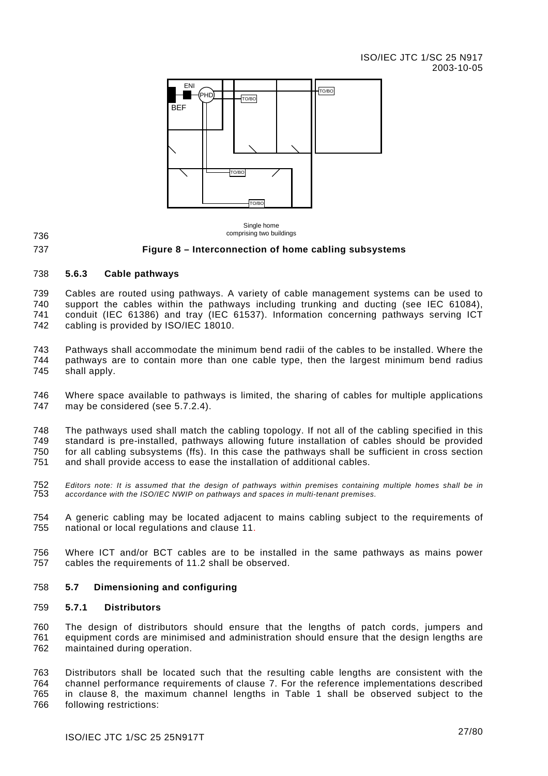<span id="page-27-0"></span>

Single home comprising two buildings

736 737

### <span id="page-27-2"></span>**Figure 8 – Interconnection of home cabling subsystems**

#### 738 **5.6.3 Cable pathways**

739 740 741 742 Cables are routed using pathways. A variety of cable management systems can be used to support the cables within the pathways including trunking and ducting (see IEC 61084), conduit (IEC 61386) and tray (IEC 61537). Information concerning pathways serving ICT cabling is provided by ISO/IEC 18010.

743 744 745 Pathways shall accommodate the minimum bend radii of the cables to be installed. Where the pathways are to contain more than one cable type, then the largest minimum bend radius shall apply.

746 747 Where space available to pathways is limited, the sharing of cables for multiple applications may be considered (see [5.7.2.4\)](#page-29-2).

748 749 750 751 The pathways used shall match the cabling topology. If not all of the cabling specified in this standard is pre-installed, pathways allowing future installation of cables should be provided for all cabling subsystems (ffs). In this case the pathways shall be sufficient in cross section and shall provide access to ease the installation of additional cables.

752 753 *Editors note: It is assumed that the design of pathways within premises containing multiple homes shall be in accordance with the ISO/IEC NWIP on pathways and spaces in multi-tenant premises.* 

754 755 A generic cabling may be located adjacent to mains cabling subject to the requirements of national or local regulations and clause [11.](#page-62-1)

756 757 Where ICT and/or BCT cables are to be installed in the same pathways as mains power cables the requirements of [11.2](#page-62-2) shall be observed.

#### <span id="page-27-1"></span>758 **5.7 Dimensioning and configuring**

#### 759 **5.7.1 Distributors**

760 761 762 The design of distributors should ensure that the lengths of patch cords, jumpers and equipment cords are minimised and administration should ensure that the design lengths are maintained during operation.

763 764 765 766 Distributors shall be located such that the resulting cable lengths are consistent with the channel performance requirements of clause [7.](#page-35-1) For the reference implementations described in clause [8,](#page-42-1) the maximum channel lengths in [Table](#page-28-1) 1 shall be observed subject to the following restrictions: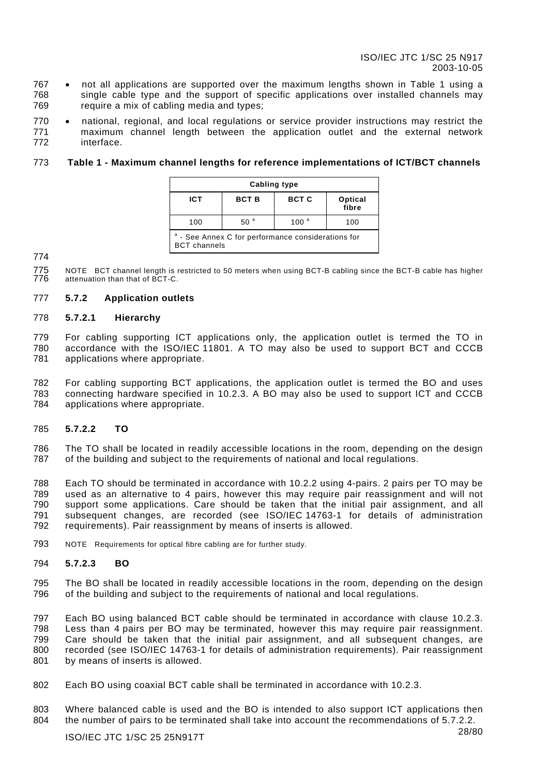- <span id="page-28-0"></span>767 • 768 769 not all applications are supported over the maximum lengths shown in [Table 1](#page-28-1) using a single cable type and the support of specific applications over installed channels may require a mix of cabling media and types;
- 770 771 772 national, regional, and local regulations or service provider instructions may restrict the maximum channel length between the application outlet and the external network interface.

#### <span id="page-28-1"></span>773 **Table 1 - Maximum channel lengths for reference implementations of ICT/BCT channels**

| Cabling type                                                                         |              |                  |  |  |  |  |
|--------------------------------------------------------------------------------------|--------------|------------------|--|--|--|--|
| <b>ICT</b>                                                                           | <b>BCT C</b> | Optical<br>fibre |  |  |  |  |
| 50 <sup>a</sup><br>100 <sup>a</sup><br>100<br>100                                    |              |                  |  |  |  |  |
| <sup>a</sup> - See Annex C for performance considerations for<br><b>BCT</b> channels |              |                  |  |  |  |  |

### 774

775 776 NOTE BCT channel length is restricted to 50 meters when using BCT-B cabling since the BCT-B cable has higher attenuation than that of BCT-C.

#### 777 **5.7.2 Application outlets**

#### 778 **5.7.2.1 Hierarchy**

779 780 781 For cabling supporting ICT applications only, the application outlet is termed the TO in accordance with the ISO/IEC 11801. A TO may also be used to support BCT and CCCB applications where appropriate.

782 783 784 For cabling supporting BCT applications, the application outlet is termed the BO and uses connecting hardware specified in [10.2.3.](#page-55-1) A BO may also be used to support ICT and CCCB applications where appropriate.

#### <span id="page-28-2"></span>785 **5.7.2.2 TO**

786 787 The TO shall be located in readily accessible locations in the room, depending on the design of the building and subject to the requirements of national and local regulations.

788 789 790 791 792 Each TO should be terminated in accordance with [10.2.2 u](#page-55-2)sing 4-pairs. 2 pairs per TO may be used as an alternative to 4 pairs, however this may require pair reassignment and will not support some applications. Care should be taken that the initial pair assignment, and all subsequent changes, are recorded (see ISO/IEC 14763-1 for details of administration requirements). Pair reassignment by means of inserts is allowed.

793 NOTE Requirements for optical fibre cabling are for further study.

#### 794 **5.7.2.3 BO**

795 796 The BO shall be located in readily accessible locations in the room, depending on the design of the building and subject to the requirements of national and local regulations.

797 798 799 800 801 Each BO using balanced BCT cable should be terminated in accordance with clause [10.2.3.](#page-55-1) Less than 4 pairs per BO may be terminated, however this may require pair reassignment. Care should be taken that the initial pair assignment, and all subsequent changes, are recorded (see ISO/IEC 14763-1 for details of administration requirements). Pair reassignment by means of inserts is allowed.

- 802 Each BO using coaxial BCT cable shall be terminated in accordance with [10.2.3.](#page-55-1)
- 803 804 Where balanced cable is used and the BO is intended to also support ICT applications then the number of pairs to be terminated shall take into account the recommendations of [5.7.2.2.](#page-28-2)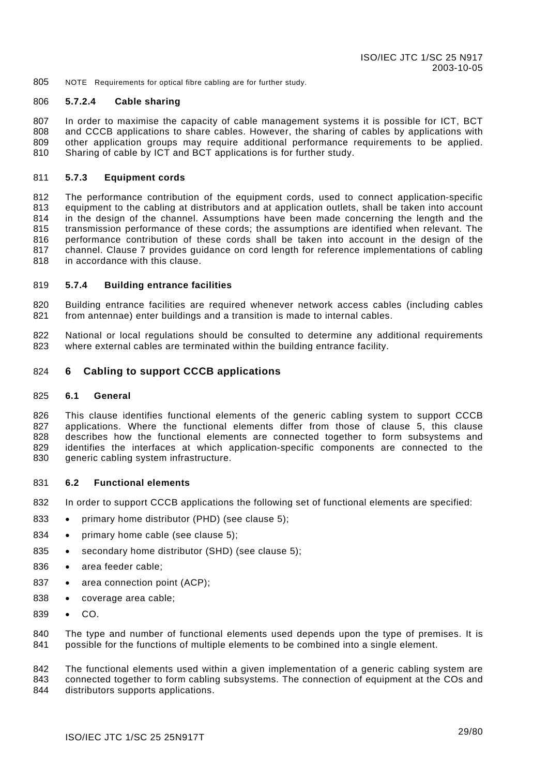<span id="page-29-0"></span>805 NOTE Requirements for optical fibre cabling are for further study.

#### <span id="page-29-2"></span>806 **5.7.2.4 Cable sharing**

807 808 809 810 In order to maximise the capacity of cable management systems it is possible for ICT, BCT and CCCB applications to share cables. However, the sharing of cables by applications with other application groups may require additional performance requirements to be applied. Sharing of cable by ICT and BCT applications is for further study.

#### <span id="page-29-3"></span>811 **5.7.3 Equipment cords**

812 813 814 815 816 817 818 The performance contribution of the equipment cords, used to connect application-specific equipment to the cabling at distributors and at application outlets, shall be taken into account in the design of the channel. Assumptions have been made concerning the length and the transmission performance of these cords; the assumptions are identified when relevant. The performance contribution of these cords shall be taken into account in the design of the channel. Clause [7](#page-35-1) provides guidance on cord length for reference implementations of cabling in accordance with this clause.

#### <span id="page-29-4"></span>819 **5.7.4 Building entrance facilities**

820 821 Building entrance facilities are required whenever network access cables (including cables from antennae) enter buildings and a transition is made to internal cables.

822 823 National or local regulations should be consulted to determine any additional requirements where external cables are terminated within the building entrance facility.

#### <span id="page-29-1"></span>824 **6 Cabling to support CCCB applications**

#### 825 **6.1 General**

826 827 828 829 830 This clause identifies functional elements of the generic cabling system to support CCCB applications. Where the functional elements differ from those of clause [5,](#page-18-1) this clause describes how the functional elements are connected together to form subsystems and identifies the interfaces at which application-specific components are connected to the generic cabling system infrastructure.

#### 831 **6.2 Functional elements**

- 832 In order to support CCCB applications the following set of functional elements are specified:
- 833 primary home distributor (PHD) (see clause [5\)](#page-18-1);
- 834 primary home cable (see clause [5\)](#page-18-1);
- 835 secondary home distributor (SHD) (see clause [5\)](#page-18-1);
- 836 area feeder cable;
- 837 area connection point (ACP);
- 838 coverage area cable;
- 839 CO.

840 841 The type and number of functional elements used depends upon the type of premises. It is possible for the functions of multiple elements to be combined into a single element.

842 843 844 The functional elements used within a given implementation of a generic cabling system are connected together to form cabling subsystems. The connection of equipment at the COs and distributors supports applications.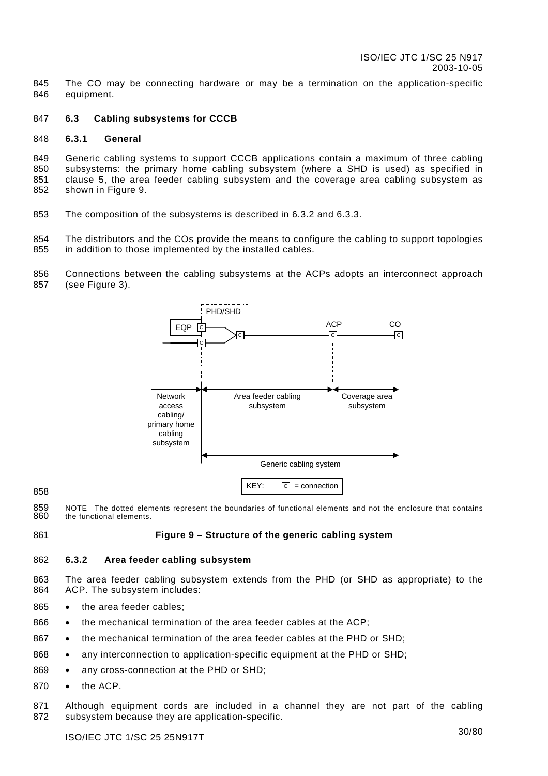<span id="page-30-0"></span>845 846 The CO may be connecting hardware or may be a termination on the application-specific equipment.

#### 847 **6.3 Cabling subsystems for CCCB**

#### 848 **6.3.1 General**

849 850 851 852 Generic cabling systems to support CCCB applications contain a maximum of three cabling subsystems: the primary home cabling subsystem (where a SHD is used) as specified in clause [5,](#page-18-1) the area feeder cabling subsystem and the coverage area cabling subsystem as shown in [Figure](#page-30-1) 9.

853 The composition of the subsystems is described in [6.3.2](#page-30-2) and [6.3.3.](#page-31-1)

854 855 The distributors and the COs provide the means to configure the cabling to support topologies in addition to those implemented by the installed cables.

856 Connections between the cabling subsystems at the ACPs adopts an interconnect approach





859 860 NOTE The dotted elements represent the boundaries of functional elements and not the enclosure that contains the functional elements.

861

858

<span id="page-30-2"></span><span id="page-30-1"></span>**Figure 9 – Structure of the generic cabling system** 

#### 862 **6.3.2 Area feeder cabling subsystem**

863 864 The area feeder cabling subsystem extends from the PHD (or SHD as appropriate) to the ACP. The subsystem includes:

- 865 the area feeder cables;
- 866 the mechanical termination of the area feeder cables at the ACP;
- 867 the mechanical termination of the area feeder cables at the PHD or SHD;
- 868 any interconnection to application-specific equipment at the PHD or SHD;
- 869 any cross-connection at the PHD or SHD;
- 870 the ACP.

871 872 Although equipment cords are included in a channel they are not part of the cabling subsystem because they are application-specific.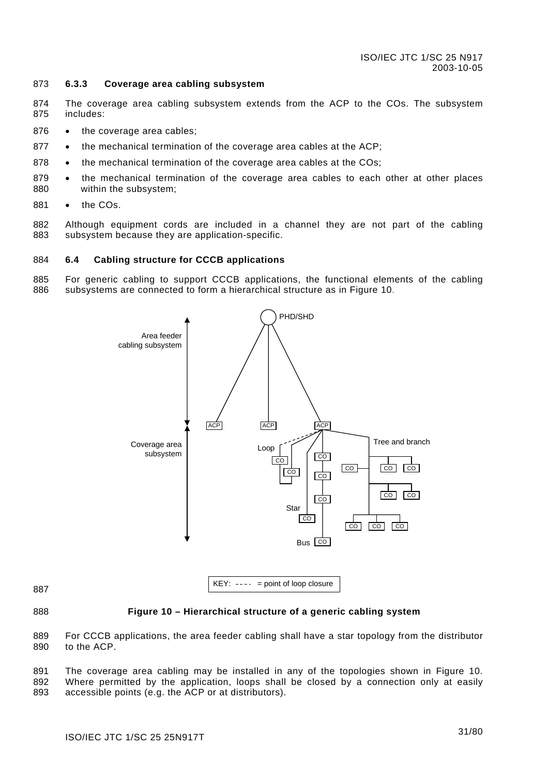#### <span id="page-31-1"></span><span id="page-31-0"></span>873 **6.3.3 Coverage area cabling subsystem**

- 874 875 The coverage area cabling subsystem extends from the ACP to the COs. The subsystem includes:
- 876 the coverage area cables;
- 877 the mechanical termination of the coverage area cables at the ACP;
- 878 the mechanical termination of the coverage area cables at the COs;
- 879 880 the mechanical termination of the coverage area cables to each other at other places within the subsystem;
- 881 the COs.
- 882 883 Although equipment cords are included in a channel they are not part of the cabling subsystem because they are application-specific.

#### 884 **6.4 Cabling structure for CCCB applications**

885 886 For generic cabling to support CCCB applications, the functional elements of the cabling subsystems are connected to form a hierarchical structure as in [Figure](#page-31-2) 10.



888

# <span id="page-31-2"></span>**Figure 10 – Hierarchical structure of a generic cabling system**

889 890 For CCCB applications, the area feeder cabling shall have a star topology from the distributor to the ACP.

891 892 893 The coverage area cabling may be installed in any of the topologies shown in [Figure 10.](#page-31-2) Where permitted by the application, loops shall be closed by a connection only at easily accessible points (e.g. the ACP or at distributors).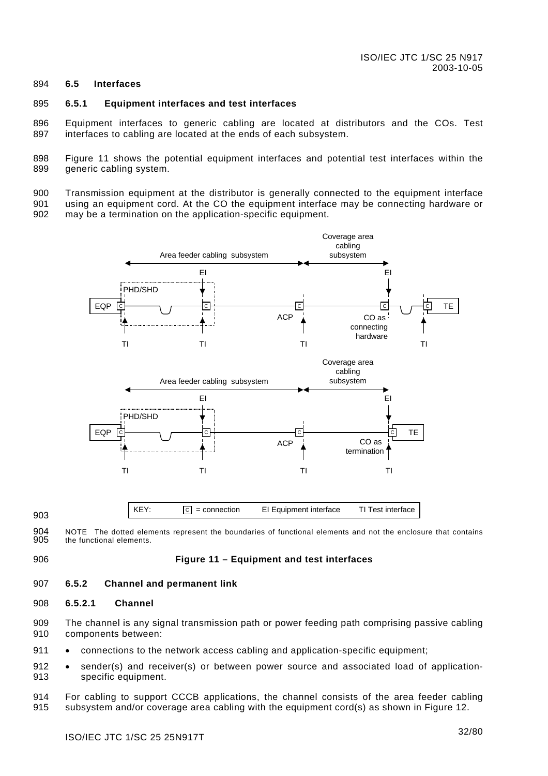#### <span id="page-32-0"></span>894 **6.5 Interfaces**

#### 895 **6.5.1 Equipment interfaces and test interfaces**

896 897 Equipment interfaces to generic cabling are located at distributors and the COs. Test interfaces to cabling are located at the ends of each subsystem.

898 899 [Figure 11](#page-32-1) shows the potential equipment interfaces and potential test interfaces within the generic cabling system.

900 901 902 Transmission equipment at the distributor is generally connected to the equipment interface using an equipment cord. At the CO the equipment interface may be connecting hardware or may be a termination on the application-specific equipment.



904 905 NOTE The dotted elements represent the boundaries of functional elements and not the enclosure that contains the functional elements.

906

903

# <span id="page-32-1"></span>**Figure 11 – Equipment and test interfaces**

#### 907 **6.5.2 Channel and permanent link**

#### 908 **6.5.2.1 Channel**

- 909 910 The channel is any signal transmission path or power feeding path comprising passive cabling components between:
- 911 connections to the network access cabling and application-specific equipment;
- 912 913 sender(s) and receiver(s) or between power source and associated load of applicationspecific equipment.
- 914 915 For cabling to support CCCB applications, the channel consists of the area feeder cabling subsystem and/or coverage area cabling with the equipment cord(s) as shown in [Figure](#page-33-1) 12.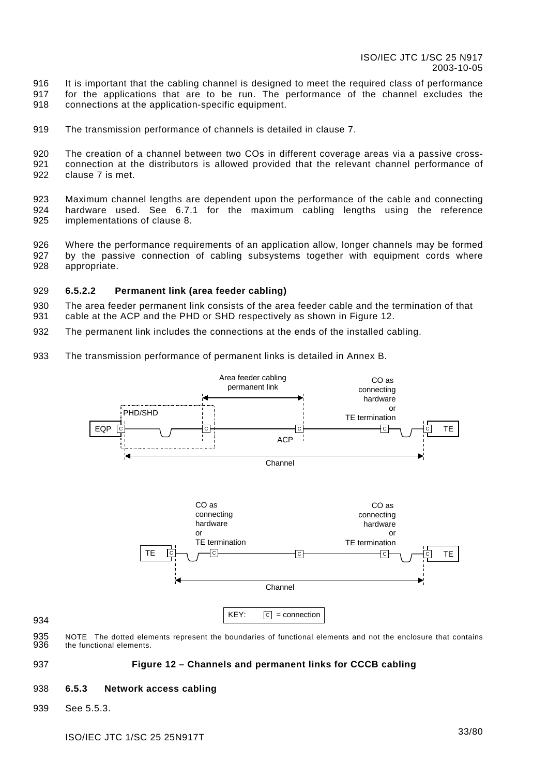<span id="page-33-0"></span>916 917 918 It is important that the cabling channel is designed to meet the required class of performance for the applications that are to be run. The performance of the channel excludes the connections at the application-specific equipment.

919 The transmission performance of channels is detailed in clause [7.](#page-35-1)

920 921 922 The creation of a channel between two COs in different coverage areas via a passive crossconnection at the distributors is allowed provided that the relevant channel performance of clause [7](#page-35-1) is met.

923 924 925 Maximum channel lengths are dependent upon the performance of the cable and connecting hardware used. See [6.7.1](#page-34-1) for the maximum cabling lengths using the reference implementations of clause [8.](#page-42-1)

926 927 928 Where the performance requirements of an application allow, longer channels may be formed by the passive connection of cabling subsystems together with equipment cords where appropriate.

#### 929 **6.5.2.2 Permanent link (area feeder cabling)**

930 931 The area feeder permanent link consists of the area feeder cable and the termination of that cable at the ACP and the PHD or SHD respectively as shown in [Figure](#page-33-1) 12.

- 932 The permanent link includes the connections at the ends of the installed cabling.
- 933 The transmission performance of permanent links is detailed in [Annex B.](#page-65-1)



935 936 NOTE The dotted elements represent the boundaries of functional elements and not the enclosure that contains the functional elements.

#### <span id="page-33-1"></span>937 **Figure 12 – Channels and permanent links for CCCB cabling**

#### 938 **6.5.3 Network access cabling**

939 See [5.5.3.](#page-24-2)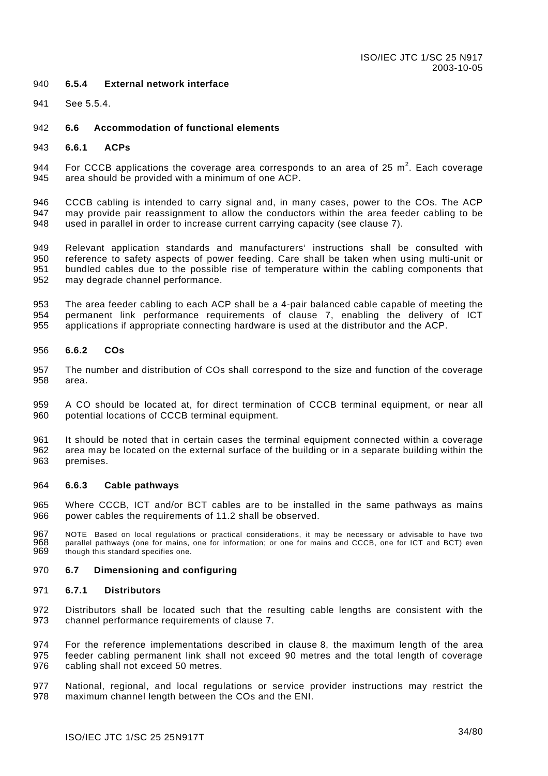#### <span id="page-34-0"></span>940 **6.5.4 External network interface**

941 See [5.5.4.](#page-25-2)

#### 942 **6.6 Accommodation of functional elements**

943 **6.6.1 ACPs** 

944 945 For CCCB applications the coverage area corresponds to an area of 25  $m^2$ . Each coverage area should be provided with a minimum of one ACP.

946 947 948 CCCB cabling is intended to carry signal and, in many cases, power to the COs. The ACP may provide pair reassignment to allow the conductors within the area feeder cabling to be used in parallel in order to increase current carrying capacity (see clause [7\).](#page-35-1)

949 950 951 952 Relevant application standards and manufacturers' instructions shall be consulted with reference to safety aspects of power feeding. Care shall be taken when using multi-unit or bundled cables due to the possible rise of temperature within the cabling components that may degrade channel performance.

953 954 955 The area feeder cabling to each ACP shall be a 4-pair balanced cable capable of meeting the permanent link performance requirements of clause [7,](#page-35-1) enabling the delivery of ICT applications if appropriate connecting hardware is used at the distributor and the ACP.

#### 956 **6.6.2 COs**

957 958 The number and distribution of COs shall correspond to the size and function of the coverage area.

959 960 A CO should be located at, for direct termination of CCCB terminal equipment, or near all potential locations of CCCB terminal equipment.

961 962 963 It should be noted that in certain cases the terminal equipment connected within a coverage area may be located on the external surface of the building or in a separate building within the premises.

#### 964 **6.6.3 Cable pathways**

965 966 Where CCCB, ICT and/or BCT cables are to be installed in the same pathways as mains power cables the requirements of [11.2 s](#page-62-2)hall be observed.

967 968 969 NOTE Based on local regulations or practical considerations, it may be necessary or advisable to have two parallel pathways (one for mains, one for information; or one for mains and CCCB, one for ICT and BCT) even though this standard specifies one.

#### 970 **6.7 Dimensioning and configuring**

#### <span id="page-34-1"></span>971 **6.7.1 Distributors**

972 973 Distributors shall be located such that the resulting cable lengths are consistent with the channel performance requirements of clause [7.](#page-35-1) 

974 975 976 For the reference implementations described in clause [8,](#page-42-1) the maximum length of the area feeder cabling permanent link shall not exceed 90 metres and the total length of coverage cabling shall not exceed 50 metres.

977 978 National, regional, and local regulations or service provider instructions may restrict the maximum channel length between the COs and the ENI.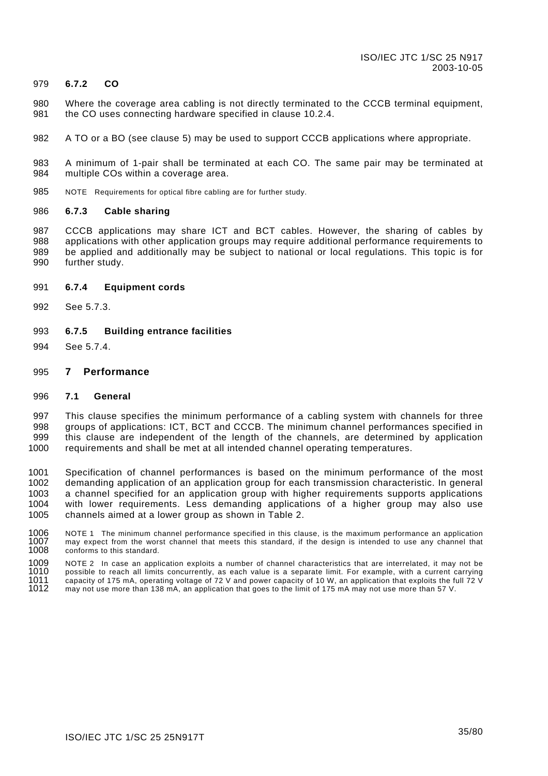#### <span id="page-35-0"></span>979 **6.7.2 CO**

- 980 981 Where the coverage area cabling is not directly terminated to the CCCB terminal equipment, the CO uses connecting hardware specified in clause [10.2.4.](#page-56-1)
- 982 A TO or a BO (see clause [5\)](#page-18-1) may be used to support CCCB applications where appropriate.

983 984 A minimum of 1-pair shall be terminated at each CO. The same pair may be terminated at multiple COs within a coverage area.

985 NOTE Requirements for optical fibre cabling are for further study.

#### 986 **6.7.3 Cable sharing**

987 988 989 990 CCCB applications may share ICT and BCT cables. However, the sharing of cables by applications with other application groups may require additional performance requirements to be applied and additionally may be subject to national or local regulations. This topic is for further study.

#### 991 **6.7.4 Equipment cords**

- 992 See [5.7.3.](#page-29-3)
- 993 **6.7.5 Building entrance facilities**
- 994 See [5.7.4.](#page-29-4)

#### <span id="page-35-1"></span>995 **7 Performance**

#### 996 **7.1 General**

997 998 999 1000 This clause specifies the minimum performance of a cabling system with channels for three groups of applications: ICT, BCT and CCCB. The minimum channel performances specified in this clause are independent of the length of the channels, are determined by application requirements and shall be met at all intended channel operating temperatures.

1001 1002 1003 1004 1005 Specification of channel performances is based on the minimum performance of the most demanding application of an application group for each transmission characteristic. In general a channel specified for an application group with higher requirements supports applications with lower requirements. Less demanding applications of a higher group may also use channels aimed at a lower group as shown in [Table 2.](#page-36-1) 

1006 1007 1008 NOTE 1 The minimum channel performance specified in this clause, is the maximum performance an application may expect from the worst channel that meets this standard, if the design is intended to use any channel that conforms to this standard.

1009 1010 1011 1012 NOTE 2 In case an application exploits a number of channel characteristics that are interrelated, it may not be possible to reach all limits concurrently, as each value is a separate limit. For example, with a current carrying capacity of 175 mA, operating voltage of 72 V and power capacity of 10 W, an application that exploits the full 72 V may not use more than 138 mA, an application that goes to the limit of 175 mA may not use more than 57 V.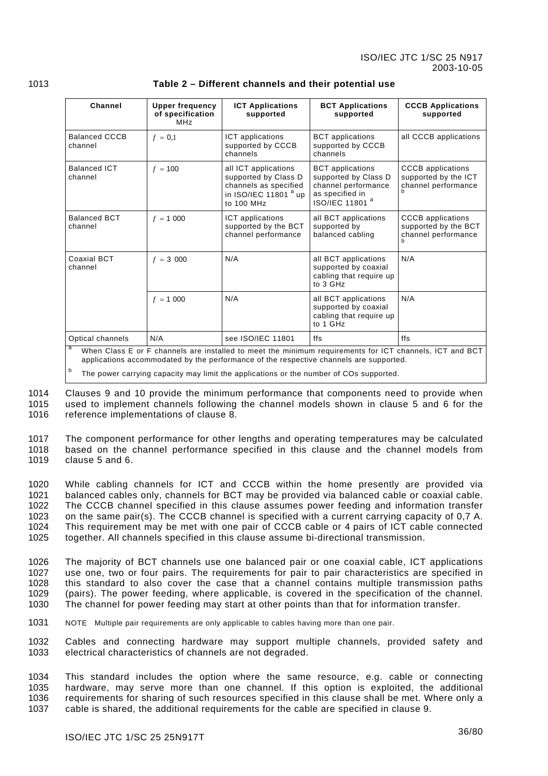| Channel                                                    | <b>Upper frequency</b><br>of specification<br><b>MHz</b> | <b>ICT Applications</b><br>supported                                                                                    | <b>BCT Applications</b><br>supported                                                                                                                                                              | <b>CCCB Applications</b><br>supported                                   |  |  |
|------------------------------------------------------------|----------------------------------------------------------|-------------------------------------------------------------------------------------------------------------------------|---------------------------------------------------------------------------------------------------------------------------------------------------------------------------------------------------|-------------------------------------------------------------------------|--|--|
| <b>Balanced CCCB</b><br>channel                            | $f = 0.1$                                                | ICT applications<br>supported by CCCB<br>channels                                                                       | <b>BCT</b> applications<br>supported by CCCB<br>channels                                                                                                                                          | all CCCB applications                                                   |  |  |
| <b>Balanced ICT</b><br>channel                             | $f = 100$                                                | all ICT applications<br>supported by Class D<br>channels as specified<br>in ISO/IEC 11801 <sup>a</sup> up<br>to 100 MHz | <b>BCT</b> applications<br>supported by Class D<br>channel performance<br>as specified in<br>ISO/IEC 11801 <sup>a</sup>                                                                           | <b>CCCB</b> applications<br>supported by the ICT<br>channel performance |  |  |
| <b>Balanced BCT</b><br>channel                             | $f = 1000$                                               | ICT applications<br>supported by the BCT<br>channel performance                                                         | all BCT applications<br>supported by<br>balanced cabling                                                                                                                                          | <b>CCCB</b> applications<br>supported by the BCT<br>channel performance |  |  |
| <b>Coaxial BCT</b><br>channel                              | $f = 3000$                                               | N/A                                                                                                                     | all BCT applications<br>supported by coaxial<br>cabling that require up<br>to 3 GHz                                                                                                               | N/A                                                                     |  |  |
|                                                            | $f = 1000$                                               | N/A                                                                                                                     | all BCT applications<br>supported by coaxial<br>cabling that require up<br>to 1 GHz                                                                                                               | N/A                                                                     |  |  |
| see ISO/IEC 11801<br>Optical channels<br>N/A<br>ffs<br>ffs |                                                          |                                                                                                                         |                                                                                                                                                                                                   |                                                                         |  |  |
|                                                            |                                                          |                                                                                                                         | When Class E or F channels are installed to meet the minimum requirements for ICT channels, ICT and BCT<br>applications accommodated by the performance of the respective channels are supported. |                                                                         |  |  |

### 1013 **Table 2 – Different channels and their potential use**

The power carrying capacity may limit the applications or the number of COs supported.

1014 1015 1016 Clauses [9](#page-46-0) and [10](#page-53-0) provide the minimum performance that components need to provide when used to implement channels following the channel models shown in clause [5](#page-18-0) and [6](#page-29-0) for the reference implementations of clause [8.](#page-42-0)

1017 1018 1019 The component performance for other lengths and operating temperatures may be calculated based on the channel performance specified in this clause and the channel models from clause [5](#page-18-0) and [6.](#page-29-0)

1020 1021 1022 1023 1024 1025 While cabling channels for ICT and CCCB within the home presently are provided via balanced cables only, channels for BCT may be provided via balanced cable or coaxial cable. The CCCB channel specified in this clause assumes power feeding and information transfer on the same pair(s). The CCCB channel is specified with a current carrying capacity of 0,7 A. This requirement may be met with one pair of CCCB cable or 4 pairs of ICT cable connected together. All channels specified in this clause assume bi-directional transmission.

1026 1027 1028 1029 1030 The majority of BCT channels use one balanced pair or one coaxial cable, ICT applications use one, two or four pairs. The requirements for pair to pair characteristics are specified in this standard to also cover the case that a channel contains multiple transmission paths (pairs). The power feeding, where applicable, is covered in the specification of the channel. The channel for power feeding may start at other points than that for information transfer.

1031 NOTE Multiple pair requirements are only applicable to cables having more than one pair.

1032 1033 Cables and connecting hardware may support multiple channels, provided safety and electrical characteristics of channels are not degraded.

1034 1035 1036 1037 This standard includes the option where the same resource, e.g. cable or connecting hardware, may serve more than one channel. If this option is exploited, the additional requirements for sharing of such resources specified in this clause shall be met. Where only a cable is shared, the additional requirements for the cable are specified in clause [9.](#page-46-0)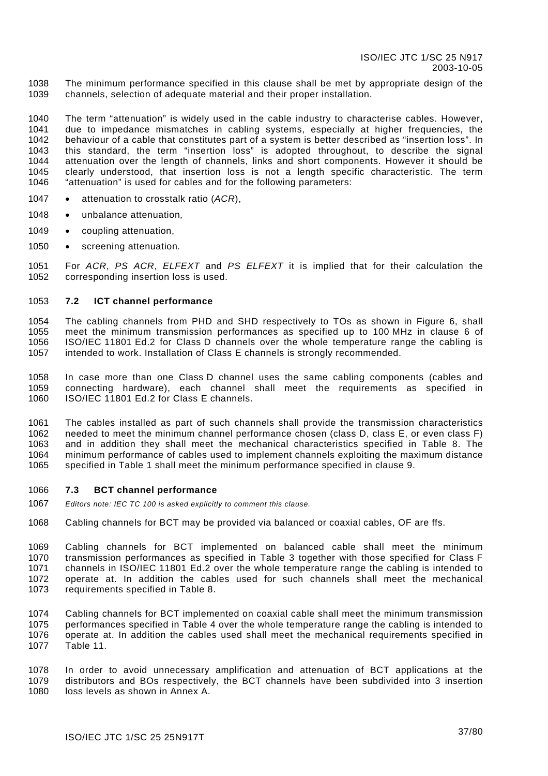1038 1039 The minimum performance specified in this clause shall be met by appropriate design of the channels, selection of adequate material and their proper installation.

1040 1041 1042 1043 1044 1045 1046 The term "attenuation" is widely used in the cable industry to characterise cables. However, due to impedance mismatches in cabling systems, especially at higher frequencies, the behaviour of a cable that constitutes part of a system is better described as "insertion loss". In this standard, the term "insertion loss" is adopted throughout, to describe the signal attenuation over the length of channels, links and short components. However it should be clearly understood, that insertion loss is not a length specific characteristic. The term "attenuation" is used for cables and for the following parameters:

- 1047 attenuation to crosstalk ratio (*ACR*),
- 1048 unbalance attenuation*,*
- 1049 coupling attenuation,
- 1050 screening attenuation*.*

1051 1052 For *ACR*, *PS ACR*, *ELFEXT* and *PS ELFEXT* it is implied that for their calculation the corresponding insertion loss is used.

#### 1053 **7.2 ICT channel performance**

1054 1055 1056 1057 The cabling channels from PHD and SHD respectively to TOs as shown in [Figure 6,](#page-24-0) shall meet the minimum transmission performances as specified up to 100 MHz in clause 6 of ISO/IEC 11801 Ed.2 for Class D channels over the whole temperature range the cabling is intended to work. Installation of Class E channels is strongly recommended.

1058 1059 1060 In case more than one Class D channel uses the same cabling components (cables and connecting hardware), each channel shall meet the requirements as specified in ISO/IEC 11801 Ed.2 for Class E channels.

1061 1062 1063 1064 1065 The cables installed as part of such channels shall provide the transmission characteristics needed to meet the minimum channel performance chosen (class D, class E, or even class F) and in addition they shall meet the mechanical characteristics specified in [Table 8.](#page-47-0) The minimum performance of cables used to implement channels exploiting the maximum distance specified in [Table 1](#page-28-0) shall meet the minimum performance specified in clause [9.](#page-46-0)

#### 1066 **7.3 BCT channel performance**

- 1067 *Editors note: IEC TC 100 is asked explicitly to comment this clause.*
- 1068 Cabling channels for BCT may be provided via balanced or coaxial cables, OF are ffs.

1069 1070 1071 1072 1073 Cabling channels for BCT implemented on balanced cable shall meet the minimum transmission performances as specified in [Table 3](#page-38-0) together with those specified for Class F channels in ISO/IEC 11801 Ed.2 over the whole temperature range the cabling is intended to operate at. In addition the cables used for such channels shall meet the mechanical requirements specified in [Table 8.](#page-47-0)

1074 1075 1076 1077 Cabling channels for BCT implemented on coaxial cable shall meet the minimum transmission performances specified in [Table 4](#page-39-0) over the whole temperature range the cabling is intended to operate at. In addition the cables used shall meet the mechanical requirements specified in [Table 11.](#page-50-0)

1078 1079 1080 In order to avoid unnecessary amplification and attenuation of BCT applications at the distributors and BOs respectively, the BCT channels have been subdivided into 3 insertion loss levels as shown in [Annex A.](#page-64-0)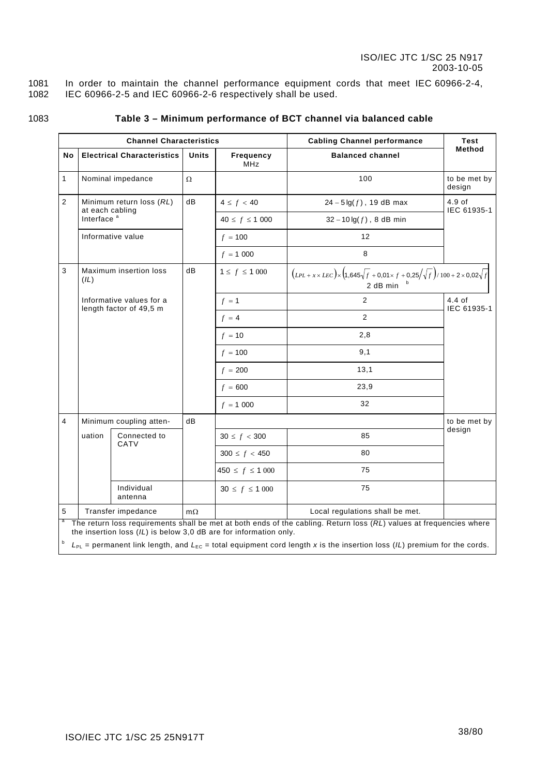1081 1082 In order to maintain the channel performance equipment cords that meet IEC 60966-2-4, IEC 60966-2-5 and IEC 60966-2-6 respectively shall be used.

1083

# <span id="page-38-0"></span>**Table 3 – Minimum performance of BCT channel via balanced cable**

|                |                                                                                                                                                                                          | <b>Channel Characteristics</b>    |           |                         | <b>Cabling Channel performance</b>                                                                                    | <b>Test</b>             |
|----------------|------------------------------------------------------------------------------------------------------------------------------------------------------------------------------------------|-----------------------------------|-----------|-------------------------|-----------------------------------------------------------------------------------------------------------------------|-------------------------|
| No             |                                                                                                                                                                                          | <b>Electrical Characteristics</b> | Units     | Frequency<br><b>MHz</b> | <b>Balanced channel</b>                                                                                               | Method                  |
| 1              |                                                                                                                                                                                          | Nominal impedance                 | Ω         |                         | 100                                                                                                                   | to be met by<br>design  |
| $\overline{2}$ | at each cabling                                                                                                                                                                          | Minimum return loss (RL)          | dB        | $4 \le f < 40$          | $24 - 5 \lg(f)$ , 19 dB max                                                                                           | $4.9$ of<br>IEC 61935-1 |
|                | Interface <sup>a</sup>                                                                                                                                                                   |                                   |           | $40 \le f \le 1000$     | $32 - 10 \lg(f)$ , 8 dB min                                                                                           |                         |
|                |                                                                                                                                                                                          | Informative value                 |           | $f = 100$               | 12                                                                                                                    |                         |
|                |                                                                                                                                                                                          |                                   |           | $f = 1000$              | 8                                                                                                                     |                         |
| 3              | (IL)                                                                                                                                                                                     | <b>Maximum insertion loss</b>     | dB        | $1 \le f \le 1000$      | $(LPL + x \times LEC) \times (1,645\sqrt{f} + 0,01 \times f + 0,25/\sqrt{f})/100 + 2 \times 0,02\sqrt{f}$<br>2 dB min |                         |
|                | Informative values for a                                                                                                                                                                 |                                   |           | $f = 1$                 | 2                                                                                                                     | $4.4$ of<br>IEC 61935-1 |
|                | length factor of 49,5 m                                                                                                                                                                  |                                   |           | $f = 4$                 | 2                                                                                                                     |                         |
|                |                                                                                                                                                                                          |                                   |           | $f = 10$                | 2,8                                                                                                                   |                         |
|                |                                                                                                                                                                                          |                                   |           | $f = 100$               | 9,1                                                                                                                   |                         |
|                |                                                                                                                                                                                          |                                   |           | $f = 200$               | 13,1                                                                                                                  |                         |
|                |                                                                                                                                                                                          |                                   |           | $f = 600$               | 23,9                                                                                                                  |                         |
|                |                                                                                                                                                                                          |                                   |           | $f = 1000$              | 32                                                                                                                    |                         |
| $\overline{4}$ |                                                                                                                                                                                          | Minimum coupling atten-           | dB        |                         |                                                                                                                       | to be met by            |
|                | uation                                                                                                                                                                                   | Connected to<br>CATV              |           | $30 \le f < 300$        | 85                                                                                                                    | design                  |
|                |                                                                                                                                                                                          |                                   |           | $300 \le f < 450$       | 80                                                                                                                    |                         |
|                |                                                                                                                                                                                          |                                   |           | $450 \le f \le 1000$    | 75                                                                                                                    |                         |
|                |                                                                                                                                                                                          | Individual<br>antenna             |           | $30 \le f \le 1000$     | 75                                                                                                                    |                         |
| 5              |                                                                                                                                                                                          | Transfer impedance                | $m\Omega$ |                         | Local regulations shall be met.                                                                                       |                         |
| a              | The return loss requirements shall be met at both ends of the cabling. Return loss (RL) values at frequencies where<br>the insertion loss (IL) is below 3.0 dB are for information only. |                                   |           |                         |                                                                                                                       |                         |
|                | $L_{PL}$ = permanent link length, and $L_{EC}$ = total equipment cord length x is the insertion loss (IL) premium for the cords.                                                         |                                   |           |                         |                                                                                                                       |                         |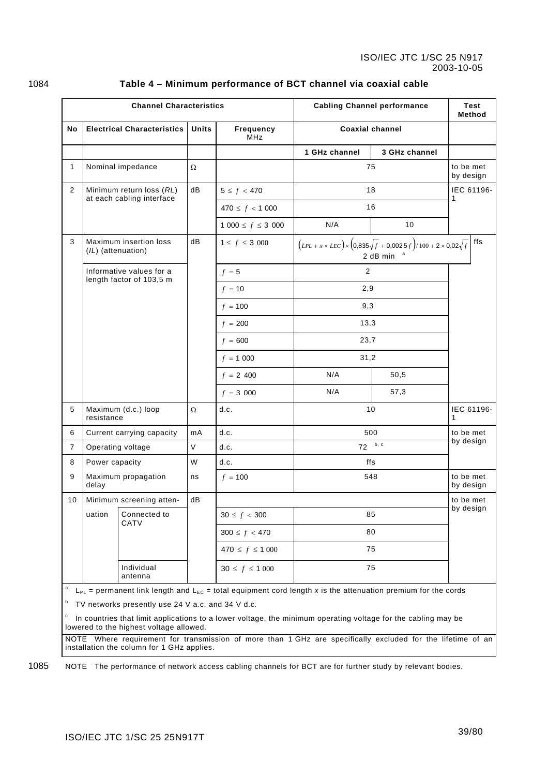<span id="page-39-0"></span>

| <b>Channel Characteristics</b> |                    |                                                       |        |                                | <b>Cabling Channel performance</b>                                                                                                                                                                                                                  |               |                        | Test<br>Method |
|--------------------------------|--------------------|-------------------------------------------------------|--------|--------------------------------|-----------------------------------------------------------------------------------------------------------------------------------------------------------------------------------------------------------------------------------------------------|---------------|------------------------|----------------|
| No                             |                    | <b>Electrical Characteristics</b>                     | Units  | <b>Frequency</b><br><b>MHz</b> | <b>Coaxial channel</b>                                                                                                                                                                                                                              |               |                        |                |
|                                |                    |                                                       |        |                                | 1 GHz channel                                                                                                                                                                                                                                       | 3 GHz channel |                        |                |
| $\mathbf{1}$                   |                    | Nominal impedance                                     | Ω      |                                | 75                                                                                                                                                                                                                                                  |               | to be met<br>by design |                |
| $\overline{2}$                 |                    | Minimum return loss (RL)<br>at each cabling interface | dB     | $5 \le f < 470$                | 18                                                                                                                                                                                                                                                  |               | 1                      | IEC 61196-     |
|                                |                    |                                                       |        | $470 \le f < 1000$             | 16                                                                                                                                                                                                                                                  |               |                        |                |
|                                |                    |                                                       |        | $1000 \leq f \leq 3000$        | N/A                                                                                                                                                                                                                                                 | 10            |                        |                |
| 3                              | (IL) (attenuation) | Maximum insertion loss                                | dB     | $1 \le f \le 3\,000$           | $(LPL + x \times LEC) \times (0.835\sqrt{f} + 0.0025f)/100 + 2 \times 0.02\sqrt{f}$<br>2 dB min                                                                                                                                                     |               |                        | ffs            |
|                                |                    | Informative values for a<br>length factor of 103,5 m  |        | $f = 5$                        | 2                                                                                                                                                                                                                                                   |               |                        |                |
|                                |                    |                                                       |        | $f = 10$                       | 2,9                                                                                                                                                                                                                                                 |               |                        |                |
|                                |                    |                                                       |        | $f = 100$                      | 9,3                                                                                                                                                                                                                                                 |               |                        |                |
|                                |                    |                                                       |        | $f = 200$                      | 13,3                                                                                                                                                                                                                                                |               |                        |                |
|                                |                    |                                                       |        | $f = 600$                      | 23,7                                                                                                                                                                                                                                                |               |                        |                |
|                                |                    |                                                       |        | $f = 1000$                     | 31,2                                                                                                                                                                                                                                                |               |                        |                |
|                                |                    |                                                       |        | $f = 2,400$                    | N/A<br>50,5                                                                                                                                                                                                                                         |               |                        |                |
|                                |                    |                                                       |        | $f = 3000$                     | N/A                                                                                                                                                                                                                                                 | 57,3          |                        |                |
| 5                              | resistance         | Maximum (d.c.) loop                                   | Ω      | d.c.                           | 10                                                                                                                                                                                                                                                  |               | 1                      | IEC 61196-     |
| 6                              |                    | Current carrying capacity                             | mA     | d.c.                           | 500                                                                                                                                                                                                                                                 |               | to be met<br>by design |                |
| $\overline{7}$                 |                    | Operating voltage                                     | $\vee$ | d.c.                           | 72                                                                                                                                                                                                                                                  | b, c          |                        |                |
| 8                              | Power capacity     |                                                       | W      | d.c.                           | ffs                                                                                                                                                                                                                                                 |               |                        |                |
| 9                              | delay              | Maximum propagation                                   | ns     | $f = 100$                      | 548                                                                                                                                                                                                                                                 |               | to be met<br>by design |                |
| 10                             |                    | Minimum screening atten-                              | dB     |                                |                                                                                                                                                                                                                                                     |               | to be met              |                |
|                                | uation             | Connected to<br>CATV                                  |        | $30 \le f < 300$               | 85                                                                                                                                                                                                                                                  |               | by design              |                |
|                                |                    |                                                       |        | $300 \le f < 470$              | 80                                                                                                                                                                                                                                                  |               |                        |                |
|                                |                    |                                                       |        | $470 \le f \le 1000$           | 75                                                                                                                                                                                                                                                  |               |                        |                |
|                                |                    | Individual<br>antenna                                 |        | $30 \le f \le 1000$            | 75                                                                                                                                                                                                                                                  |               |                        |                |
| $\mathsf a$<br>b               |                    | TV networks presently use 24 V a.c. and 34 V d.c.     |        |                                | $L_{PL}$ = permanent link length and $L_{EC}$ = total equipment cord length x is the attenuation premium for the cords<br><sup>c</sup> In countries that limit applications to a lower voltage the minimum operating voltage for the cabling may be |               |                        |                |

### 1084 **Table 4 – Minimum performance of BCT channel via coaxial cable**

 $\degree$  In countries that limit applications to a lower voltage, the minimum operating voltage for the cabling may be lowered to the highest voltage allowed.

NOTE Where requirement for transmission of more than 1 GHz are specifically excluded for the lifetime of an installation the column for 1 GHz applies.

1085 NOTE The performance of network access cabling channels for BCT are for further study by relevant bodies.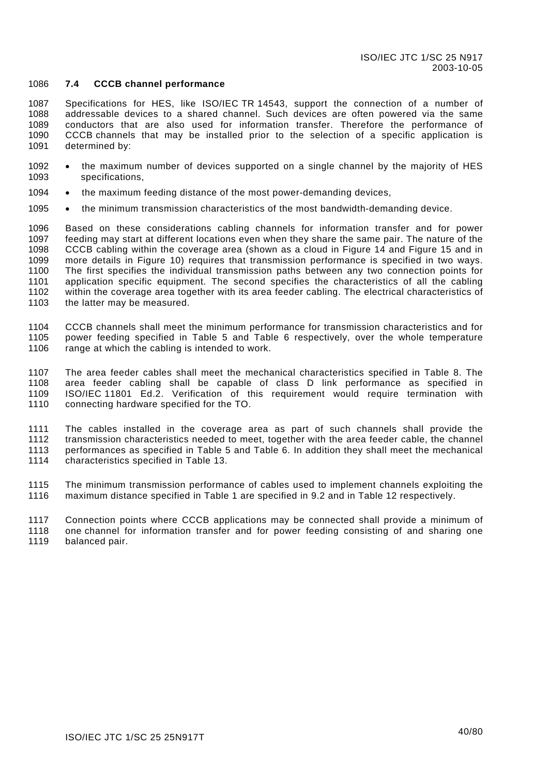#### 1086 **7.4 CCCB channel performance**

1087 1088 1089 1090 1091 Specifications for HES, like ISO/IEC TR 14543, support the connection of a number of addressable devices to a shared channel. Such devices are often powered via the same conductors that are also used for information transfer. Therefore the performance of CCCB channels that may be installed prior to the selection of a specific application is determined by:

- 1092 1093 the maximum number of devices supported on a single channel by the majority of HES specifications,
- 1094 the maximum feeding distance of the most power-demanding devices,
- 1095 the minimum transmission characteristics of the most bandwidth-demanding device.

1096 1097 1098 1099 1100 1101 1102 1103 Based on these considerations cabling channels for information transfer and for power feeding may start at different locations even when they share the same pair. The nature of the CCCB cabling within the coverage area (shown as a cloud in [Figure 14](#page-45-0) and [Figure 15](#page-46-1) and in more details in [Figure 10\)](#page-31-0) requires that transmission performance is specified in two ways. The first specifies the individual transmission paths between any two connection points for application specific equipment. The second specifies the characteristics of all the cabling within the coverage area together with its area feeder cabling. The electrical characteristics of the latter may be measured.

1104 1105 1106 CCCB channels shall meet the minimum performance for transmission characteristics and for power feeding specified in [Table 5](#page-41-0) and [Table 6](#page-41-1) respectively, over the whole temperature range at which the cabling is intended to work.

1107 1108 1109 1110 The area feeder cables shall meet the mechanical characteristics specified in [Table 8.](#page-47-0) The area feeder cabling shall be capable of class D link performance as specified in ISO/IEC 11801 Ed.2. Verification of this requirement would require termination with connecting hardware specified for the TO.

1111 1112 1113 1114 The cables installed in the coverage area as part of such channels shall provide the transmission characteristics needed to meet, together with the area feeder cable, the channel performances as specified in [Table 5](#page-41-0) and [Table 6.](#page-41-1) In addition they shall meet the mechanical characteristics specified in [Table 13.](#page-52-0)

1115 1116 The minimum transmission performance of cables used to implement channels exploiting the maximum distance specified in [Table 1](#page-28-0) are specified in [9.2](#page-46-2) and in [Table 12](#page-51-0) respectively.

1117 1118 1119 Connection points where CCCB applications may be connected shall provide a minimum of one channel for information transfer and for power feeding consisting of and sharing one balanced pair.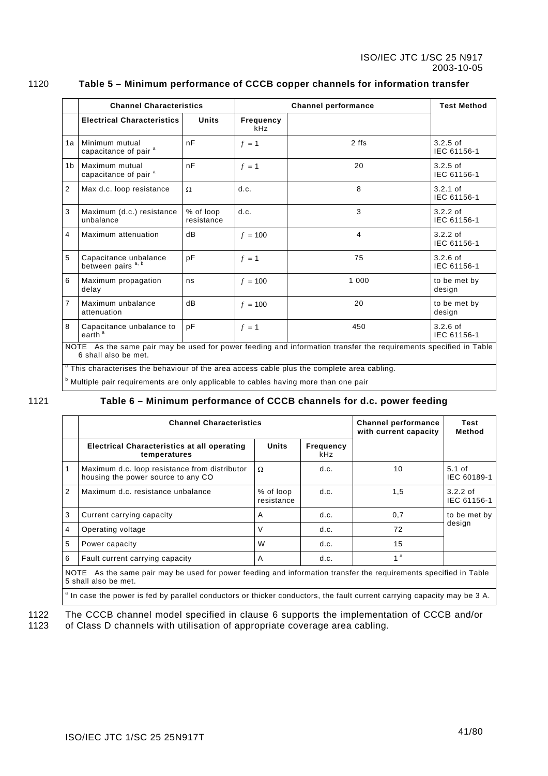<span id="page-41-0"></span>

|                                                                                                                                          | <b>Channel Characteristics</b>                                                                         |                         |                         | <b>Test Method</b> |                                    |
|------------------------------------------------------------------------------------------------------------------------------------------|--------------------------------------------------------------------------------------------------------|-------------------------|-------------------------|--------------------|------------------------------------|
|                                                                                                                                          | <b>Electrical Characteristics</b>                                                                      | <b>Units</b>            | <b>Frequency</b><br>kHz |                    |                                    |
| 1a                                                                                                                                       | Minimum mutual<br>capacitance of pair <sup>a</sup>                                                     | nF                      | $f = 1$                 | 2 ffs              | $3.2.5$ of<br>IEC 61156-1          |
| 1 <sub>b</sub>                                                                                                                           | Maximum mutual<br>capacitance of pair <sup>a</sup>                                                     | nF                      | $f = 1$                 | 20                 | $3.2.5$ of<br>IEC 61156-1          |
| 2                                                                                                                                        | Max d.c. loop resistance                                                                               | $\Omega$                | d.c.                    | 8                  | $3.2.1$ of<br>IEC 61156-1          |
| 3                                                                                                                                        | Maximum (d.c.) resistance<br>unbalance                                                                 | % of loop<br>resistance | d.c.                    | 3                  | $3.2.2$ of<br>IEC 61156-1          |
| $\overline{4}$                                                                                                                           | Maximum attenuation                                                                                    | dB                      | $f = 100$               | $\overline{4}$     | $3.2.2 \text{ of }$<br>IEC 61156-1 |
| 5                                                                                                                                        | Capacitance unbalance<br>between pairs <sup>a, b</sup>                                                 | pF                      | $f = 1$                 | 75                 | $3.2.6$ of<br>IEC 61156-1          |
| 6                                                                                                                                        | Maximum propagation<br>delay                                                                           | ns                      | $f = 100$               | 1 0 0 0            | to be met by<br>design             |
| $\overline{7}$                                                                                                                           | Maximum unbalance<br>attenuation                                                                       | dB                      | $f = 100$               | 20                 | to be met by<br>design             |
| 8                                                                                                                                        | Capacitance unbalance to<br>earth <sup>a</sup>                                                         | pF                      | $f = 1$                 | 450                | $3.2.6$ of<br>IEC 61156-1          |
| NOTE As the same pair may be used for power feeding and information transfer the requirements specified in Table<br>6 shall also be met. |                                                                                                        |                         |                         |                    |                                    |
|                                                                                                                                          | <sup>a</sup> This characterises the behaviour of the area access cable plus the complete area cabling. |                         |                         |                    |                                    |

### 1120 **Table 5 – Minimum performance of CCCB copper channels for information transfer**

<span id="page-41-1"></span>**b** Multiple pair requirements are only applicable to cables having more than one pair

### 1121 **Table 6 – Minimum performance of CCCB channels for d.c. power feeding**

|   | <b>Channel Characteristics</b>                                                                                                           | <b>Channel performance</b><br>with current capacity | <b>Test</b><br>Method   |                |                           |
|---|------------------------------------------------------------------------------------------------------------------------------------------|-----------------------------------------------------|-------------------------|----------------|---------------------------|
|   | <b>Electrical Characteristics at all operating</b><br>temperatures                                                                       | <b>Units</b>                                        | <b>Frequency</b><br>kHz |                |                           |
|   | Maximum d.c. loop resistance from distributor<br>housing the power source to any CO                                                      | Ω                                                   | d.c.                    | 10             | $5.1$ of<br>IEC 60189-1   |
| 2 | Maximum d.c. resistance unbalance                                                                                                        | % of loop<br>resistance                             | d.c.                    | 1.5            | $3.2.2$ of<br>IEC 61156-1 |
| 3 | Current carrying capacity                                                                                                                | A                                                   | d.c.                    | 0,7            | to be met by              |
| 4 | Operating voltage                                                                                                                        | V                                                   | d.c.                    | 72             | design                    |
| 5 | Power capacity                                                                                                                           | W                                                   | d.c.                    | 15             |                           |
| 6 | Fault current carrying capacity                                                                                                          | A                                                   | d.c.                    | 1 <sup>a</sup> |                           |
|   | NOTE As the same pair may be used for power feeding and information transfer the requirements specified in Table<br>5 shall also be met. |                                                     |                         |                |                           |

<sup>a</sup> In case the power is fed by parallel conductors or thicker conductors, the fault current carrying capacity may be 3 A.

The CCCB channel model specified in clause [6](#page-29-0) supports the implementation of CCCB and/or of Class D channels with utilisation of appropriate coverage area cabling. 1122 1123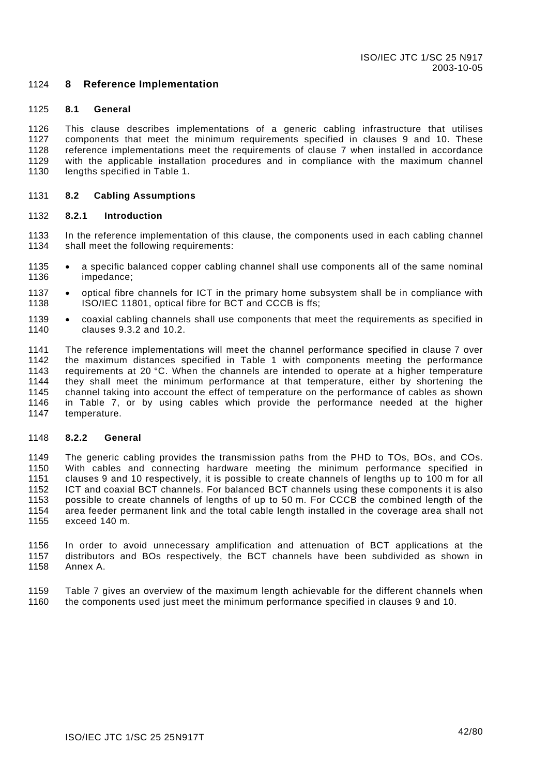#### <span id="page-42-0"></span>1124 **8 Reference Implementation**

#### 1125 **8.1 General**

1126 1127 1128 1129 1130 This clause describes implementations of a generic cabling infrastructure that utilises components that meet the minimum requirements specified in clauses [9](#page-46-0) and [10.](#page-53-0) These reference implementations meet the requirements of clause [7](#page-35-0) when installed in accordance with the applicable installation procedures and in compliance with the maximum channel lengths specified in [Table 1.](#page-28-0)

#### 1131 **8.2 Cabling Assumptions**

#### 1132 **8.2.1 Introduction**

- 1133 1134 In the reference implementation of this clause, the components used in each cabling channel shall meet the following requirements:
- 1135 1136 • a specific balanced copper cabling channel shall use components all of the same nominal impedance;
- 1137 1138 • optical fibre channels for ICT in the primary home subsystem shall be in compliance with ISO/IEC 11801, optical fibre for BCT and CCCB is ffs;
- 1139 1140 • coaxial cabling channels shall use components that meet the requirements as specified in clauses [9.3.2](#page-49-0) and [10.2.](#page-55-0)

1141 1142 1143 1144 1145 1146 1147 The reference implementations will meet the channel performance specified in clause [7](#page-35-0) over the maximum distances specified in [Table 1](#page-28-0) with components meeting the performance requirements at 20 °C. When the channels are intended to operate at a higher temperature they shall meet the minimum performance at that temperature, either by shortening the channel taking into account the effect of temperature on the performance of cables as shown in [Table 7,](#page-43-0) or by using cables which provide the performance needed at the higher temperature.

#### 1148 **8.2.2 General**

1149 1150 1151 1152 1153 1154 1155 The generic cabling provides the transmission paths from the PHD to TOs, BOs, and COs. With cables and connecting hardware meeting the minimum performance specified in clauses [9](#page-46-0) and 10 respectively, it is possible to create channels of lengths up to 100 m for all ICT and coaxial BCT channels. For balanced BCT channels using these components it is also possible to create channels of lengths of up to 50 m. For CCCB the combined length of the area feeder permanent link and the total cable length installed in the coverage area shall not exceed 140 m.

1156 1157 1158 In order to avoid unnecessary amplification and attenuation of BCT applications at the distributors and BOs respectively, the BCT channels have been subdivided as shown in [Annex A.](#page-64-0)

1159 1160 [Table 7](#page-43-0) gives an overview of the maximum length achievable for the different channels when the components used just meet the minimum performance specified in clauses [9](#page-46-0) and [10.](#page-53-0)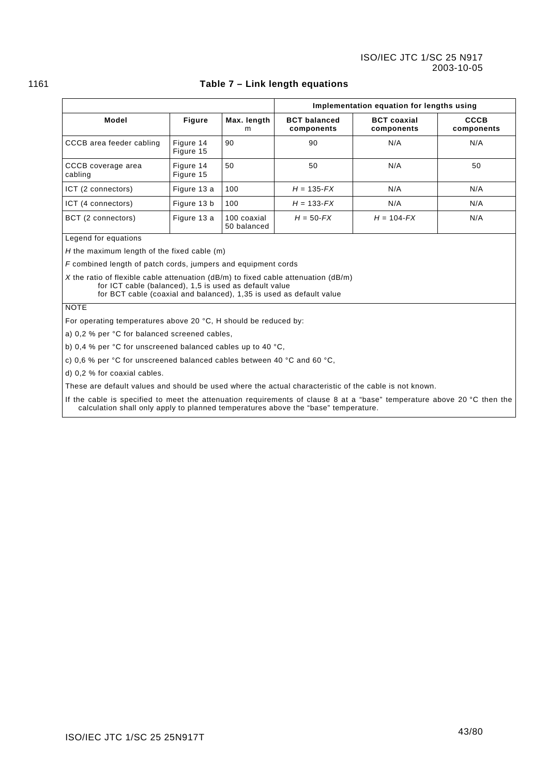<span id="page-43-0"></span>

|                                                                         |                                                                                                                                                                                                                             |                            | Implementation equation for lengths using |                                  |                           |  |
|-------------------------------------------------------------------------|-----------------------------------------------------------------------------------------------------------------------------------------------------------------------------------------------------------------------------|----------------------------|-------------------------------------------|----------------------------------|---------------------------|--|
| Model                                                                   | <b>Figure</b>                                                                                                                                                                                                               | Max. length<br>m           | <b>BCT</b> balanced<br>components         | <b>BCT</b> coaxial<br>components | <b>CCCB</b><br>components |  |
| CCCB area feeder cabling                                                | Figure 14<br>Figure 15                                                                                                                                                                                                      | 90                         | 90                                        | N/A                              | N/A                       |  |
| CCCB coverage area<br>cabling                                           | Figure 14<br>Figure 15                                                                                                                                                                                                      | 50                         | 50                                        | N/A                              | 50                        |  |
| ICT (2 connectors)                                                      | Figure 13 a                                                                                                                                                                                                                 | 100                        | $H = 135 - FX$                            | N/A                              | N/A                       |  |
| ICT (4 connectors)                                                      | Figure 13 b                                                                                                                                                                                                                 | 100                        | $H = 133 - FX$                            | N/A                              | N/A                       |  |
| BCT (2 connectors)                                                      | Figure 13 a                                                                                                                                                                                                                 | 100 coaxial<br>50 balanced | $H = 50 - FX$                             | $H = 104 - FX$                   | N/A                       |  |
| Legend for equations                                                    |                                                                                                                                                                                                                             |                            |                                           |                                  |                           |  |
| H the maximum length of the fixed cable $(m)$                           |                                                                                                                                                                                                                             |                            |                                           |                                  |                           |  |
| F combined length of patch cords, jumpers and equipment cords           |                                                                                                                                                                                                                             |                            |                                           |                                  |                           |  |
|                                                                         | X the ratio of flexible cable attenuation ( $dB/m$ ) to fixed cable attenuation ( $dB/m$ )<br>for ICT cable (balanced), 1,5 is used as default value<br>for BCT cable (coaxial and balanced), 1,35 is used as default value |                            |                                           |                                  |                           |  |
| <b>NOTE</b>                                                             |                                                                                                                                                                                                                             |                            |                                           |                                  |                           |  |
| For operating temperatures above 20 °C, H should be reduced by:         |                                                                                                                                                                                                                             |                            |                                           |                                  |                           |  |
| a) 0,2 % per °C for balanced screened cables,                           |                                                                                                                                                                                                                             |                            |                                           |                                  |                           |  |
| b) 0,4 % per °C for unscreened balanced cables up to 40 °C,             |                                                                                                                                                                                                                             |                            |                                           |                                  |                           |  |
| c) 0,6 % per °C for unscreened balanced cables between 40 °C and 60 °C, |                                                                                                                                                                                                                             |                            |                                           |                                  |                           |  |
| d) 0.2 % for coaxial cables.                                            |                                                                                                                                                                                                                             |                            |                                           |                                  |                           |  |

### 1161 **Table 7 – Link length equations**

These are default values and should be used where the actual characteristic of the cable is not known.

If the cable is specified to meet the attenuation requirements of clause 8 at a "base" temperature above 20 °C then the calculation shall only apply to planned temperatures above the "base" temperature.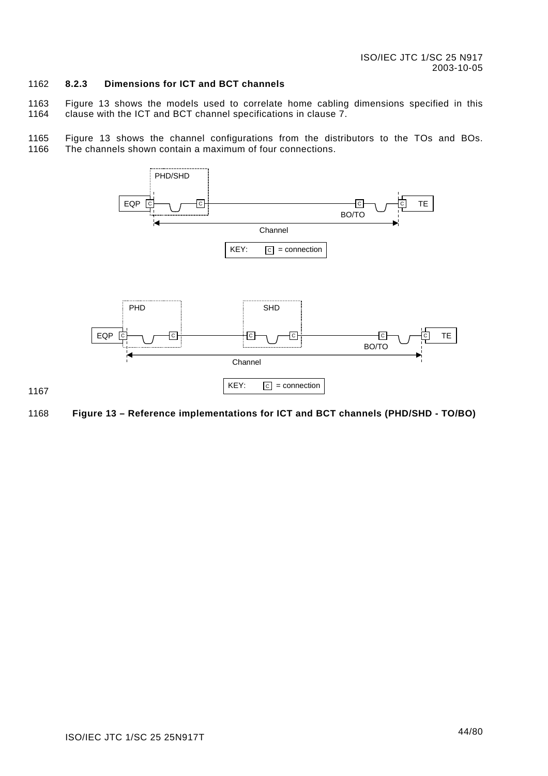#### 1162 **8.2.3 Dimensions for ICT and BCT channels**

1163 1164 [Figure 13](#page-44-0) shows the models used to correlate home cabling dimensions specified in this clause with the ICT and BCT channel specifications in clause [7.](#page-35-0)

1165 1166 [Figure 13](#page-44-0) shows the channel configurations from the distributors to the TOs and BOs. The channels shown contain a maximum of four connections.



### <span id="page-44-0"></span>1168 **Figure 13 – Reference implementations for ICT and BCT channels (PHD/SHD - TO/BO)**

1167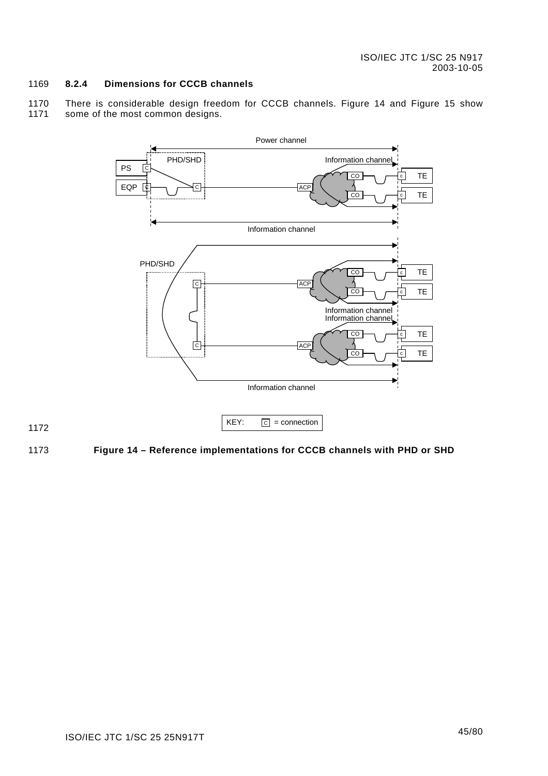#### 1169 **8.2.4 Dimensions for CCCB channels**

1170 1171 There is considerable design freedom for CCCB channels. [Figure 14](#page-45-0) and [Figure 15](#page-46-1) show some of the most common designs.



1172

<span id="page-45-0"></span>1173 **Figure 14 – Reference implementations for CCCB channels with PHD or SHD**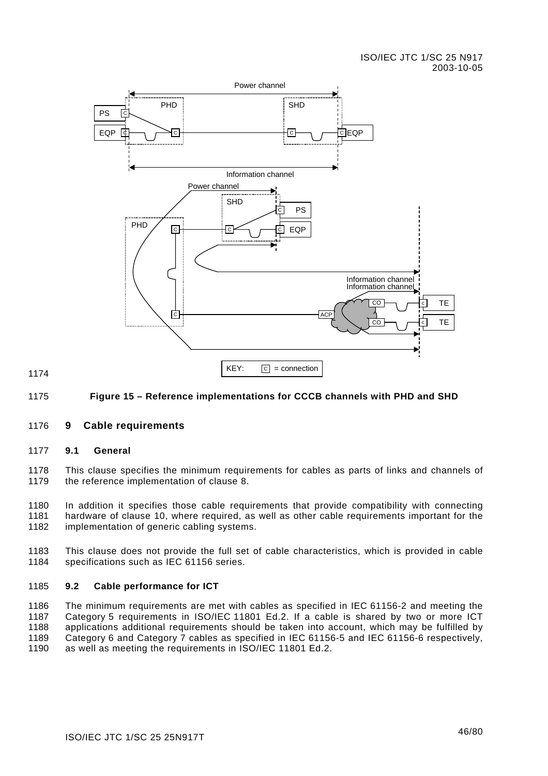

#### <span id="page-46-1"></span>1175 **Figure 15 – Reference implementations for CCCB channels with PHD and SHD**

#### <span id="page-46-0"></span>1176 **9 Cable requirements**

#### 1177 **9.1 General**

1174

1178 1179 This clause specifies the minimum requirements for cables as parts of links and channels of the reference implementation of clause [8.](#page-42-0) 

1180 1181 1182 In addition it specifies those cable requirements that provide compatibility with connecting hardware of clause [10,](#page-53-0) where required, as well as other cable requirements important for the implementation of generic cabling systems.

1183 1184 This clause does not provide the full set of cable characteristics, which is provided in cable specifications such as IEC 61156 series.

#### <span id="page-46-2"></span>1185 **9.2 Cable performance for ICT**

1186 1187 1188 1189 1190 The minimum requirements are met with cables as specified in IEC 61156-2 and meeting the Category 5 requirements in ISO/IEC 11801 Ed.2. If a cable is shared by two or more ICT applications additional requirements should be taken into account, which may be fulfilled by Category 6 and Category 7 cables as specified in IEC 61156-5 and IEC 61156-6 respectively, as well as meeting the requirements in ISO/IEC 11801 Ed.2.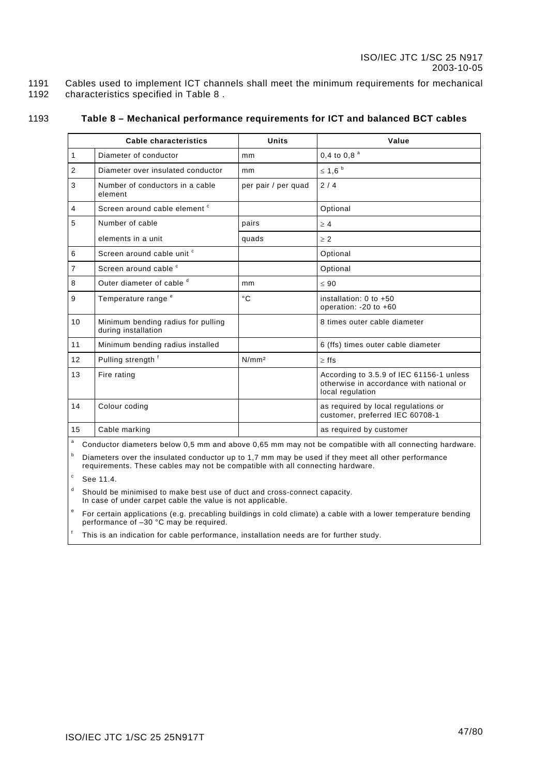1191 1192 Cables used to implement ICT channels shall meet the minimum requirements for mechanical characteristics specified in [Table 8](#page-47-0) .

1193

### **Table 8 – Mechanical performance requirements for ICT and balanced BCT cables**

<span id="page-47-0"></span>

|                | <b>Cable characteristics</b>                              | <b>Units</b>        | Value                                                                                                    |
|----------------|-----------------------------------------------------------|---------------------|----------------------------------------------------------------------------------------------------------|
| $\mathbf{1}$   | Diameter of conductor                                     | mm                  | 0,4 to 0,8 $a$                                                                                           |
| $\overline{2}$ | Diameter over insulated conductor                         | mm                  | $\leq 1.6$                                                                                               |
| 3              | Number of conductors in a cable<br>element                | per pair / per quad | 2/4                                                                                                      |
| $\overline{4}$ | Screen around cable element <sup>c</sup>                  |                     | Optional                                                                                                 |
| 5              | Number of cable                                           | pairs               | $\geq 4$                                                                                                 |
|                | elements in a unit                                        | quads               | $\geq 2$                                                                                                 |
| 6              | Screen around cable unit c                                |                     | Optional                                                                                                 |
| $\overline{7}$ | Screen around cable c                                     |                     | Optional                                                                                                 |
| 8              | Outer diameter of cable d                                 | mm                  | < 90                                                                                                     |
| 9              | Temperature range <sup>e</sup>                            | $^{\circ}$ C        | installation: $0$ to $+50$<br>operation: $-20$ to $+60$                                                  |
| 10             | Minimum bending radius for pulling<br>during installation |                     | 8 times outer cable diameter                                                                             |
| 11             | Minimum bending radius installed                          |                     | 6 (ffs) times outer cable diameter                                                                       |
| 12             | Pulling strength f                                        | N/mm <sup>2</sup>   | $>$ ffs                                                                                                  |
| 13             | Fire rating                                               |                     | According to 3.5.9 of IEC 61156-1 unless<br>otherwise in accordance with national or<br>local regulation |
| 14             | Colour coding                                             |                     | as required by local regulations or<br>customer, preferred IEC 60708-1                                   |
| 15             | Cable marking                                             |                     | as required by customer                                                                                  |

| a Conductor diameters below 0,5 mm and above 0,65 mm may not be compatible with all connecting hardware.

b Diameters over the insulated conductor up to 1,7 mm may be used if they meet all other performance requirements. These cables may not be compatible with all connecting hardware.

c See [11.4.](#page-62-0)

d Should be minimised to make best use of duct and cross-connect capacity. In case of under carpet cable the value is not applicable.

e For certain applications (e.g. precabling buildings in cold climate) a cable with a lower temperature bending performance of –30 °C may be required.

f This is an indication for cable performance, installation needs are for further study.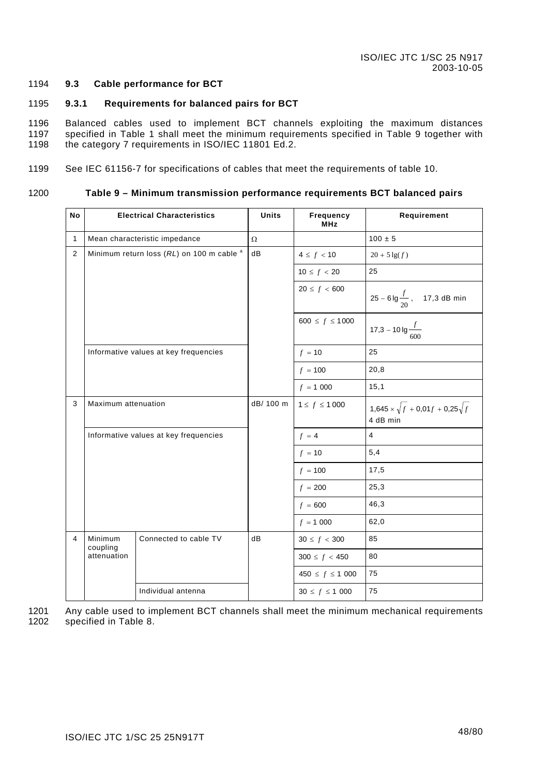#### 1194 **9.3 Cable performance for BCT**

#### 1195 **9.3.1 Requirements for balanced pairs for BCT**

1196 1197 1198 Balanced cables used to implement BCT channels exploiting the maximum distances specified in [Table](#page-48-0) 1 shall meet the minimum requirements specified in Table 9 together with the category [7 requir](#page-28-0)ements in ISO/IEC 11801 Ed.2.

1199 See IEC 61156-7 for specifications of cables that meet the requirements of table 10.

1200

### **Table 9 – Minimum transmission performance requirements BCT balanced pairs**

<span id="page-48-0"></span>

| No           |                                       | <b>Electrical Characteristics</b>                    | <b>Units</b> | Frequency<br><b>MHz</b> | Requirement                                                |
|--------------|---------------------------------------|------------------------------------------------------|--------------|-------------------------|------------------------------------------------------------|
| $\mathbf{1}$ |                                       | Mean characteristic impedance                        | $\Omega$     |                         | $100 \pm 5$                                                |
| 2            |                                       | Minimum return loss (RL) on 100 m cable <sup>a</sup> | dB           | $4 \le f < 10$          | $20 + 5 \lg(f)$                                            |
|              |                                       |                                                      |              | $10 \le f < 20$         | 25                                                         |
|              |                                       |                                                      |              | $20 \le f < 600$        | $25 - 6 \lg \frac{f}{20}$ , 17,3 dB min                    |
|              |                                       |                                                      |              | 600 $\leq f \leq 1000$  | 17,3 – 10 lg $\frac{f}{600}$                               |
|              |                                       | Informative values at key frequencies                |              | $f = 10$                | 25                                                         |
|              |                                       |                                                      |              | $f = 100$               | 20,8                                                       |
|              |                                       |                                                      |              | $f = 1000$              | 15,1                                                       |
| 3            | Maximum attenuation                   |                                                      | dB/ 100 m    | $1 \le f \le 1000$      | $1,645 \times \sqrt{f} + 0,01f + 0,25\sqrt{f}$<br>4 dB min |
|              | Informative values at key frequencies |                                                      |              | $f = 4$                 | $\overline{\mathbf{4}}$                                    |
|              |                                       |                                                      |              | $f = 10$                | 5,4                                                        |
|              |                                       |                                                      |              | $f = 100$               | 17,5                                                       |
|              |                                       |                                                      |              | $f = 200$               | 25,3                                                       |
|              |                                       |                                                      |              | $f = 600$               | 46,3                                                       |
|              |                                       |                                                      |              | $f = 1000$              | 62,0                                                       |
| 4            | Minimum<br>coupling                   | Connected to cable TV                                | dB           | $30 \le f < 300$        | 85                                                         |
|              | attenuation                           |                                                      |              | $300 \le f < 450$       | 80                                                         |
|              |                                       |                                                      |              | $450 \le f \le 1000$    | 75                                                         |
|              |                                       | Individual antenna                                   |              | $30 \le f \le 1000$     | 75                                                         |

Any cable used to implement BCT channels shall meet the minimum mechanical requirements specified in [Table 8.](#page-47-0) 1201 1202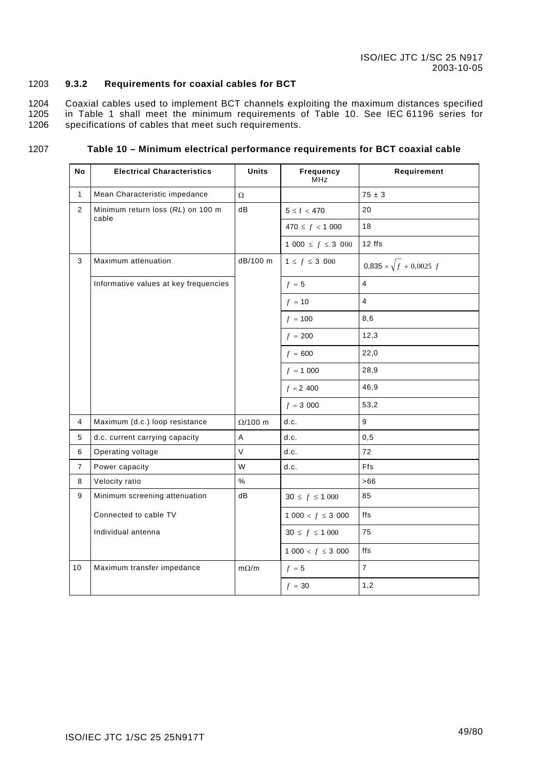#### 1203 **9.3.2 Requirements for coaxial cables for BCT**

1204 1205 1206 Coaxial cables used to implement BCT channels exploiting the maximum distances specified in [Table 1](#page-28-0) shall meet the minimum requirements of [Table 10.](#page-49-1) See IEC 61196 series for specifications of cables that meet such requirements.

1207

### <span id="page-49-1"></span><span id="page-49-0"></span>**Table 10 – Minimum electrical performance requirements for BCT coaxial cable**

| No             | <b>Electrical Characteristics</b>          | <b>Units</b>   | Frequency<br>MHz          | Requirement                        |
|----------------|--------------------------------------------|----------------|---------------------------|------------------------------------|
| $\mathbf{1}$   | Mean Characteristic impedance              | $\Omega$       |                           | $75 \pm 3$                         |
| $\overline{2}$ | Minimum return loss (RL) on 100 m<br>cable | dB             | $5 \leq f < 470$          | 20                                 |
|                |                                            |                | $470 \le f < 1000$        | 18                                 |
|                |                                            |                | 1 000 $\leq f \leq 3$ 000 | 12 ffs                             |
| 3              | Maximum attenuation                        | dB/100 m       | $1 \le f \le 3\,000$      | $0,835 \times \sqrt{f} + 0,0025 f$ |
|                | Informative values at key frequencies      |                | $f = 5$                   | $\overline{4}$                     |
|                |                                            |                | $f = 10$                  | $\overline{4}$                     |
|                |                                            |                | $f = 100$                 | 8,6                                |
|                |                                            |                | $f = 200$                 | 12,3                               |
|                |                                            |                | $f = 600$                 | 22,0                               |
|                |                                            |                | $f = 1000$                | 28,9                               |
|                |                                            |                | $f = 2,400$               | 46,9                               |
|                |                                            |                | $f = 3000$                | 53,2                               |
| 4              | Maximum (d.c.) loop resistance             | $\Omega/100$ m | d.c.                      | $\boldsymbol{9}$                   |
| 5              | d.c. current carrying capacity             | A              | d.c.                      | 0, 5                               |
| 6              | Operating voltage                          | $\vee$         | d.c.                      | 72                                 |
| $\overline{7}$ | Power capacity                             | W              | d.c.                      | Ffs                                |
| 8              | Velocity ratio                             | $\%$           |                           | >66                                |
| 9              | Minimum screening attenuation              | dB             | $30 \le f \le 1000$       | 85                                 |
|                | Connected to cable TV                      |                | $1000 < f \leq 3000$      | ffs                                |
|                | Individual antenna                         |                | $30 \le f \le 1000$       | 75                                 |
|                |                                            |                | $1000 < f \leq 3000$      | ffs                                |
| 10             | Maximum transfer impedance                 | $m\Omega/m$    | $f = 5$                   | $\overline{7}$                     |
|                |                                            |                | $f = 30$                  | 1,2                                |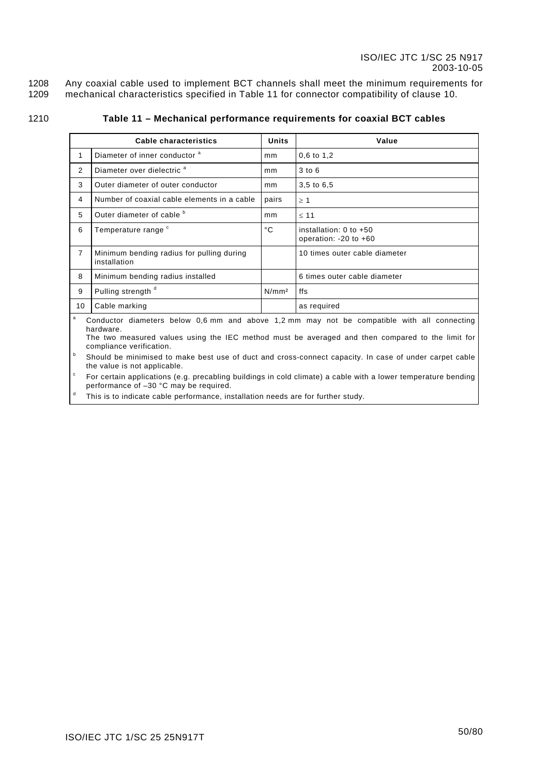1208 1209 Any coaxial cable used to implement BCT channels shall meet the minimum requirements for mechanical characteristics specified in [Table 11](#page-50-0) for connector compatibility of clause [10.](#page-53-0)

1210

### <span id="page-50-0"></span>**Table 11 – Mechanical performance requirements for coaxial BCT cables**

|                | Cable characteristics                                     | <b>Units</b>      | Value                                                 |
|----------------|-----------------------------------------------------------|-------------------|-------------------------------------------------------|
| 1              | Diameter of inner conductor <sup>a</sup>                  | mm                | $0,6$ to $1,2$                                        |
| 2              | Diameter over dielectric <sup>a</sup>                     | mm                | $3$ to $6$                                            |
| 3              | Outer diameter of outer conductor                         | mm                | 3,5 to 6,5                                            |
| 4              | Number of coaxial cable elements in a cable               | pairs             | $\geq 1$                                              |
| 5              | Outer diameter of cable b                                 | mm                | $\leq 11$                                             |
| 6              | Temperature range c                                       | °C                | installation: $0$ to $+50$<br>operation: -20 to $+60$ |
| $\overline{7}$ | Minimum bending radius for pulling during<br>installation |                   | 10 times outer cable diameter                         |
| 8              | Minimum bending radius installed                          |                   | 6 times outer cable diameter                          |
| 9              | Pulling strength d                                        | N/mm <sup>2</sup> | ffs                                                   |
| 10             | Cable marking                                             |                   | as required                                           |
|                |                                                           |                   |                                                       |

a Conductor diameters below 0,6 mm and above 1,2 mm may not be compatible with all connecting hardware.

The two measured values using the IEC method must be averaged and then compared to the limit for compliance verification.

 $\mathsf b$  Should be minimised to make best use of duct and cross-connect capacity. In case of under carpet cable the value is not applicable.

c For certain applications (e.g. precabling buildings in cold climate) a cable with a lower temperature bending performance of –30 °C may be required.

d This is to indicate cable performance, installation needs are for further study.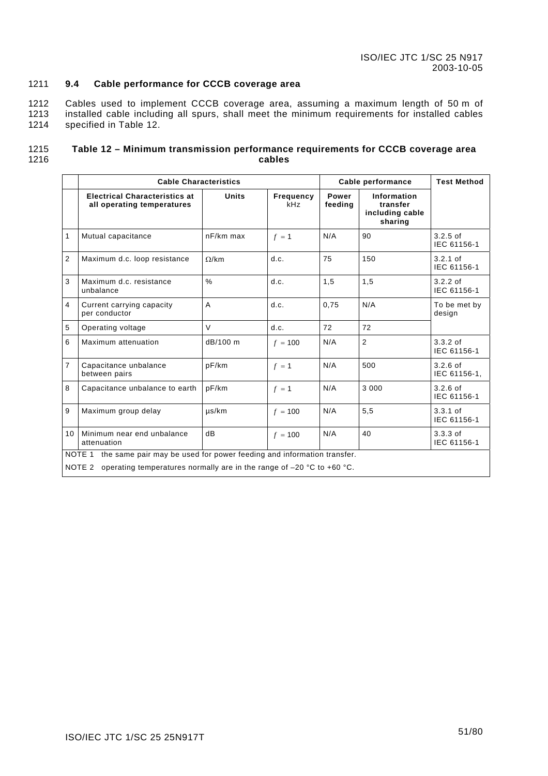#### 1211 **9.4 Cable performance for CCCB coverage area**

1212 1213 1214 Cables used to implement CCCB coverage area, assuming a maximum length of 50 m of installed cable including all spurs, shall meet the minimum requirements for installed cables specified in [Table 12.](#page-51-0)

#### 1215 1216 **Table 12 – Minimum transmission performance requirements for CCCB coverage area cables**

<span id="page-51-0"></span>

|                | <b>Cable Characteristics</b>                                                                                                                                   |               | Cable performance | <b>Test Method</b> |                                                       |                            |
|----------------|----------------------------------------------------------------------------------------------------------------------------------------------------------------|---------------|-------------------|--------------------|-------------------------------------------------------|----------------------------|
|                | <b>Electrical Characteristics at</b><br>all operating temperatures                                                                                             | <b>Units</b>  | Frequency<br>kHz  | Power<br>feeding   | Information<br>transfer<br>including cable<br>sharing |                            |
| $\mathbf{1}$   | Mutual capacitance                                                                                                                                             | $nF/km$ max   | $f = 1$           | N/A                | 90                                                    | $3.2.5$ of<br>IEC 61156-1  |
| $\overline{2}$ | Maximum d.c. loop resistance                                                                                                                                   | $\Omega$ /km  | d.c.              | 75                 | 150                                                   | $3.2.1$ of<br>IEC 61156-1  |
| 3              | Maximum d.c. resistance<br>unbalance                                                                                                                           | $\frac{0}{0}$ | d.c.              | 1,5                | 1,5                                                   | $3.2.2$ of<br>IEC 61156-1  |
| 4              | Current carrying capacity<br>per conductor                                                                                                                     | A             | d.c.              | 0,75               | N/A                                                   | To be met by<br>design     |
| 5              | Operating voltage                                                                                                                                              | $\vee$        | d.c.              | 72                 | 72                                                    |                            |
| 6              | Maximum attenuation                                                                                                                                            | dB/100 m      | $f = 100$         | N/A                | $\overline{2}$                                        | $3.3.2$ of<br>IEC 61156-1  |
| $\overline{7}$ | Capacitance unbalance<br>between pairs                                                                                                                         | pF/km         | $f = 1$           | N/A                | 500                                                   | $3.2.6$ of<br>IEC 61156-1. |
| 8              | Capacitance unbalance to earth                                                                                                                                 | pF/km         | $f = 1$           | N/A                | 3 000                                                 | $3.2.6$ of<br>IEC 61156-1  |
| 9              | Maximum group delay                                                                                                                                            | $\mu$ s/km    | $f = 100$         | N/A                | 5,5                                                   | $3.3.1$ of<br>IEC 61156-1  |
| 10             | Minimum near end unbalance<br>attenuation                                                                                                                      | dB            | $f = 100$         | N/A                | 40                                                    | $3.3.3$ of<br>IEC 61156-1  |
|                | NOTE 1 the same pair may be used for power feeding and information transfer.<br>NOTE 2 operating temperatures normally are in the range of $-20$ °C to +60 °C. |               |                   |                    |                                                       |                            |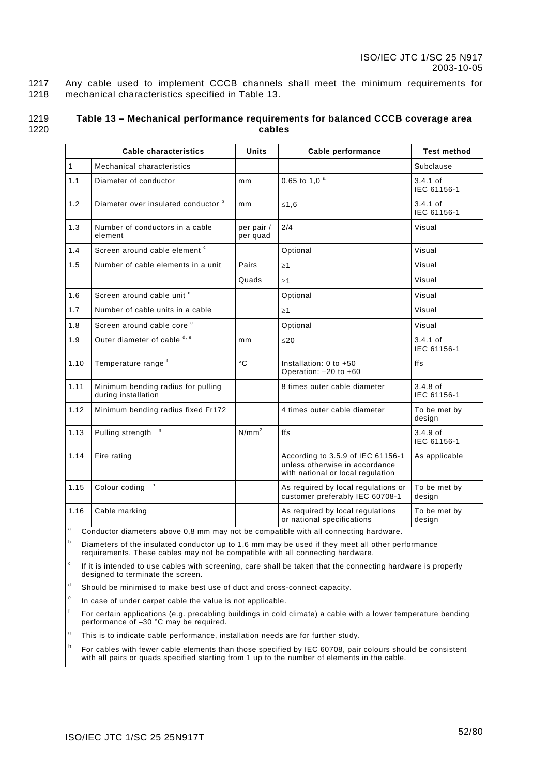1217 1218 Any cable used to implement CCCB channels shall meet the minimum requirements for mechanical characteristics specified in [Table 13.](#page-52-0)

| 1219 | Table 13 - Mechanical performance requirements for balanced CCCB coverage area |
|------|--------------------------------------------------------------------------------|
| 1220 | cables                                                                         |

<span id="page-52-0"></span>

|      | Cable characteristics                                     | Units                  | Cable performance                                                                                        | <b>Test method</b>        |
|------|-----------------------------------------------------------|------------------------|----------------------------------------------------------------------------------------------------------|---------------------------|
| 1    | Mechanical characteristics                                |                        |                                                                                                          | Subclause                 |
| 1.1  | Diameter of conductor                                     | mm                     | 0,65 to 1,0 $a$                                                                                          | $3.4.1$ of<br>IEC 61156-1 |
| 1.2  | Diameter over insulated conductor b                       | mm                     | $≤1,6$                                                                                                   | $3.4.1$ of<br>IEC 61156-1 |
| 1.3  | Number of conductors in a cable<br>element                | per pair /<br>per quad | 2/4                                                                                                      | Visual                    |
| 1.4  | Screen around cable element <sup>c</sup>                  |                        | Optional                                                                                                 | Visual                    |
| 1.5  | Number of cable elements in a unit                        | Pairs                  | $\geq$ 1                                                                                                 | Visual                    |
|      |                                                           | Quads                  | $\geq$ 1                                                                                                 | Visual                    |
| 1.6  | Screen around cable unit c                                |                        | Optional                                                                                                 | Visual                    |
| 1.7  | Number of cable units in a cable                          |                        | $\geq$ 1                                                                                                 | Visual                    |
| 1.8  | Screen around cable core <sup>c</sup>                     |                        | Optional                                                                                                 | Visual                    |
| 1.9  | Outer diameter of cable d, e                              | mm                     | $\leq$ 20                                                                                                | $3.4.1$ of<br>IEC 61156-1 |
| 1.10 | Temperature range <sup>f</sup>                            | $^{\circ}C$            | Installation: 0 to +50<br>Operation: -20 to +60                                                          | ffs                       |
| 1.11 | Minimum bending radius for pulling<br>during installation |                        | 8 times outer cable diameter                                                                             | $3.4.8$ of<br>IEC 61156-1 |
| 1.12 | Minimum bending radius fixed Fr172                        |                        | 4 times outer cable diameter                                                                             | To be met by<br>design    |
| 1.13 | g<br>Pulling strength                                     | N/mm <sup>2</sup>      | ffs                                                                                                      | $3.4.9$ of<br>IEC 61156-1 |
| 1.14 | Fire rating                                               |                        | According to 3.5.9 of IEC 61156-1<br>unless otherwise in accordance<br>with national or local regulation | As applicable             |
| 1.15 | h<br>Colour coding                                        |                        | As required by local regulations or<br>customer preferably IEC 60708-1                                   | To be met by<br>design    |
| 1.16 | Cable marking                                             |                        | As required by local regulations<br>or national specifications                                           | To be met by<br>design    |

a Conductor diameters above 0,8 mm may not be compatible with all connecting hardware.

b Diameters of the insulated conductor up to 1,6 mm may be used if they meet all other performance requirements. These cables may not be compatible with all connecting hardware.

c If it is intended to use cables with screening, care shall be taken that the connecting hardware is properly designed to terminate the screen.

d Should be minimised to make best use of duct and cross-connect capacity.

e In case of under carpet cable the value is not applicable.

f For certain applications (e.g. precabling buildings in cold climate) a cable with a lower temperature bending performance of –30 °C may be required.

g This is to indicate cable performance, installation needs are for further study.

h For cables with fewer cable elements than those specified by IEC 60708, pair colours should be consistent with all pairs or quads specified starting from 1 up to the number of elements in the cable.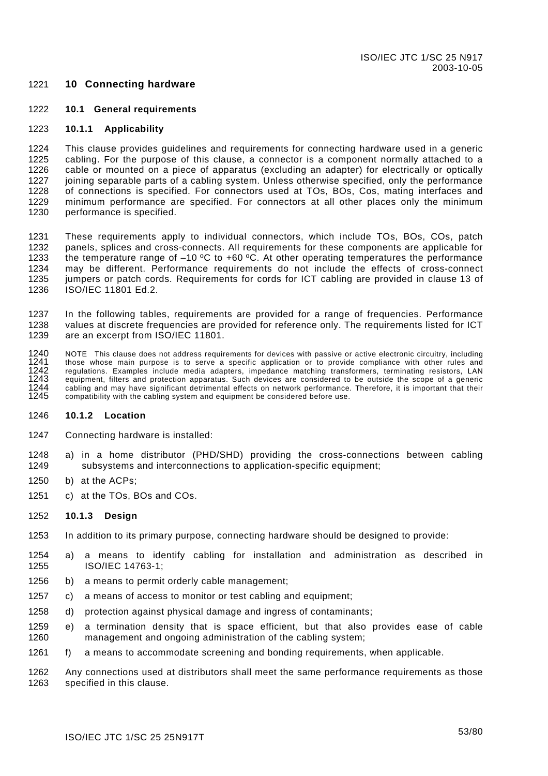### <span id="page-53-0"></span>1221 **10 Connecting hardware**

#### 1222 **10.1 General requirements**

#### 1223 **10.1.1 Applicability**

1224 1225 1226 1227 1228 1229 1230 This clause provides guidelines and requirements for connecting hardware used in a generic cabling. For the purpose of this clause, a connector is a component normally attached to a cable or mounted on a piece of apparatus (excluding an adapter) for electrically or optically joining separable parts of a cabling system. Unless otherwise specified, only the performance of connections is specified. For connectors used at TOs, BOs, Cos, mating interfaces and minimum performance are specified. For connectors at all other places only the minimum performance is specified.

1231 1232 1233 1234 1235 1236 These requirements apply to individual connectors, which include TOs, BOs, COs, patch panels, splices and cross-connects. All requirements for these components are applicable for the temperature range of  $-10$  °C to  $+60$  °C. At other operating temperatures the performance may be different. Performance requirements do not include the effects of cross-connect jumpers or patch cords. Requirements for cords for ICT cabling are provided in clause 13 of ISO/IEC 11801 Ed.2.

1237 1238 1239 In the following tables, requirements are provided for a range of frequencies. Performance values at discrete frequencies are provided for reference only. The requirements listed for ICT are an excerpt from ISO/IEC 11801.

1240 1241  $1242$ 1243 1244 1245 NOTE This clause does not address requirements for devices with passive or active electronic circuitry, including those whose main purpose is to serve a specific application or to provide compliance with other rules and regulations. Examples include media adapters, impedance matching transformers, terminating resistors, LAN equipment, filters and protection apparatus. Such devices are considered to be outside the scope of a generic cabling and may have significant detrimental effects on network performance. Therefore, it is important that their compatibility with the cabling system and equipment be considered before use.

#### 1246 **10.1.2 Location**

- 1247 Connecting hardware is installed:
- 1248 1249 a) in a home distributor (PHD/SHD) providing the cross-connections between cabling subsystems and interconnections to application-specific equipment;
- 1250 b) at the ACPs;
- 1251 c) at the TOs, BOs and COs.

#### 1252 **10.1.3 Design**

- 1253 In addition to its primary purpose, connecting hardware should be designed to provide:
- 1254 1255 a) a means to identify cabling for installation and administration as described in ISO/IEC 14763-1;
- 1256 b) a means to permit orderly cable management;
- 1257 c) a means of access to monitor or test cabling and equipment;
- 1258 d) protection against physical damage and ingress of contaminants;
- 1259 1260 e) a termination density that is space efficient, but that also provides ease of cable management and ongoing administration of the cabling system;
- 1261 f) a means to accommodate screening and bonding requirements, when applicable.

1262 1263 Any connections used at distributors shall meet the same performance requirements as those specified in this clause.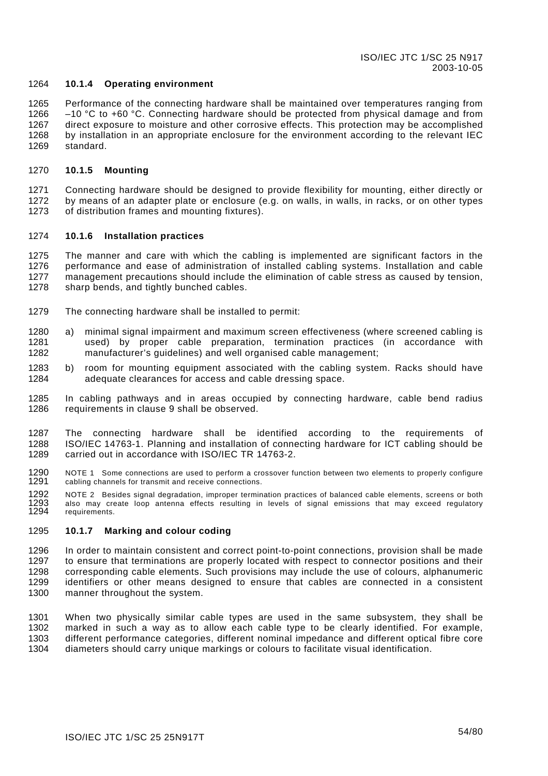#### 1264 **10.1.4 Operating environment**

1265 1266 1267 1268 1269 Performance of the connecting hardware shall be maintained over temperatures ranging from  $-10$  °C to  $+60$  °C. Connecting hardware should be protected from physical damage and from direct exposure to moisture and other corrosive effects. This protection may be accomplished by installation in an appropriate enclosure for the environment according to the relevant IEC standard.

#### 1270 **10.1.5 Mounting**

1271 1272 1273 Connecting hardware should be designed to provide flexibility for mounting, either directly or by means of an adapter plate or enclosure (e.g. on walls, in walls, in racks, or on other types of distribution frames and mounting fixtures).

#### 1274 **10.1.6 Installation practices**

1275 1276 1277 1278 The manner and care with which the cabling is implemented are significant factors in the performance and ease of administration of installed cabling systems. Installation and cable management precautions should include the elimination of cable stress as caused by tension, sharp bends, and tightly bunched cables.

- 1279 The connecting hardware shall be installed to permit:
- 1280 1281 1282 a) minimal signal impairment and maximum screen effectiveness (where screened cabling is used) by proper cable preparation, termination practices (in accordance with manufacturer's guidelines) and well organised cable management;
- 1283 1284 b) room for mounting equipment associated with the cabling system. Racks should have adequate clearances for access and cable dressing space.
- 1285 1286 In cabling pathways and in areas occupied by connecting hardware, cable bend radius requirements in clause [9](#page-46-0) shall be observed.
- 1287 1288 1289 The connecting hardware shall be identified according to the requirements of ISO/IEC 14763-1. Planning and installation of connecting hardware for ICT cabling should be carried out in accordance with ISO/IEC TR 14763-2.
- 1290 1291 NOTE 1 Some connections are used to perform a crossover function between two elements to properly configure cabling channels for transmit and receive connections.
- 1292 1293 1294 NOTE 2 Besides signal degradation, improper termination practices of balanced cable elements, screens or both also may create loop antenna effects resulting in levels of signal emissions that may exceed regulatory requirements.

#### 1295 **10.1.7 Marking and colour coding**

1296 1297 1298 1299 1300 In order to maintain consistent and correct point-to-point connections, provision shall be made to ensure that terminations are properly located with respect to connector positions and their corresponding cable elements. Such provisions may include the use of colours, alphanumeric identifiers or other means designed to ensure that cables are connected in a consistent manner throughout the system.

1301 1302 1303 1304 When two physically similar cable types are used in the same subsystem, they shall be marked in such a way as to allow each cable type to be clearly identified. For example, different performance categories, different nominal impedance and different optical fibre core diameters should carry unique markings or colours to facilitate visual identification.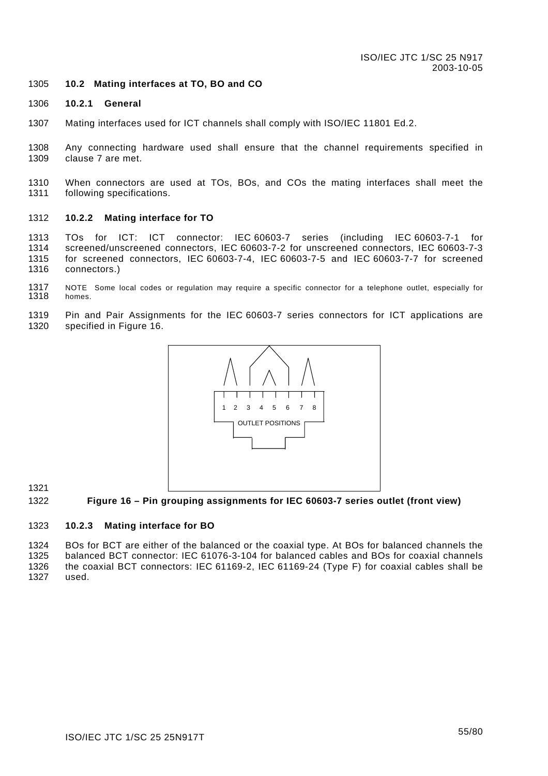#### <span id="page-55-0"></span>1305 **10.2 Mating interfaces at TO, BO and CO**

#### 1306 **10.2.1 General**

- 1307 Mating interfaces used for ICT channels shall comply with ISO/IEC 11801 Ed.2.
- 1308 1309 Any connecting hardware used shall ensure that the channel requirements specified in clause [7](#page-35-0) are met.
- 1310 1311 When connectors are used at TOs, BOs, and COs the mating interfaces shall meet the following specifications.

#### 1312 **10.2.2 Mating interface for TO**

1313 1314 1315 1316 TOs for ICT: ICT connector: IEC 60603-7 series (including IEC 60603-7-1 for screened/unscreened connectors, IEC 60603-7-2 for unscreened connectors, IEC 60603-7-3 for screened connectors, IEC 60603-7-4, IEC 60603-7-5 and IEC 60603-7-7 for screened connectors.)

- 1317 1318 NOTE Some local codes or regulation may require a specific connector for a telephone outlet, especially for homes.
- 1319 1320 Pin and Pair Assignments for the IEC 60603-7 series connectors for ICT applications are specified in [Figure](#page-55-1) 16.



1321

<span id="page-55-1"></span>1322 **Figure 16 – Pin grouping assignments for IEC 60603-7 series outlet (front view)** 

#### 1323 **10.2.3 Mating interface for BO**

1324 1325 1326 1327 BOs for BCT are either of the balanced or the coaxial type. At BOs for balanced channels the balanced BCT connector: IEC 61076-3-104 for balanced cables and BOs for coaxial channels the coaxial BCT connectors: IEC 61169-2, IEC 61169-24 (Type F) for coaxial cables shall be used.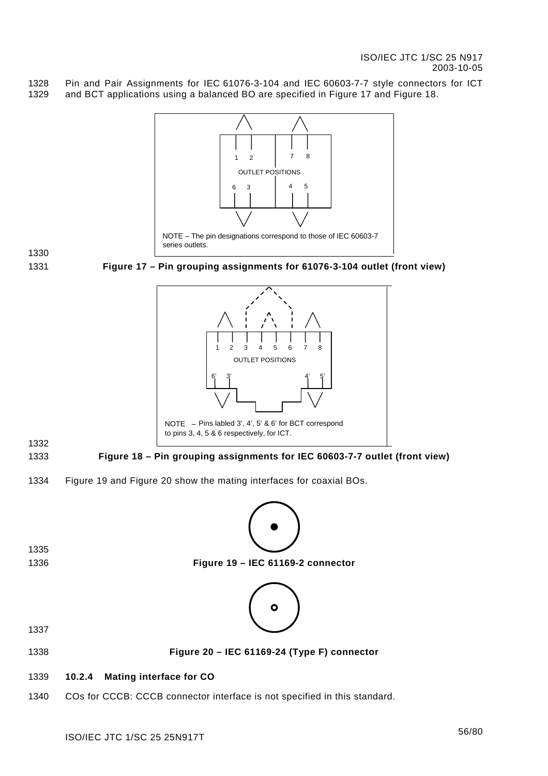1328 1329 Pin and Pair Assignments for IEC 61076-3-104 and IEC 60603-7-7 style connectors for ICT and BCT applications using a balanced BO are specified in [Figure](#page-56-0) 17 and [Figure 18.](#page-56-1)

<span id="page-56-0"></span>

<span id="page-56-3"></span><span id="page-56-2"></span><span id="page-56-1"></span>1340 COs for CCCB: CCCB connector interface is not specified in this standard.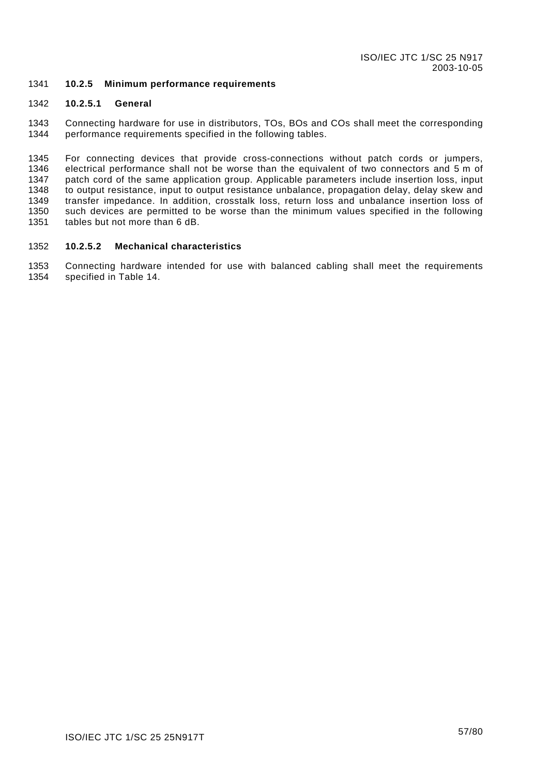#### 1341 **10.2.5 Minimum performance requirements**

#### 1342 **10.2.5.1 General**

1343 1344 Connecting hardware for use in distributors, TOs, BOs and COs shall meet the corresponding performance requirements specified in the following tables.

1345 1346 1347 1348 1349 1350 1351 For connecting devices that provide cross-connections without patch cords or jumpers, electrical performance shall not be worse than the equivalent of two connectors and 5 m of patch cord of the same application group. Applicable parameters include insertion loss, input to output resistance, input to output resistance unbalance, propagation delay, delay skew and transfer impedance. In addition, crosstalk loss, return loss and unbalance insertion loss of such devices are permitted to be worse than the minimum values specified in the following tables but not more than 6 dB.

#### 1352 **10.2.5.2 Mechanical characteristics**

1353 1354 Connecting hardware intended for use with balanced cabling shall meet the requirements specified in [Table 14.](#page-58-0)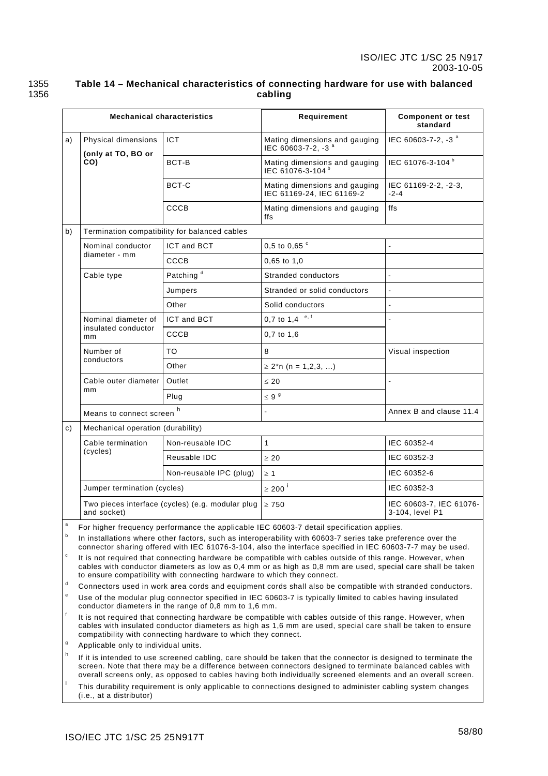### 1355 1356

### <span id="page-58-0"></span>**Table 14 – Mechanical characteristics of connecting hardware for use with balanced cabling**

|                                                  | <b>Mechanical characteristics</b>                                                                                                                                                                                                                                                                    |                                               | Requirement                                                                                                                                                                                                                                                                                                                                  | <b>Component or test</b><br>standard       |  |
|--------------------------------------------------|------------------------------------------------------------------------------------------------------------------------------------------------------------------------------------------------------------------------------------------------------------------------------------------------------|-----------------------------------------------|----------------------------------------------------------------------------------------------------------------------------------------------------------------------------------------------------------------------------------------------------------------------------------------------------------------------------------------------|--------------------------------------------|--|
| a)                                               | Physical dimensions<br>(only at TO, BO or                                                                                                                                                                                                                                                            | <b>ICT</b>                                    | Mating dimensions and gauging<br>IEC 60603-7-2, -3 <sup>a</sup>                                                                                                                                                                                                                                                                              | IEC 60603-7-2, -3 <sup>a</sup>             |  |
|                                                  | CO)                                                                                                                                                                                                                                                                                                  | BCT-B                                         | Mating dimensions and gauging<br>IEC 61076-3-104 <sup>b</sup>                                                                                                                                                                                                                                                                                | IEC 61076-3-104 <sup>b</sup>               |  |
|                                                  |                                                                                                                                                                                                                                                                                                      | BCT-C                                         | Mating dimensions and gauging<br>IEC 61169-24, IEC 61169-2                                                                                                                                                                                                                                                                                   | IEC 61169-2-2, -2-3,<br>$-2-4$             |  |
|                                                  |                                                                                                                                                                                                                                                                                                      | CCCB                                          | Mating dimensions and gauging<br>ffs                                                                                                                                                                                                                                                                                                         | ffs                                        |  |
| b)                                               |                                                                                                                                                                                                                                                                                                      | Termination compatibility for balanced cables |                                                                                                                                                                                                                                                                                                                                              |                                            |  |
|                                                  | Nominal conductor                                                                                                                                                                                                                                                                                    | ICT and BCT                                   | 0,5 to 0,65 $\degree$                                                                                                                                                                                                                                                                                                                        | $\overline{a}$                             |  |
|                                                  | diameter - mm                                                                                                                                                                                                                                                                                        | CCCB                                          | $0,65$ to $1,0$                                                                                                                                                                                                                                                                                                                              |                                            |  |
|                                                  | Cable type                                                                                                                                                                                                                                                                                           | Patching <sup>d</sup>                         | Stranded conductors                                                                                                                                                                                                                                                                                                                          | L.                                         |  |
|                                                  |                                                                                                                                                                                                                                                                                                      | Jumpers                                       | Stranded or solid conductors                                                                                                                                                                                                                                                                                                                 | $\blacksquare$                             |  |
|                                                  |                                                                                                                                                                                                                                                                                                      | Other                                         | Solid conductors                                                                                                                                                                                                                                                                                                                             | ÷,                                         |  |
|                                                  | Nominal diameter of                                                                                                                                                                                                                                                                                  | ICT and BCT                                   | 0,7 to 1,4 $e, f$                                                                                                                                                                                                                                                                                                                            |                                            |  |
|                                                  | insulated conductor<br>mm                                                                                                                                                                                                                                                                            | CCCB                                          | $0,7$ to $1,6$                                                                                                                                                                                                                                                                                                                               |                                            |  |
|                                                  | Number of<br>conductors                                                                                                                                                                                                                                                                              | TO                                            | 8                                                                                                                                                                                                                                                                                                                                            | Visual inspection                          |  |
|                                                  |                                                                                                                                                                                                                                                                                                      | Other                                         | $\geq$ 2 <sup>*</sup> n (n = 1,2,3, )                                                                                                                                                                                                                                                                                                        |                                            |  |
|                                                  | Cable outer diameter<br>mm                                                                                                                                                                                                                                                                           | Outlet                                        | $\leq 20$                                                                                                                                                                                                                                                                                                                                    | $\blacksquare$                             |  |
|                                                  |                                                                                                                                                                                                                                                                                                      | Plug                                          | $\leq 9^9$                                                                                                                                                                                                                                                                                                                                   |                                            |  |
|                                                  | h<br>Means to connect screen                                                                                                                                                                                                                                                                         |                                               | $\tilde{\phantom{a}}$                                                                                                                                                                                                                                                                                                                        | Annex B and clause 11.4                    |  |
| c)                                               | Mechanical operation (durability)                                                                                                                                                                                                                                                                    |                                               |                                                                                                                                                                                                                                                                                                                                              |                                            |  |
|                                                  | Cable termination<br>(cycles)                                                                                                                                                                                                                                                                        | Non-reusable IDC                              | $\mathbf{1}$                                                                                                                                                                                                                                                                                                                                 | IEC 60352-4                                |  |
|                                                  |                                                                                                                                                                                                                                                                                                      | Reusable IDC                                  | $\geq 20$                                                                                                                                                                                                                                                                                                                                    | IEC 60352-3                                |  |
|                                                  |                                                                                                                                                                                                                                                                                                      | Non-reusable IPC (plug)                       | $\geq 1$                                                                                                                                                                                                                                                                                                                                     | IEC 60352-6                                |  |
|                                                  | Jumper termination (cycles)                                                                                                                                                                                                                                                                          |                                               | $\geq 200$ <sup>i</sup>                                                                                                                                                                                                                                                                                                                      | IEC 60352-3                                |  |
|                                                  | Two pieces interface (cycles) (e.g. modular plug<br>and socket)                                                                                                                                                                                                                                      |                                               | $\geq 750$                                                                                                                                                                                                                                                                                                                                   | IEC 60603-7, IEC 61076-<br>3-104, level P1 |  |
| a                                                |                                                                                                                                                                                                                                                                                                      |                                               | For higher frequency performance the applicable IEC 60603-7 detail specification applies.                                                                                                                                                                                                                                                    |                                            |  |
| b                                                |                                                                                                                                                                                                                                                                                                      |                                               | In installations where other factors, such as interoperability with 60603-7 series take preference over the<br>connector sharing offered with IEC 61076-3-104, also the interface specified in IEC 60603-7-7 may be used.                                                                                                                    |                                            |  |
| $\mathtt{c}$                                     | It is not required that connecting hardware be compatible with cables outside of this range. However, when<br>cables with conductor diameters as low as 0,4 mm or as high as 0,8 mm are used, special care shall be taken<br>to ensure compatibility with connecting hardware to which they connect. |                                               |                                                                                                                                                                                                                                                                                                                                              |                                            |  |
| d                                                | Connectors used in work area cords and equipment cords shall also be compatible with stranded conductors.                                                                                                                                                                                            |                                               |                                                                                                                                                                                                                                                                                                                                              |                                            |  |
| $\mathbf{e}% _{t}\left  \mathbf{1}\right\rangle$ | Use of the modular plug connector specified in IEC 60603-7 is typically limited to cables having insulated<br>conductor diameters in the range of 0,8 mm to 1,6 mm.                                                                                                                                  |                                               |                                                                                                                                                                                                                                                                                                                                              |                                            |  |
| $^\mathrm{f}$                                    | It is not required that connecting hardware be compatible with cables outside of this range. However, when<br>cables with insulated conductor diameters as high as 1,6 mm are used, special care shall be taken to ensure<br>compatibility with connecting hardware to which they connect.           |                                               |                                                                                                                                                                                                                                                                                                                                              |                                            |  |
| g<br>h                                           | Applicable only to individual units.                                                                                                                                                                                                                                                                 |                                               |                                                                                                                                                                                                                                                                                                                                              |                                            |  |
|                                                  |                                                                                                                                                                                                                                                                                                      |                                               | If it is intended to use screened cabling, care should be taken that the connector is designed to terminate the<br>screen. Note that there may be a difference between connectors designed to terminate balanced cables with<br>overall screens only, as opposed to cables having both individually screened elements and an overall screen. |                                            |  |
| I                                                | (i.e., at a distributor)                                                                                                                                                                                                                                                                             |                                               | This durability requirement is only applicable to connections designed to administer cabling system changes                                                                                                                                                                                                                                  |                                            |  |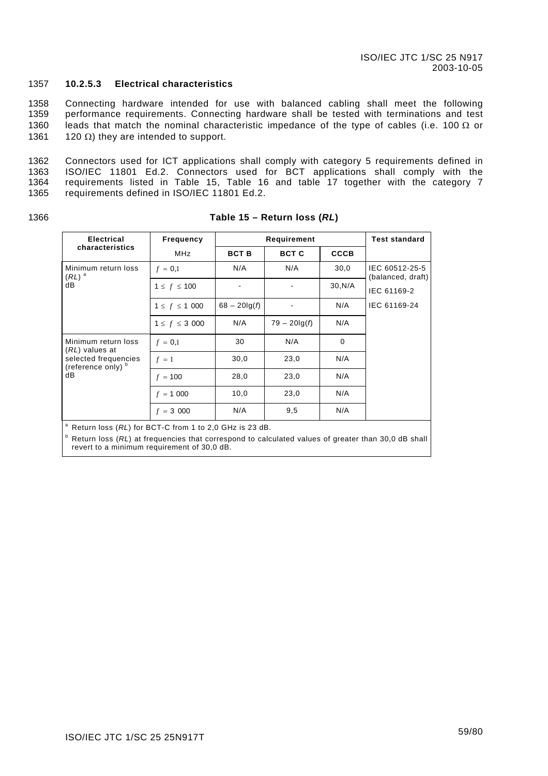#### 1357 **10.2.5.3 Electrical characteristics**

1358 1359 1360 1361 Connecting hardware intended for use with balanced cabling shall meet the following performance requirements. Connecting hardware shall be tested with terminations and test leads that match the nominal characteristic impedance of the type of cables (i.e. 100  $\Omega$  or 120  $Ω$ ) they are intended to support.

1362 1363 1364 1365 Connectors used for ICT applications shall comply with category 5 requirements defined in ISO/IEC 11801 Ed.2. Connectors used for BCT applications shall comply with the requirements listed in Table 15, Table 16 and table 17 together with the category 7 requirements defined in ISO/IEC 11801 Ed.2.

1366

| <b>Electrical</b>                                          | <b>Frequency</b>   |                 | Requirement     |             |                                     |
|------------------------------------------------------------|--------------------|-----------------|-----------------|-------------|-------------------------------------|
| characteristics                                            | MHz                | <b>BCT B</b>    | <b>BCT C</b>    | <b>CCCB</b> |                                     |
| Minimum return loss<br>$(RL)$ <sup>a</sup>                 | $f = 0.1$          | N/A             | N/A             | 30,0        | IEC 60512-25-5<br>(balanced, draft) |
| dB                                                         | $1 \le f \le 100$  |                 |                 | 30, N/A     | IEC 61169-2                         |
|                                                            | $1 \le f \le 1000$ | $68 - 20\lg(f)$ |                 | N/A         | IEC 61169-24                        |
|                                                            | $1 \le f \le 3000$ | N/A             | $79 - 20\lg(f)$ | N/A         |                                     |
| Minimum return loss<br>(RL) values at                      | $f = 0,1$          | 30              | N/A             | 0           |                                     |
| selected frequencies<br>(reference only) b                 | $f = 1$            | 30,0            | 23,0            | N/A         |                                     |
| dB                                                         | $f = 100$          | 28,0            | 23,0            | N/A         |                                     |
|                                                            | $f = 1000$         | 10,0            | 23,0            | N/A         |                                     |
|                                                            | $f = 3000$         | N/A             | 9,5             | N/A         |                                     |
| $^a$ Return loss (RI) for RCT-C from 1 to 2.0 GHz is 23 dR |                    |                 |                 |             |                                     |

### **Table 15 – Return loss (***RL***)**

a Return loss (*RL*) for BCT-C from 1 to 2,0 GHz is 23 dB.

<sup>b</sup> Return loss (RL) at frequencies that correspond to calculated values of greater than 30,0 dB shall revert to a minimum requirement of 30,0 dB.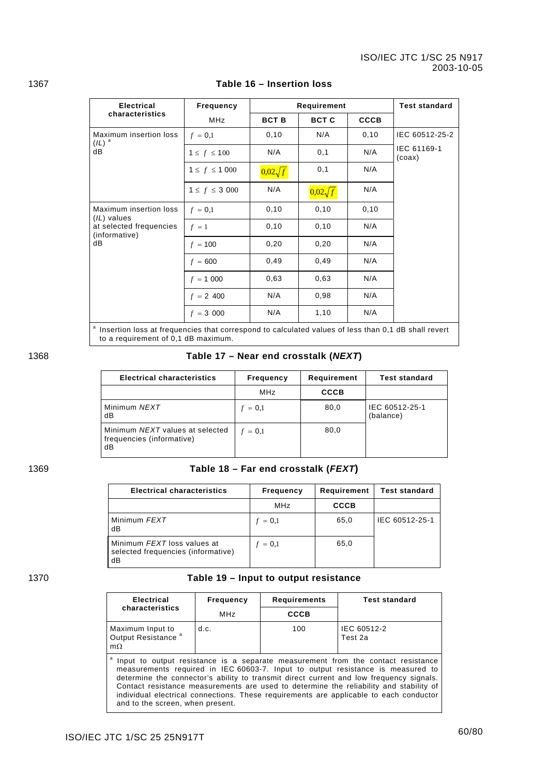| <b>Electrical</b>                                                                                                | <b>Frequency</b>   |                | Requirement    |             | <b>Test standard</b>  |
|------------------------------------------------------------------------------------------------------------------|--------------------|----------------|----------------|-------------|-----------------------|
| characteristics                                                                                                  | <b>MHz</b>         | <b>BCT B</b>   | <b>BCT C</b>   | <b>CCCB</b> |                       |
| Maximum insertion loss                                                                                           | $f = 0,1$          | 0, 10          | N/A            | 0, 10       | IEC 60512-25-2        |
| $(IL)^a$<br>dB                                                                                                   | $1 \le f \le 100$  | N/A            | 0,1            | N/A         | IEC 61169-1<br>(coax) |
|                                                                                                                  | $1 \le f \le 1000$ | $0.02\sqrt{f}$ | 0,1            | N/A         |                       |
|                                                                                                                  | $1 \le f \le 3000$ | N/A            | $0.02\sqrt{f}$ | N/A         |                       |
| Maximum insertion loss<br>(IL) values                                                                            | $f = 0,1$          | 0, 10          | 0, 10          | 0, 10       |                       |
| at selected frequencies<br>(informative)                                                                         | $f = 1$            | 0, 10          | 0, 10          | N/A         |                       |
| dB                                                                                                               | $f = 100$          | 0,20           | 0,20           | N/A         |                       |
|                                                                                                                  | $f = 600$          | 0,49           | 0,49           | N/A         |                       |
|                                                                                                                  | $f = 1000$         | 0.63           | 0.63           | N/A         |                       |
|                                                                                                                  | $f = 2,400$        | N/A            | 0,98           | N/A         |                       |
|                                                                                                                  | $f = 3000$         | N/A            | 1,10           | N/A         |                       |
| <sup>a</sup> Insertion loss at frequencies that correspond to calculated values of less than 0.1 dB shall revert |                    |                |                |             |                       |

### 1367 **Table 16 – Insertion loss**

<sup>a</sup> Insertion loss at frequencies that correspond to calculated values of less than 0,1 dB shall revert to a requirement of 0,1 dB maximum.

1368 **Table 17 – Near end crosstalk (***NEXT***)** 

| <b>Electrical characteristics</b>                                  | <b>Frequency</b> | Requirement | <b>Test standard</b>        |
|--------------------------------------------------------------------|------------------|-------------|-----------------------------|
|                                                                    | MHz              | <b>CCCB</b> |                             |
| Minimum NEXT<br>dB                                                 | $f = 0.1$        | 80,0        | IEC 60512-25-1<br>(balance) |
| Minimum NEXT values at selected<br>frequencies (informative)<br>dB | $f = 0.1$        | 80,0        |                             |

### 1369 **Table 18 – Far end crosstalk (***FEXT***)**

| <b>Electrical characteristics</b>                                       | <b>Frequency</b> | Requirement | <b>Test standard</b> |
|-------------------------------------------------------------------------|------------------|-------------|----------------------|
|                                                                         | MHz              | <b>CCCB</b> |                      |
| Minimum FEXT<br>dB                                                      | $f = 0.1$        | 65,0        | IEC 60512-25-1       |
| Minimum FEXT loss values at<br>selected frequencies (informative)<br>dB | $f = 0.1$        | 65,0        |                      |

### 1370 **Table 19 – Input to output resistance**

| <b>Electrical</b>                                                                                                                                                                                                                                                                                                                                                                                                                                                                      | <b>Frequency</b> | <b>Requirements</b> | <b>Test standard</b>   |
|----------------------------------------------------------------------------------------------------------------------------------------------------------------------------------------------------------------------------------------------------------------------------------------------------------------------------------------------------------------------------------------------------------------------------------------------------------------------------------------|------------------|---------------------|------------------------|
| characteristics                                                                                                                                                                                                                                                                                                                                                                                                                                                                        | MHz              | <b>CCCB</b>         |                        |
| Maximum Input to<br>Output Resistance <sup>a</sup><br>$m\Omega$                                                                                                                                                                                                                                                                                                                                                                                                                        | d.c.             | 100                 | IEC 60512-2<br>Test 2a |
| Input to output resistance is a separate measurement from the contact resistance<br>measurements required in IEC 60603-7. Input to output resistance is measured to<br>determine the connector's ability to transmit direct current and low frequency signals.<br>Contact resistance measurements are used to determine the reliability and stability of<br>individual electrical connections. These requirements are applicable to each conductor<br>and to the screen, when present. |                  |                     |                        |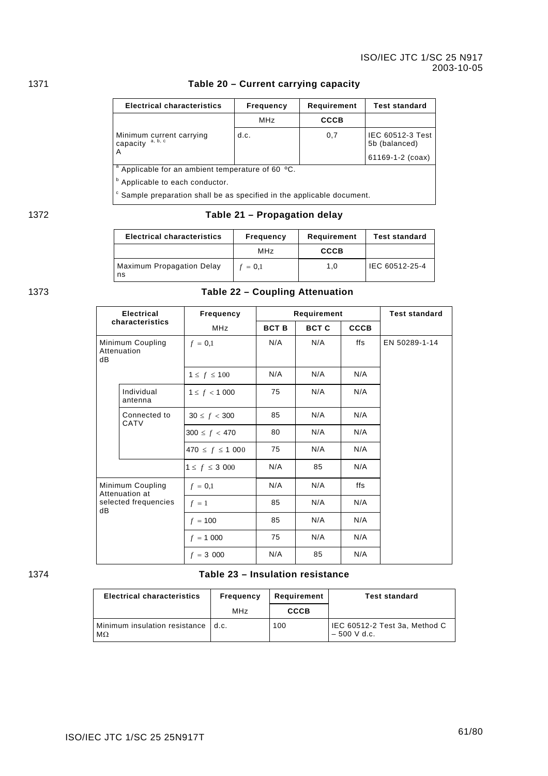### 1371 **Table 20 – Current carrying capacity**

| <b>Electrical characteristics</b>                                                 | <b>Frequency</b>                                             | Requirement | <b>Test standard</b>              |  |  |
|-----------------------------------------------------------------------------------|--------------------------------------------------------------|-------------|-----------------------------------|--|--|
|                                                                                   | <b>MHz</b>                                                   | CCCB        |                                   |  |  |
| Minimum current carrying<br>a, b, c<br>capacity                                   | d.c.                                                         | 0,7         | IEC 60512-3 Test<br>5b (balanced) |  |  |
|                                                                                   |                                                              |             | 61169-1-2 (coax)                  |  |  |
|                                                                                   | <sup>a</sup> Applicable for an ambient temperature of 60 °C. |             |                                   |  |  |
| <sup>b</sup> Applicable to each conductor.                                        |                                                              |             |                                   |  |  |
| <sup>c</sup> Sample preparation shall be as specified in the applicable document. |                                                              |             |                                   |  |  |

## 1372 **Table 21 – Propagation delay**

| <b>Electrical characteristics</b> | Frequency       | Requirement | <b>Test standard</b> |
|-----------------------------------|-----------------|-------------|----------------------|
|                                   | MH <sub>7</sub> | <b>CCCB</b> |                      |
| Maximum Propagation Delay<br>ns   | $f = 0.1$       | 1.0         | IEC 60512-25-4       |

# 1373 **Table 22 – Coupling Attenuation**

| <b>Electrical</b><br>characteristics  |                                    | Frequency              |              | Requirement  |             | <b>Test standard</b> |
|---------------------------------------|------------------------------------|------------------------|--------------|--------------|-------------|----------------------|
|                                       |                                    | <b>MHz</b>             | <b>BCT B</b> | <b>BCT C</b> | <b>CCCB</b> |                      |
| Minimum Coupling<br>Attenuation<br>dB |                                    | $f = 0,1$              | N/A          | N/A          | ffs         | EN 50289-1-14        |
|                                       |                                    | $1 \leq f \leq 100$    | N/A          | N/A          | N/A         |                      |
|                                       | Individual<br>antenna              | $1 \leq f < 1000$      | 75           | N/A          | N/A         |                      |
|                                       | Connected to<br>CATV               | $30 \le f < 300$       | 85           | N/A          | N/A         |                      |
|                                       |                                    | $300 \le f < 470$      | 80           | N/A          | N/A         |                      |
|                                       |                                    | 470 $\leq f \leq 1000$ | 75           | N/A          | N/A         |                      |
|                                       |                                    | $1 \le f \le 3000$     | N/A          | 85           | N/A         |                      |
|                                       | Minimum Coupling<br>Attenuation at | $f = 0,1$              | N/A          | N/A          | ffs         |                      |
| dB                                    | selected frequencies               | $f = 1$                | 85           | N/A          | N/A         |                      |
|                                       |                                    | $f = 100$              | 85           | N/A          | N/A         |                      |
|                                       |                                    | $f = 1000$             | 75           | N/A          | N/A         |                      |
|                                       |                                    | $f = 3000$             | N/A          | 85           | N/A         |                      |

### 1374 **Table 23 – Insulation resistance**

| <b>Electrical characteristics</b>   | Frequency | Requirement | <b>Test standard</b>                           |
|-------------------------------------|-----------|-------------|------------------------------------------------|
|                                     | MHz       | <b>CCCB</b> |                                                |
| Minimum insulation resistance<br>MΩ | d.c.      | 100         | IEC 60512-2 Test 3a, Method C<br>$-500$ V d.c. |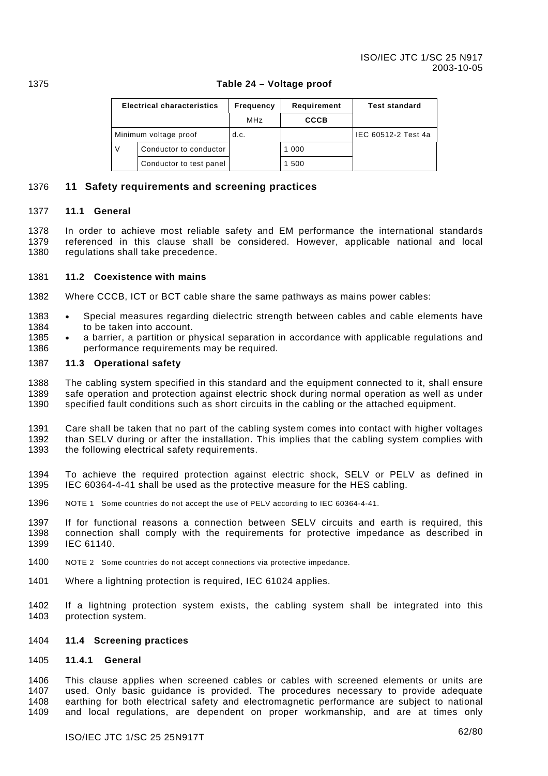|                       | <b>Electrical characteristics</b> | Frequency | Requirement | <b>Test standard</b> |
|-----------------------|-----------------------------------|-----------|-------------|----------------------|
|                       |                                   | MHz       | <b>CCCB</b> |                      |
| Minimum voltage proof |                                   | d.c.      |             | IEC 60512-2 Test 4a  |
| $\vee$                | Conductor to conductor            |           | 1 000       |                      |
|                       | Conductor to test panel           |           | 1 500       |                      |

### 1375 **Table 24 – Voltage proof**

### 1376 **11 Safety requirements and screening practices**

#### 1377 **11.1 General**

1378 1379 1380 In order to achieve most reliable safety and EM performance the international standards referenced in this clause shall be considered. However, applicable national and local regulations shall take precedence.

#### 1381 **11.2 Coexistence with mains**

- 1382 Where CCCB, ICT or BCT cable share the same pathways as mains power cables:
- 1383 1384 • Special measures regarding dielectric strength between cables and cable elements have to be taken into account.
- 1385 1386 • a barrier, a partition or physical separation in accordance with applicable regulations and performance requirements may be required.

#### 1387 **11.3 Operational safety**

1388 1389 1390 The cabling system specified in this standard and the equipment connected to it, shall ensure safe operation and protection against electric shock during normal operation as well as under specified fault conditions such as short circuits in the cabling or the attached equipment.

1391 1392 1393 Care shall be taken that no part of the cabling system comes into contact with higher voltages than SELV during or after the installation. This implies that the cabling system complies with the following electrical safety requirements.

1394 1395 To achieve the required protection against electric shock, SELV or PELV as defined in IEC 60364-4-41 shall be used as the protective measure for the HES cabling.

- 1396 NOTE 1 Some countries do not accept the use of PELV according to IEC 60364-4-41.
- 1397 1398 1399 If for functional reasons a connection between SELV circuits and earth is required, this connection shall comply with the requirements for protective impedance as described in IEC 61140.
- 1400 NOTE 2 Some countries do not accept connections via protective impedance.
- 1401 Where a lightning protection is required, IEC 61024 applies.
- 1402 1403 If a lightning protection system exists, the cabling system shall be integrated into this protection system.

#### <span id="page-62-0"></span>1404 **11.4 Screening practices**

#### 1405 **11.4.1 General**

1406 1407 1408 1409 This clause applies when screened cables or cables with screened elements or units are used. Only basic guidance is provided. The procedures necessary to provide adequate earthing for both electrical safety and electromagnetic performance are subject to national and local regulations, are dependent on proper workmanship, and are at times only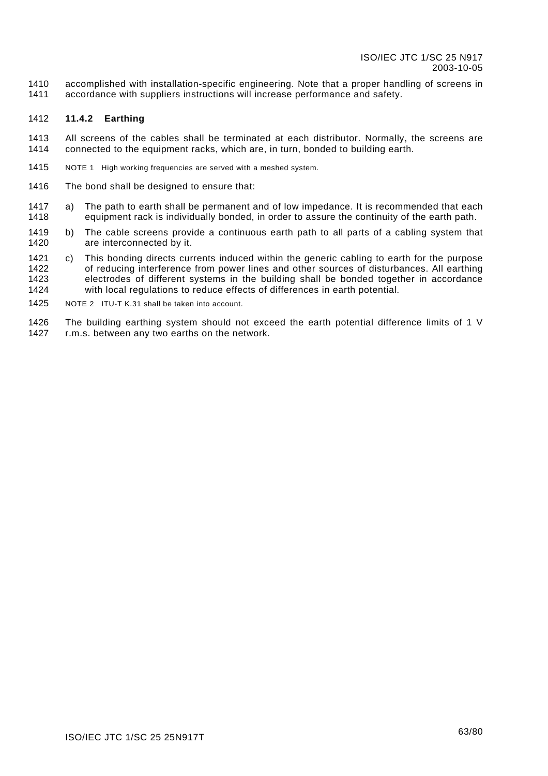1410 1411 accomplished with installation-specific engineering. Note that a proper handling of screens in accordance with suppliers instructions will increase performance and safety.

#### 1412 **11.4.2 Earthing**

- 1413 1414 All screens of the cables shall be terminated at each distributor. Normally, the screens are connected to the equipment racks, which are, in turn, bonded to building earth.
- 1415 NOTE 1 High working frequencies are served with a meshed system.
- 1416 The bond shall be designed to ensure that:
- 1417 1418 a) The path to earth shall be permanent and of low impedance. It is recommended that each equipment rack is individually bonded, in order to assure the continuity of the earth path.
- 1419 1420 b) The cable screens provide a continuous earth path to all parts of a cabling system that are interconnected by it.
- 1421 1422 1423 1424 c) This bonding directs currents induced within the generic cabling to earth for the purpose of reducing interference from power lines and other sources of disturbances. All earthing electrodes of different systems in the building shall be bonded together in accordance with local regulations to reduce effects of differences in earth potential.
- 1425 NOTE 2 ITU-T K.31 shall be taken into account.
- 1426 1427 The building earthing system should not exceed the earth potential difference limits of 1 V r.m.s. between any two earths on the network.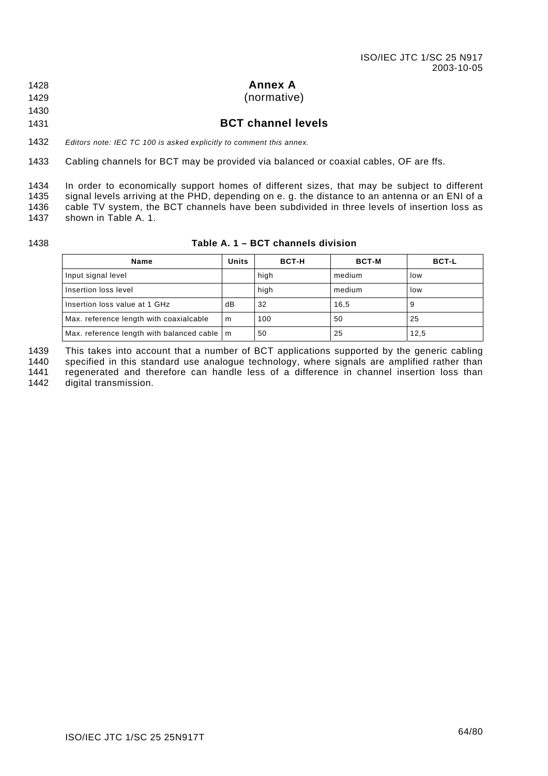1428

### <span id="page-64-0"></span>**Annex A**

(normative)

### 1429 1430

1431

### **BCT channel levels**

1432 *Editors note: IEC TC 100 is asked explicitly to comment this annex.* 

1433 Cabling channels for BCT may be provided via balanced or coaxial cables, OF are ffs.

1434 1435 1436 1437 In order to economically support homes of different sizes, that may be subject to different signal levels arriving at the PHD, depending on e. g. the distance to an antenna or an ENI of a cable TV system, the BCT channels have been subdivided in three levels of insertion loss as shown in [Table A. 1.](#page-64-1)

1438

<span id="page-64-1"></span>

|  | Table A. 1 – BCT channels division i |  |
|--|--------------------------------------|--|
|  |                                      |  |

| Name                                          |     | <b>BCT-H</b> | <b>BCT-M</b> | <b>BCT-L</b> |
|-----------------------------------------------|-----|--------------|--------------|--------------|
| Input signal level                            |     | high         | medium       | low          |
| Insertion loss level                          |     | high         | medium       | low          |
| Insertion loss value at 1 GHz                 | dB  | 32           | 16,5         | 9            |
| Max. reference length with coaxialcable       | l m | 100          | 50           | 25           |
| Max. reference length with balanced cable   m |     | 50           | 25           | 12,5         |

This takes into account that a number of BCT applications supported by the generic cabling 1439

specified in this standard use analogue technology, where signals are amplified rather than regenerated and therefore can handle less of a difference in channel insertion loss than 1440 1441

digital transmission. 1442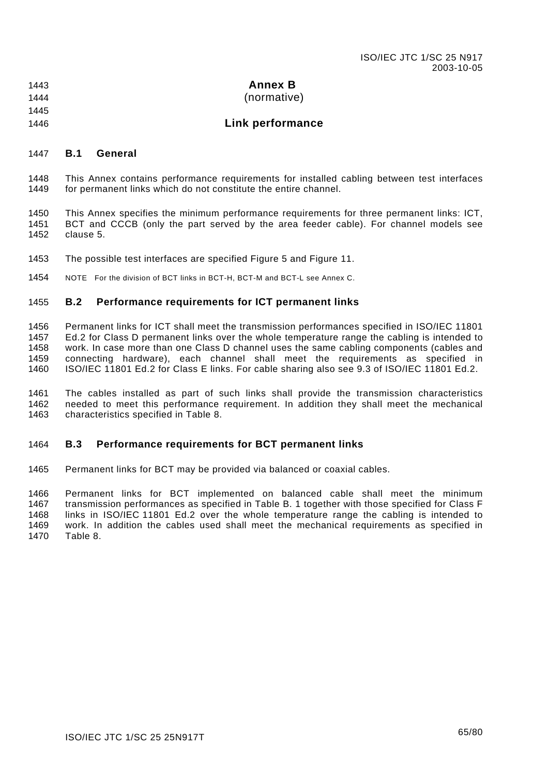| 1443 | <b>Annex B</b> |
|------|----------------|
|      |                |

- 1444 (normative)
- 1445 1446

# **Link performance**

### 1447 **B.1 General**

1448 1449 This Annex contains performance requirements for installed cabling between test interfaces for permanent links which do not constitute the entire channel.

1450 1451 1452 This Annex specifies the minimum performance requirements for three permanent links: ICT, BCT and CCCB (only the part served by the area feeder cable). For channel models see clause [5.](#page-18-0)

1453 The possible test interfaces are specified [Figure 5](#page-22-0) and [Figure 11.](#page-32-0)

1454 NOTE For the division of BCT links in BCT-H, BCT-M and BCT-L see [Annex C.](#page-69-0) 

### 1455 **B.2 Performance requirements for ICT permanent links**

1456 1457 1458 1459 1460 Permanent links for ICT shall meet the transmission performances specified in ISO/IEC 11801 Ed.2 for Class D permanent links over the whole temperature range the cabling is intended to work. In case more than one Class D channel uses the same cabling components (cables and connecting hardware), each channel shall meet the requirements as specified in ISO/IEC 11801 Ed.2 for Class E links. For cable sharing also see 9.3 of ISO/IEC 11801 Ed.2.

1461 1462 1463 The cables installed as part of such links shall provide the transmission characteristics needed to meet this performance requirement. In addition they shall meet the mechanical characteristics specified in [Table 8.](#page-47-0)

#### 1464 **B.3 Performance requirements for BCT permanent links**

1465 Permanent links for BCT may be provided via balanced or coaxial cables.

1466 1467 1468 1469 1470 Permanent links for BCT implemented on balanced cable shall meet the minimum transmission performances as specified in [Table B. 1 t](#page-66-0)ogether with those specified for Class F links in ISO/IEC 11801 Ed.2 over the whole temperature range the cabling is intended to work. In addition the cables used shall meet the mechanical requirements as specified in [Table 8.](#page-47-0)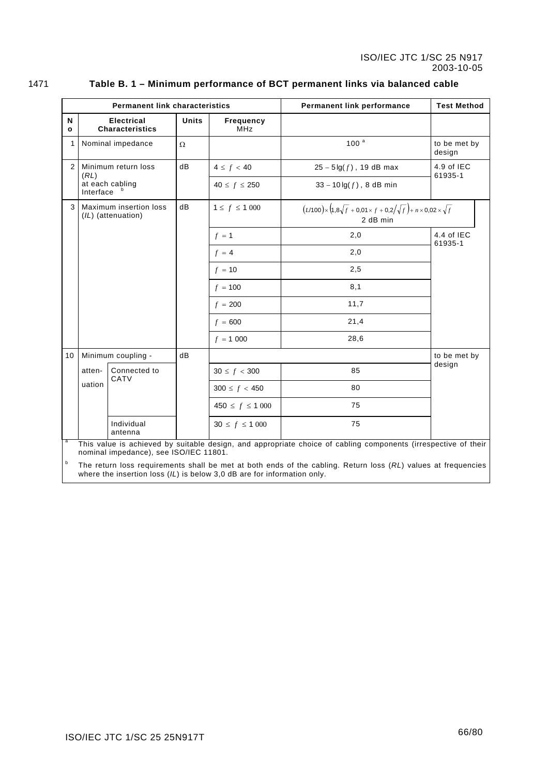|--|--|

### <span id="page-66-0"></span>1471 **Table B. 1 – Minimum performance of BCT permanent links via balanced cable**

| <b>Permanent link characteristics</b> |                                                                                                                                                                                            |                                             |              | <b>Test Method</b><br>Permanent link performance |                                                                                                         |                        |  |  |
|---------------------------------------|--------------------------------------------------------------------------------------------------------------------------------------------------------------------------------------------|---------------------------------------------|--------------|--------------------------------------------------|---------------------------------------------------------------------------------------------------------|------------------------|--|--|
| N<br>$\mathbf{o}$                     |                                                                                                                                                                                            | <b>Electrical</b><br><b>Characteristics</b> | <b>Units</b> | Frequency<br><b>MHz</b>                          |                                                                                                         |                        |  |  |
| 1                                     |                                                                                                                                                                                            | Nominal impedance<br>Ω                      |              |                                                  | 100 <sup>a</sup>                                                                                        | to be met by<br>design |  |  |
| $\overline{2}$                        |                                                                                                                                                                                            | dB<br>Minimum return loss                   |              | $4 \le f < 40$                                   | $25 - 5 \lg(f)$ , 19 dB max                                                                             | 4.9 of IEC<br>61935-1  |  |  |
|                                       | (RL)<br>at each cabling<br>Interface                                                                                                                                                       |                                             |              | $40 \le f \le 250$                               | $33 - 10 \lg(f)$ , 8 dB min                                                                             |                        |  |  |
| 3                                     | Maximum insertion loss<br>(IL) (attenuation)                                                                                                                                               |                                             | dB           | $1 \le f \le 1000$                               | $(L/100)$ × $(1, 8\sqrt{f} + 0.01 \times f + 0.2/\sqrt{f}) + n \times 0.02 \times \sqrt{f}$<br>2 dB min |                        |  |  |
|                                       |                                                                                                                                                                                            |                                             |              | $f = 1$                                          | 2,0                                                                                                     | 4.4 of IEC<br>61935-1  |  |  |
|                                       |                                                                                                                                                                                            |                                             |              | $f = 4$                                          | 2,0                                                                                                     |                        |  |  |
|                                       |                                                                                                                                                                                            |                                             |              | $f = 10$                                         | 2,5                                                                                                     |                        |  |  |
|                                       |                                                                                                                                                                                            |                                             |              | $f = 100$                                        | 8,1                                                                                                     |                        |  |  |
|                                       |                                                                                                                                                                                            |                                             |              | $f = 200$                                        | 11,7                                                                                                    |                        |  |  |
|                                       |                                                                                                                                                                                            |                                             |              | $f = 600$                                        | 21,4                                                                                                    |                        |  |  |
|                                       |                                                                                                                                                                                            |                                             |              | $f = 1000$                                       | 28,6                                                                                                    |                        |  |  |
| 10 <sup>1</sup>                       |                                                                                                                                                                                            | Minimum coupling -                          | dB           |                                                  |                                                                                                         | to be met by           |  |  |
|                                       | atten-                                                                                                                                                                                     | Connected to<br>CATV                        |              | $30 \le f < 300$                                 | 85                                                                                                      | design                 |  |  |
|                                       | uation                                                                                                                                                                                     |                                             |              | $300 \le f < 450$                                | 80                                                                                                      |                        |  |  |
|                                       |                                                                                                                                                                                            |                                             |              | $450 \le f \le 1000$                             | 75                                                                                                      |                        |  |  |
|                                       |                                                                                                                                                                                            | Individual<br>antenna                       |              | $30 \le f \le 1000$                              | 75                                                                                                      |                        |  |  |
| a                                     | This value is achieved by suitable design, and appropriate choice of cabling components (irrespective of their<br>nominal impedance), see ISO/IEC 11801.                                   |                                             |              |                                                  |                                                                                                         |                        |  |  |
| b                                     | The return loss requirements shall be met at both ends of the cabling. Return loss (RL) values at frequencies<br>where the insertion loss $(IL)$ is below 3,0 dB are for information only. |                                             |              |                                                  |                                                                                                         |                        |  |  |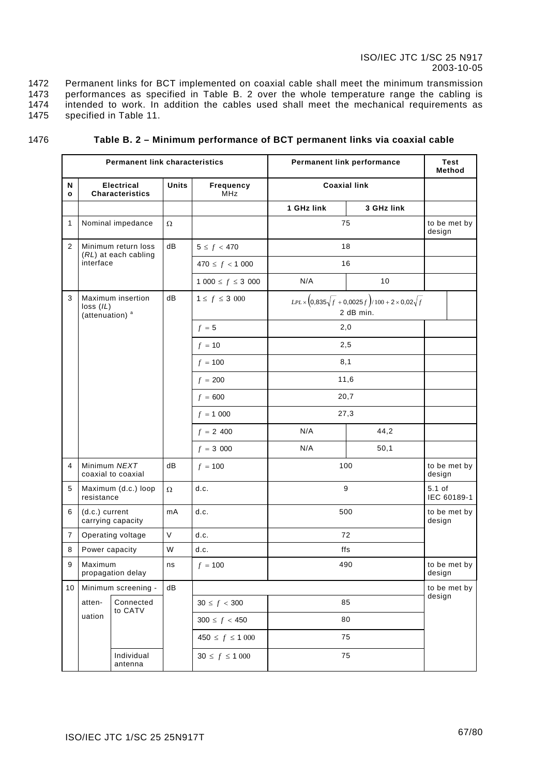1472 1473 1474 1475 Permanent links for BCT implemented on coaxial cable shall meet the minimum transmission performances as specified in [Table B. 2](#page-67-0) over the whole temperature range the cabling is intended to work. In addition the cables used shall meet the mechanical requirements as specified in [Table 11.](#page-50-0)

<span id="page-67-0"></span>

| <b>Permanent link characteristics</b> |                                                                                                                        |                                                                                                               | <b>Permanent link performance</b> | <b>Test</b><br>Method |            |                         |  |
|---------------------------------------|------------------------------------------------------------------------------------------------------------------------|---------------------------------------------------------------------------------------------------------------|-----------------------------------|-----------------------|------------|-------------------------|--|
| N<br>$\mathbf{o}$                     | <b>Electrical</b><br><b>Characteristics</b>                                                                            | Units                                                                                                         | Frequency<br>MHz                  | <b>Coaxial link</b>   |            |                         |  |
|                                       |                                                                                                                        |                                                                                                               |                                   | 1 GHz link            | 3 GHz link |                         |  |
| $\mathbf{1}$                          | Nominal impedance                                                                                                      | $\Omega$                                                                                                      |                                   |                       | 75         | to be met by<br>design  |  |
| $\overline{2}$                        | Minimum return loss<br>(RL) at each cabling                                                                            | dB                                                                                                            | $5 \le f < 470$                   |                       | 18         |                         |  |
|                                       | interface                                                                                                              |                                                                                                               | $470 \le f < 1000$                | 16                    |            |                         |  |
|                                       |                                                                                                                        |                                                                                                               | $1000 \le f \le 3000$             | N/A                   | 10         |                         |  |
| 3                                     | Maximum insertion<br>loss (IL)<br>(attenuation) <sup>a</sup>                                                           | dB<br>$1 \le f \le 3\,000$<br>$LPL \times (0,835\sqrt{f} + 0,0025f)/100 + 2 \times 0,02\sqrt{f}$<br>2 dB min. |                                   |                       |            |                         |  |
|                                       |                                                                                                                        |                                                                                                               | $f = 5$                           |                       | 2,0        |                         |  |
|                                       |                                                                                                                        |                                                                                                               | $f = 10$                          |                       | 2,5        |                         |  |
|                                       |                                                                                                                        |                                                                                                               | $f = 100$                         |                       | 8,1        |                         |  |
|                                       |                                                                                                                        |                                                                                                               | $f = 200$                         | 11,6<br>20,7<br>27,3  |            |                         |  |
|                                       |                                                                                                                        |                                                                                                               | $f = 600$                         |                       |            |                         |  |
|                                       |                                                                                                                        |                                                                                                               | $f = 1000$                        |                       |            |                         |  |
|                                       |                                                                                                                        |                                                                                                               | $f = 2,400$                       | N/A                   | 44,2       |                         |  |
|                                       |                                                                                                                        |                                                                                                               | $f = 3000$                        | N/A                   | 50,1       |                         |  |
| $\overline{4}$                        | Minimum NEXT<br>coaxial to coaxial                                                                                     | dB                                                                                                            | $f = 100$                         |                       | 100        | to be met by<br>design  |  |
| 5                                     | Maximum (d.c.) loop<br>resistance                                                                                      | $\Omega$                                                                                                      | d.c.                              |                       | 9          | $5.1$ of<br>IEC 60189-1 |  |
| 6                                     | (d.c.) current<br>carrying capacity                                                                                    | mA                                                                                                            | d.c.                              |                       | 500        | to be met by<br>design  |  |
| $\overline{7}$                        | Operating voltage                                                                                                      | $\mathsf V$                                                                                                   | d.c.                              | 72                    |            |                         |  |
| 8                                     | Power capacity                                                                                                         | W                                                                                                             | d.c.                              |                       | ffs        |                         |  |
| 9                                     | Maximum<br>propagation delay                                                                                           | ns                                                                                                            | $f = 100$                         | 490                   |            | to be met by<br>design  |  |
| 10 <sup>1</sup>                       | Minimum screening -<br>${\sf dB}$<br>Connected<br>atten-<br>$30 \le f < 300$<br>to CATV<br>uation<br>$300 \le f < 450$ |                                                                                                               |                                   |                       |            | to be met by<br>design  |  |
|                                       |                                                                                                                        |                                                                                                               |                                   | 85                    |            |                         |  |
|                                       |                                                                                                                        |                                                                                                               | 80                                |                       |            |                         |  |
|                                       |                                                                                                                        |                                                                                                               | $450 \le f \le 1000$              |                       | 75         |                         |  |
|                                       | Individual<br>antenna                                                                                                  |                                                                                                               | $30 \le f \le 1000$               |                       | 75         |                         |  |

#### 1476 **Table B. 2 – Minimum performance of BCT permanent links via coaxial cable**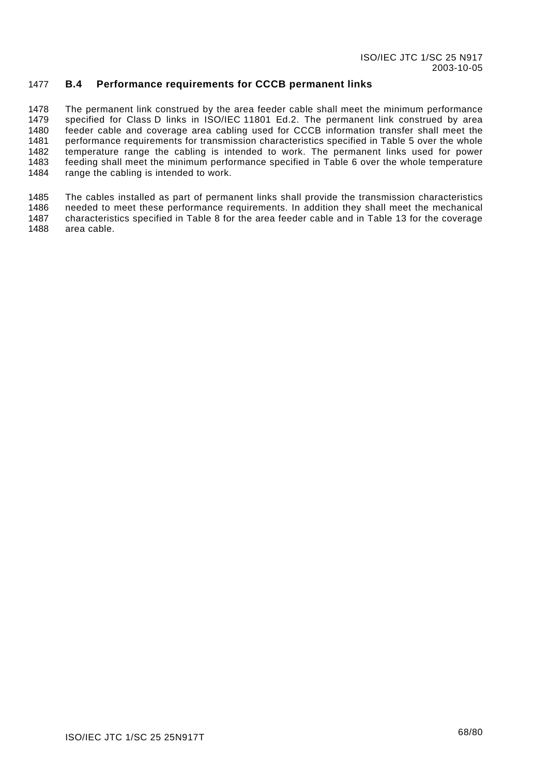### 1477 **B.4 Performance requirements for CCCB permanent links**

1478 1479 1480 1481 1482 1483 1484 The permanent link construed by the area feeder cable shall meet the minimum performance specified for Class D links in ISO/IEC 11801 Ed.2. The permanent link construed by area feeder cable and coverage area cabling used for CCCB information transfer shall meet the performance requirements for transmission characteristics specified in [Table 5](#page-41-0) over the whole temperature range the cabling is intended to work. The permanent links used for power feeding shall meet the minimum performance specified in [Table 6](#page-41-1) over the whole temperature range the cabling is intended to work.

1485 1486 1487 1488 The cables installed as part of permanent links shall provide the transmission characteristics needed to meet these performance requirements. In addition they shall meet the mechanical characteristics specified in [Table 8](#page-47-0) for the area feeder cable and in [Table 13](#page-52-0) for the coverage area cable.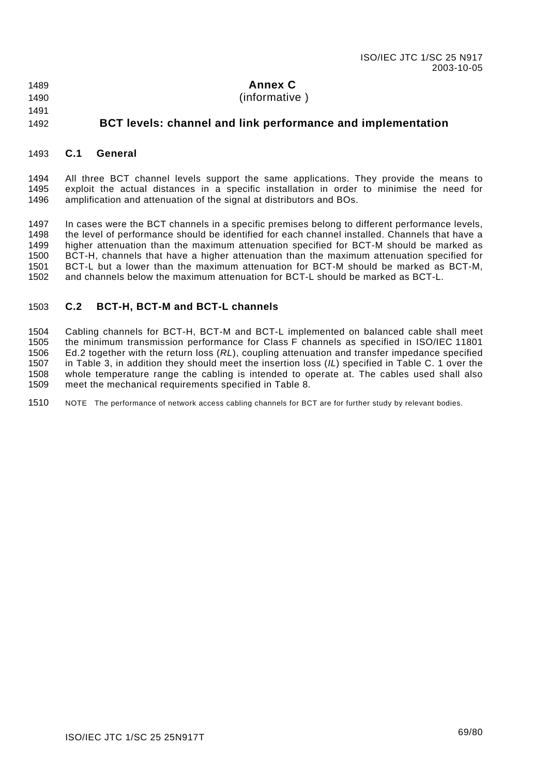1489 1490

1491

- <span id="page-69-0"></span>**Annex C**
- (informative )

### 1492 **BCT levels: channel and link performance and implementation**

#### 1493 **C.1 General**

1494 1495 1496 All three BCT channel levels support the same applications. They provide the means to exploit the actual distances in a specific installation in order to minimise the need for amplification and attenuation of the signal at distributors and BOs.

1497 1498 1499 1500 1501 1502 In cases were the BCT channels in a specific premises belong to different performance levels, the level of performance should be identified for each channel installed. Channels that have a higher attenuation than the maximum attenuation specified for BCT-M should be marked as BCT-H, channels that have a higher attenuation than the maximum attenuation specified for BCT-L but a lower than the maximum attenuation for BCT-M should be marked as BCT-M, and channels below the maximum attenuation for BCT-L should be marked as BCT-L.

#### 1503 **C.2 BCT-H, BCT-M and BCT-L channels**

1504 1505 1506 1507 1508 1509 Cabling channels for BCT-H, BCT-M and BCT-L implemented on balanced cable shall meet the minimum transmission performance for Class F channels as specified in ISO/IEC 11801 Ed.2 together with the return loss (*RL*), coupling attenuation and transfer impedance specified in [Table 3,](#page-38-0) in addition they should meet the insertion loss (*IL*) specified in [Table C. 1](#page-70-0) over the whole temperature range the cabling is intended to operate at. The cables used shall also meet the mechanical requirements specified in [Table 8.](#page-47-0)

1510 NOTE The performance of network access cabling channels for BCT are for further study by relevant bodies.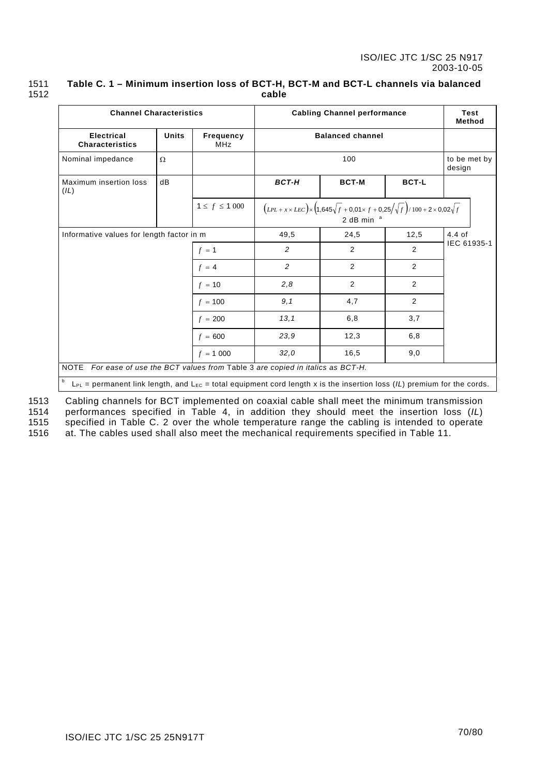| 1511 | Table C. 1 – Minimum insertion loss of BCT-H, BCT-M and BCT-L channels via balanced |
|------|-------------------------------------------------------------------------------------|
| 1512 | cable                                                                               |

<span id="page-70-0"></span>

| <b>Channel Characteristics</b>                                                                                                                  |              |                                | <b>Cabling Channel performance</b> |                                                                                                                           |              | <b>Test</b><br>Method  |
|-------------------------------------------------------------------------------------------------------------------------------------------------|--------------|--------------------------------|------------------------------------|---------------------------------------------------------------------------------------------------------------------------|--------------|------------------------|
| <b>Electrical</b><br><b>Characteristics</b>                                                                                                     | <b>Units</b> | <b>Frequency</b><br><b>MHz</b> | <b>Balanced channel</b>            |                                                                                                                           |              |                        |
| Nominal impedance                                                                                                                               | $\Omega$     |                                |                                    | 100                                                                                                                       |              | to be met by<br>design |
| Maximum insertion loss<br>(IL)                                                                                                                  | dB           |                                | <b>BCT-H</b>                       | <b>BCT-M</b>                                                                                                              | <b>BCT-L</b> |                        |
|                                                                                                                                                 |              | $1 \le f \le 1000$             |                                    | $(LPL + x \times LEC) \times (1,645\sqrt{f} + 0,01 \times f + 0,25/\sqrt{f})/100 + 2 \times 0,02\sqrt{f}$<br>2 dB min $a$ |              |                        |
| Informative values for length factor in m                                                                                                       |              | 49,5                           | 24,5                               | 12,5                                                                                                                      | $4.4$ of     |                        |
|                                                                                                                                                 |              | $f = 1$                        | 2                                  | 2                                                                                                                         | 2            | IEC 61935-1            |
|                                                                                                                                                 |              | $f = 4$                        | 2                                  | 2                                                                                                                         | 2            |                        |
|                                                                                                                                                 |              | $f = 10$                       | 2,8                                | 2                                                                                                                         | 2            |                        |
|                                                                                                                                                 |              | $f = 100$                      | 9,1                                | 4,7                                                                                                                       | 2            |                        |
|                                                                                                                                                 |              | $f = 200$                      | 13,1                               | 6, 8                                                                                                                      | 3,7          |                        |
|                                                                                                                                                 |              | $f = 600$                      | 23,9                               | 12,3                                                                                                                      | 6, 8         |                        |
|                                                                                                                                                 |              | $f = 1000$                     | 32,0                               | 16,5                                                                                                                      | 9,0          |                        |
| <b>NOTE</b><br>For ease of use the BCT values from Table 3 are copied in italics as BCT-H.                                                      |              |                                |                                    |                                                                                                                           |              |                        |
| $\mathbf b$<br>$L_{PL}$ = permanent link length, and $L_{EC}$ = total equipment cord length x is the insertion loss (IL) premium for the cords. |              |                                |                                    |                                                                                                                           |              |                        |

Cabling channels for BCT implemented on coaxial cable shall meet the minimum transmission performances specified in [Table 4,](#page-39-0) in addition they should meet the insertion loss (*IL*) specified in [Table C. 2](#page-71-0) over the whole temperature range the cabling is intended to operate at. The cables used shall also meet the mechanical requirements specified in [Table 11.](#page-50-0) 1513 1514 1515 1516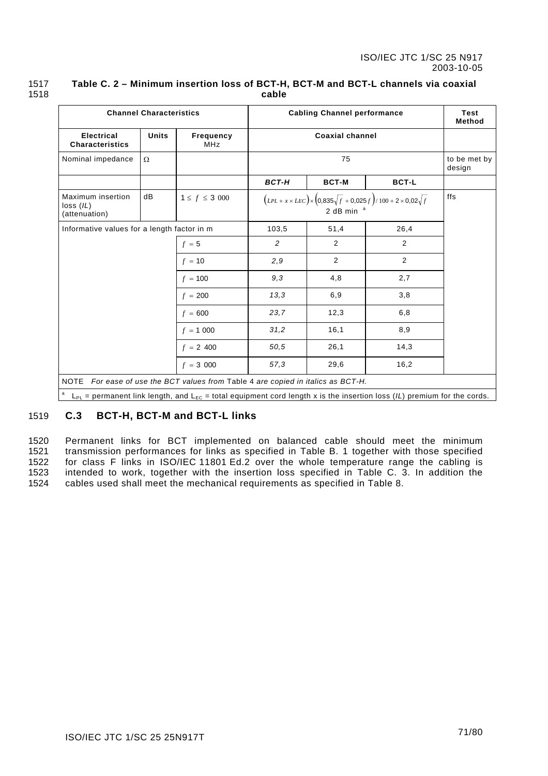<span id="page-71-0"></span>

| <b>Channel Characteristics</b>                                                   |                                                        |                         | <b>Cabling Channel performance</b>                                                                 | <b>Test</b><br><b>Method</b> |                                                                                                                                  |  |  |
|----------------------------------------------------------------------------------|--------------------------------------------------------|-------------------------|----------------------------------------------------------------------------------------------------|------------------------------|----------------------------------------------------------------------------------------------------------------------------------|--|--|
| <b>Electrical</b><br><b>Characteristics</b>                                      | <b>Units</b>                                           | Frequency<br><b>MHz</b> |                                                                                                    | <b>Coaxial channel</b>       |                                                                                                                                  |  |  |
| Nominal impedance                                                                | Ω                                                      |                         |                                                                                                    | 75                           |                                                                                                                                  |  |  |
|                                                                                  |                                                        |                         | <b>BCT-H</b>                                                                                       | <b>BCT-M</b>                 | <b>BCT-L</b>                                                                                                                     |  |  |
| dB<br>Maximum insertion<br>$1 \le f \le 3\,000$<br>loss (IL)<br>(attenuation)    |                                                        |                         | $(LPL + x \times LEC) \times (0,835\sqrt{f} + 0,025f)/100 + 2 \times 0,02\sqrt{f}$<br>2 dB min $a$ |                              |                                                                                                                                  |  |  |
|                                                                                  | Informative values for a length factor in m<br>$f = 5$ |                         | 103,5                                                                                              | 51,4                         | 26,4                                                                                                                             |  |  |
|                                                                                  |                                                        |                         | 2                                                                                                  | 2                            | 2                                                                                                                                |  |  |
|                                                                                  |                                                        | $f = 10$                | 2,9                                                                                                | 2                            | 2                                                                                                                                |  |  |
|                                                                                  |                                                        | $f = 100$               | 9.3                                                                                                | 4,8                          | 2,7                                                                                                                              |  |  |
|                                                                                  |                                                        | $f = 200$               | 13.3                                                                                               | 6,9                          | 3,8                                                                                                                              |  |  |
|                                                                                  |                                                        | $f = 600$               | 23.7                                                                                               | 12,3                         | 6,8                                                                                                                              |  |  |
|                                                                                  |                                                        | $f = 1000$              | 31,2                                                                                               | 16,1                         | 8,9                                                                                                                              |  |  |
|                                                                                  |                                                        | $f = 2,400$             | 50,5                                                                                               | 26,1                         | 14,3                                                                                                                             |  |  |
|                                                                                  |                                                        | $f = 3000$              | 57.3                                                                                               | 29,6                         | 16,2                                                                                                                             |  |  |
| NOTE For ease of use the BCT values from Table 4 are copied in italics as BCT-H. |                                                        |                         |                                                                                                    |                              |                                                                                                                                  |  |  |
| a                                                                                |                                                        |                         |                                                                                                    |                              | $L_{PL}$ = permanent link length, and $L_{EC}$ = total equipment cord length x is the insertion loss (IL) premium for the cords. |  |  |

#### 1517 1518 **Table C. 2 – Minimum insertion loss of BCT-H, BCT-M and BCT-L channels via coaxial cable**

### 1519 **C.3 BCT-H, BCT-M and BCT-L links**

1520 1521 1522 1523 1524 Permanent links for BCT implemented on balanced cable should meet the minimum transmission performances for links as specified in [Table B. 1](#page-66-0) together with those specified for class F links in ISO/IEC 11801 Ed.2 over the whole temperature range the cabling is intended to work, together with the insertion loss specified in [Table C. 3.](#page-72-0) In addition the cables used shall meet the mechanical requirements as specified in [Table 8.](#page-47-0)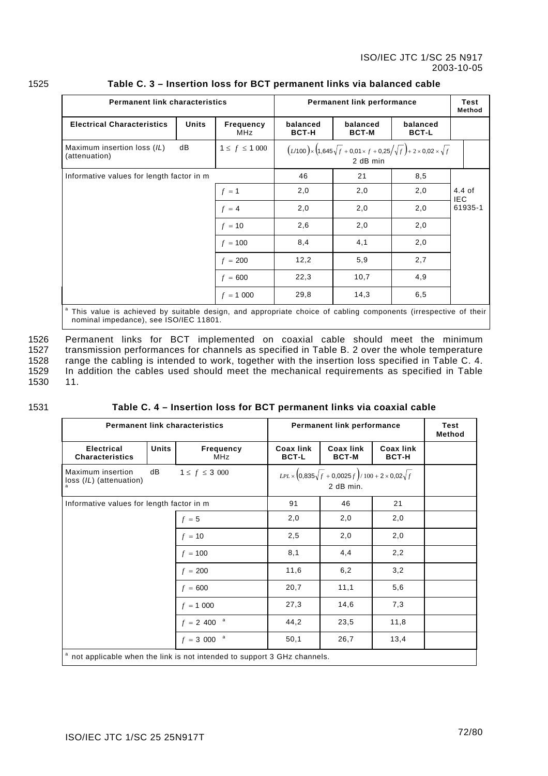| <b>Permanent link characteristics</b>                                    | <b>Permanent link performance</b> | <b>Test</b><br>Method          |                          |                                                                                                           |                          |                        |
|--------------------------------------------------------------------------|-----------------------------------|--------------------------------|--------------------------|-----------------------------------------------------------------------------------------------------------|--------------------------|------------------------|
| <b>Electrical Characteristics</b>                                        | <b>Units</b>                      | <b>Frequency</b><br><b>MHz</b> | balanced<br><b>BCT-H</b> | balanced<br><b>BCT-M</b>                                                                                  | balanced<br><b>BCT-L</b> |                        |
| Maximum insertion loss (IL)<br>dB<br>$1 \le f \le 1000$<br>(attenuation) |                                   |                                |                          | $(L/100)$ × $(1,645\sqrt{f} + 0,01 \times f + 0,25/\sqrt{f}) + 2 \times 0,02 \times \sqrt{f}$<br>2 dB min |                          |                        |
| Informative values for length factor in m<br>$f = 1$                     |                                   |                                | 46                       | 21                                                                                                        | 8,5                      |                        |
|                                                                          |                                   |                                | 2,0                      | 2,0                                                                                                       | 2,0                      | $4.4$ of<br><b>IEC</b> |
|                                                                          |                                   | $f = 4$                        | 2,0                      | 2,0                                                                                                       | 2,0                      | 61935-1                |
|                                                                          |                                   | $f = 10$                       | 2,6                      | 2,0                                                                                                       | 2,0                      |                        |
|                                                                          |                                   | $f = 100$                      | 8,4                      | 4,1                                                                                                       | 2,0                      |                        |
|                                                                          |                                   | $f = 200$                      | 12,2                     | 5,9                                                                                                       | 2,7                      |                        |
|                                                                          |                                   | $f = 600$                      | 22,3                     | 10,7                                                                                                      | 4,9                      |                        |
|                                                                          |                                   | $f = 1000$                     | 29,8                     | 14,3                                                                                                      | 6, 5                     |                        |

### 1525 **Table C. 3 – Insertion loss for BCT permanent links via balanced cable**

<sup>a</sup> This value is achieved by suitable design, and appropriate choice of cabling components (irrespective of their nominal impedance), see ISO/IEC 11801.

1526 1527 1528 1529 1530 Permanent links for BCT implemented on coaxial cable should meet the minimum transmission performances for channels as specified in [Table B. 2](#page-67-0) over the whole temperature range the cabling is intended to work, together with the insertion loss specified in Table C. 4. In addition the cables used should meet the mechanical requirements as specifi[ed in T](#page-72-0)[able](#page-50-0) [11.](#page-50-0)

1531

## <span id="page-72-0"></span>**Table C. 4 – Insertion loss for BCT permanent links via coaxial cable**

|                                              | <b>Permanent link characteristics</b> | Permanent link performance                                              | <b>Test</b><br>Method            |                                                                                 |                                  |  |
|----------------------------------------------|---------------------------------------|-------------------------------------------------------------------------|----------------------------------|---------------------------------------------------------------------------------|----------------------------------|--|
| <b>Electrical</b><br><b>Characteristics</b>  | <b>Units</b>                          | Frequency<br><b>MHz</b>                                                 | <b>Coax link</b><br><b>BCT-L</b> | <b>Coax link</b><br><b>BCT-M</b>                                                | <b>Coax link</b><br><b>BCT-H</b> |  |
| Maximum insertion<br>loss (IL) (attenuation) | dB                                    | $1 \le f \le 3\,000$                                                    |                                  | $LPL \times (0,835\sqrt{f} + 0,0025f)/100 + 2 \times 0,02\sqrt{f}$<br>2 dB min. |                                  |  |
| Informative values for length factor in m    |                                       |                                                                         | 91                               | 46                                                                              | 21                               |  |
|                                              |                                       | $f = 5$                                                                 | 2,0                              | 2,0                                                                             | 2,0                              |  |
|                                              |                                       | $f = 10$                                                                | 2,5                              | 2,0                                                                             | 2,0                              |  |
|                                              |                                       | $f = 100$                                                               | 8,1                              | 4,4                                                                             | 2,2                              |  |
|                                              |                                       | $f = 200$                                                               | 11,6                             | 6,2                                                                             | 3,2                              |  |
|                                              |                                       | $f = 600$                                                               | 20,7                             | 11,1                                                                            | 5,6                              |  |
|                                              |                                       | $f = 1000$                                                              | 27,3                             | 14,6                                                                            | 7,3                              |  |
|                                              |                                       | a<br>$f = 2,400$                                                        | 44,2                             | 23,5                                                                            | 11,8                             |  |
|                                              |                                       | a<br>$f = 3000$                                                         | 50,1                             | 26,7                                                                            | 13,4                             |  |
|                                              |                                       | not applicable when the link is not intended to support 3 GHz channels. |                                  |                                                                                 |                                  |  |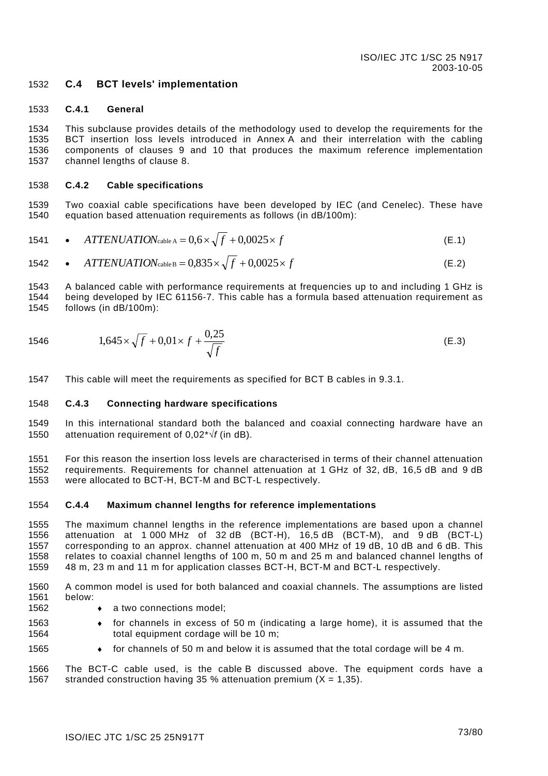### 1532 **C.4 BCT levels' implementation**

#### 1533 **C.4.1 General**

1534 1535 1536 1537 This subclause provides details of the methodology used to develop the requirements for the BCT insertion loss levels introduced in [Annex A](#page-64-0) and their interrelation with the cabling components of clauses 9 and [10](#page-53-0) that produces the maximum reference implementation channel lengths of clause [8](#page-46-0)[.](#page-42-0)

#### <span id="page-73-0"></span>1538 **C.4.2 Cable specifications**

1539 1540 Two coaxial cable specifications have been developed by IEC (and Cenelec). These have equation based attenuation requirements as follows (in dB/100m):

1541 • *ATTENUATION*<sub>cable A</sub> = 
$$
0.6 \times \sqrt{f} + 0.0025 \times f
$$
 (E.1)

1542 • *ATTENUATION*<sub>cable B</sub> = 
$$
0.835 \times \sqrt{f} + 0.0025 \times f
$$
 (E.2)

1543 1544 1545 A balanced cable with performance requirements at frequencies up to and including 1 GHz is being developed by IEC 61156-7. This cable has a formula based attenuation requirement as follows (in dB/100m):

1546 
$$
1,645 \times \sqrt{f} + 0,01 \times f + \frac{0,25}{\sqrt{f}}
$$
 (E.3)

1547 This cable will meet the requirements as specified for BCT B cables in [9.3.1.](#page-48-0)

#### 1548 **C.4.3 Connecting hardware specifications**

1549 1550 In this international standard both the balanced and coaxial connecting hardware have an attenuation requirement of 0,02\*√*f* (in dB).

1551 1552 1553 For this reason the insertion loss levels are characterised in terms of their channel attenuation requirements. Requirements for channel attenuation at 1 GHz of 32, dB, 16,5 dB and 9 dB were allocated to BCT-H, BCT-M and BCT-L respectively.

#### 1554 **C.4.4 Maximum channel lengths for reference implementations**

1555 1556 1557 1558 1559 The maximum channel lengths in the reference implementations are based upon a channel attenuation at 1 000 MHz of 32 dB (BCT-H), 16,5 dB (BCT-M), and 9 dB (BCT-L) corresponding to an approx. channel attenuation at 400 MHz of 19 dB, 10 dB and 6 dB. This relates to coaxial channel lengths of 100 m, 50 m and 25 m and balanced channel lengths of 48 m, 23 m and 11 m for application classes BCT-H, BCT-M and BCT-L respectively.

1560 1561 A common model is used for both balanced and coaxial channels. The assumptions are listed below:

- 1562 a two connections model;
- 1563 1564  $\bullet$  for channels in excess of 50 m (indicating a large home), it is assumed that the total equipment cordage will be 10 m;
- 1565 ♦ for channels of 50 m and below it is assumed that the total cordage will be 4 m.

1566 1567 The BCT-C cable used, is the cable B discussed above. The equipment cords have a stranded construction having 35 % attenuation premium  $(X = 1,35)$ .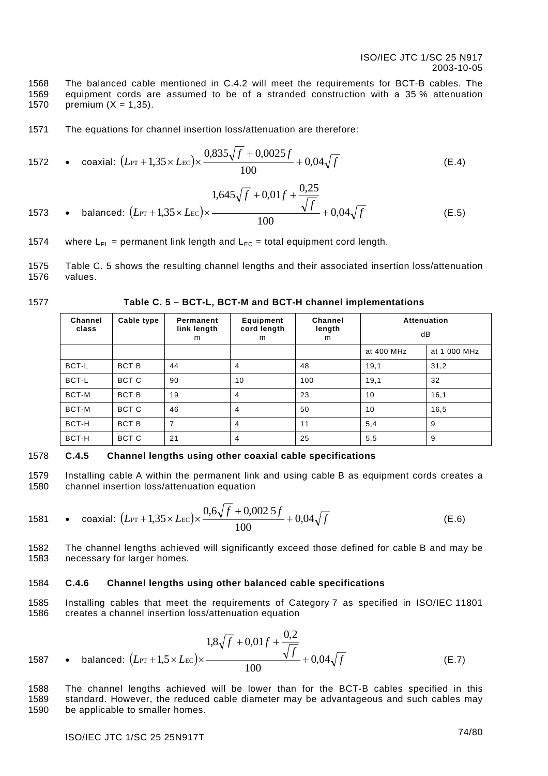1568 1569 1570 The balanced cable mentioned in [C.4.2](#page-73-0) will meet the requirements for BCT-B cables. The equipment cords are assumed to be of a stranded construction with a 35 % attenuation premium  $(X = 1,35)$ .

1571 The equations for channel insertion loss/attenuation are therefore:

1572 • coaxial: 
$$
(L_{\text{PT}} + 1,35 \times L_{\text{EC}}) \times \frac{0,835\sqrt{f} + 0,0025f}{100} + 0,04\sqrt{f}
$$
 (E.4)

1573 • balanced: 
$$
(L_{PT} + 1,35 \times L_{EC}) \times \frac{1,645\sqrt{f} + 0,01f + \frac{0,25}{\sqrt{f}}}{100} + 0,04\sqrt{f}
$$
 (E.5)

- 1574 where  $L_{PI}$  = permanent link length and  $L_{FC}$  = total equipment cord length.
- 1575 1576 [Table C. 5](#page-74-0) shows the resulting channel lengths and their associated insertion loss/attenuation values.
- 1577

### <span id="page-74-0"></span>**Table C. 5 – BCT-L, BCT-M and BCT-H channel implementations**

| <b>Channel</b><br>class | Cable type   | Permanent<br>link length<br>m | Equipment<br>cord length<br>m | <b>Channel</b><br>length<br>m | <b>Attenuation</b><br>dB |              |
|-------------------------|--------------|-------------------------------|-------------------------------|-------------------------------|--------------------------|--------------|
|                         |              |                               |                               |                               | at 400 MHz               | at 1 000 MHz |
| BCT-L                   | <b>BCT B</b> | 44                            | 4                             | 48                            | 19,1                     | 31,2         |
| BCT-L                   | BCT C        | 90                            | 10                            | 100                           | 19,1                     | 32           |
| BCT-M                   | <b>BCT B</b> | 19                            | 4                             | 23                            | 10                       | 16,1         |
| BCT-M                   | BCT C        | 46                            | 4                             | 50                            | 10                       | 16,5         |
| BCT-H                   | <b>BCT B</b> | 7                             | 4                             | 11                            | 5,4                      | 9            |
| BCT-H                   | BCT C        | 21                            | 4                             | 25                            | 5,5                      | 9            |

### 1578 **C.4.5 Channel lengths using other coaxial cable specifications**

1579 1580 Installing cable A within the permanent link and using cable B as equipment cords creates a channel insertion loss/attenuation equation

1581 • coaxial: 
$$
(L_{\text{PT}} + 1,35 \times L_{\text{EC}}) \times \frac{0.6\sqrt{f} + 0,0025f}{100} + 0,04\sqrt{f}
$$
 (E.6)

1582 1583 The channel lengths achieved will significantly exceed those defined for cable B and may be necessary for larger homes.

#### 1584 **C.4.6 Channel lengths using other balanced cable specifications**

1585 1586 Installing cables that meet the requirements of Category 7 as specified in ISO/IEC 11801 creates a channel insertion loss/attenuation equation

1587 • balanced: 
$$
(L_{\text{PT}} + 1.5 \times L_{\text{EC}}) \times \frac{1.8\sqrt{f} + 0.01f + \frac{0.2}{\sqrt{f}}}{100} + 0.04\sqrt{f}
$$
 (E.7)

1588 1589 1590 The channel lengths achieved will be lower than for the BCT-B cables specified in this standard. However, the reduced cable diameter may be advantageous and such cables may be applicable to smaller homes.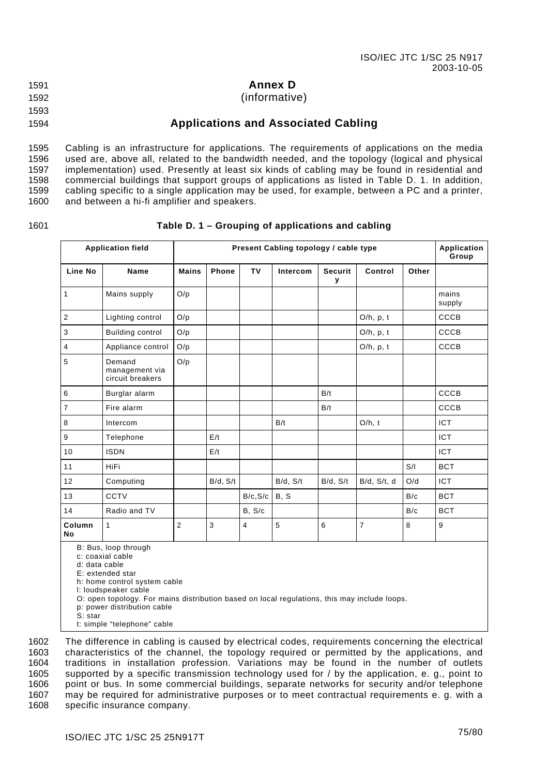1591

### **Annex D**

1592 (informative)

### 1593

1594

# **Applications and Associated Cabling**

1595 1596 1597 1598 1599 1600 Cabling is an infrastructure for applications. The requirements of applications on the media used are, above all, related to the bandwidth needed, and the topology (logical and physical implementation) used. Presently at least six kinds of cabling may be found in residential and commercial buildings that support groups of applications as listed in [Table D. 1.](#page-75-0) In addition, cabling specific to a single application may be used, for example, between a PC and a printer, and between a hi-fi amplifier and speakers.

### 1601

### <span id="page-75-0"></span>**Table D. 1 – Grouping of applications and cabling**

| <b>Application field</b> |                                              | Present Cabling topology / cable type |              |           |          |                     |              | Application<br>Group |                 |
|--------------------------|----------------------------------------------|---------------------------------------|--------------|-----------|----------|---------------------|--------------|----------------------|-----------------|
| Line No                  | Name                                         | <b>Mains</b>                          | <b>Phone</b> | <b>TV</b> | Intercom | <b>Securit</b><br>у | Control      | Other                |                 |
| 1                        | Mains supply                                 | O/p                                   |              |           |          |                     |              |                      | mains<br>supply |
| $\overline{2}$           | Lighting control                             | O/p                                   |              |           |          |                     | $O/h$ , p, t |                      | <b>CCCB</b>     |
| 3                        | Building control                             | O/p                                   |              |           |          |                     | $O/h$ , p, t |                      | CCCB            |
| $\overline{4}$           | Appliance control                            | O/p                                   |              |           |          |                     | $O/h$ , p, t |                      | CCCB            |
| 5                        | Demand<br>management via<br>circuit breakers | O/p                                   |              |           |          |                     |              |                      |                 |
| $\,6\,$                  | Burglar alarm                                |                                       |              |           |          | B/t                 |              |                      | CCCB            |
| $\overline{7}$           | Fire alarm                                   |                                       |              |           |          | B/t                 |              |                      | CCCB            |
| 8                        | Intercom                                     |                                       |              |           | B/t      |                     | $O/h$ , t    |                      | <b>ICT</b>      |
| $\boldsymbol{9}$         | Telephone                                    |                                       | E/t          |           |          |                     |              |                      | <b>ICT</b>      |
| 10                       | <b>ISDN</b>                                  |                                       | E/t          |           |          |                     |              |                      | ICT             |
| 11                       | <b>HiFi</b>                                  |                                       |              |           |          |                     |              | S/I                  | <b>BCT</b>      |
| 12                       | Computing                                    |                                       | B/d, S/t     |           | B/d, S/t | B/d, S/t            | B/d, S/t, d  | O/d                  | <b>ICT</b>      |
| 13                       | CCTV                                         |                                       |              | B/c, S/c  | B, S     |                     |              | B/c                  | <b>BCT</b>      |
| 14                       | Radio and TV                                 |                                       |              | B, S/c    |          |                     |              | B/c                  | <b>BCT</b>      |
| Column<br>No             | $\mathbf{1}$                                 | $\overline{2}$                        | 3            | 4         | 5        | 6                   | 7            | 8                    | 9               |

B: Bus, loop through

c: coaxial cable

d: data cable E: extended star

h: home control system cable

l: loudspeaker cable

O: open topology. For mains distribution based on local regulations, this may include loops.

p: power distribution cable

S: star

t: simple "telephone" cable

The difference in cabling is caused by electrical codes, requirements concerning the electrical characteristics of the channel, the topology required or permitted by the applications, and traditions in installation profession. Variations may be found in the number of outlets supported by a specific transmission technology used for / by the application, e. g., point to point or bus. In some commercial buildings, separate networks for security and/or telephone may be required for administrative purposes or to meet contractual requirements e. g. with a specific insurance company. 1602 1603 1604 1605 1606 1607 1608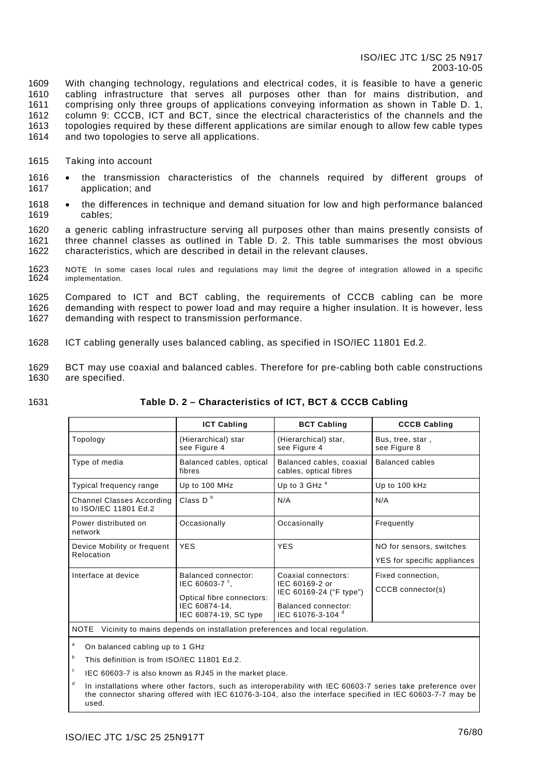1609 1610 1611 1612 1613 1614 With changing technology, regulations and electrical codes, it is feasible to have a generic cabling infrastructure that serves all purposes other than for mains distribution, and comprising only three groups of applications conveying information as shown in [Table D. 1,](#page-75-0) column 9: CCCB, ICT and BCT, since the electrical characteristics of the channels and the topologies required by these different applications are similar enough to allow few cable types and two topologies to serve all applications.

- 1615 Taking into account
- 1616 1617 the transmission characteristics of the channels required by different groups of application; and
- 1618 1619 the differences in technique and demand situation for low and high performance balanced cables;

1620 1621 1622 a generic cabling infrastructure serving all purposes other than mains presently consists of three channel classes as outlined in [Table D. 2.](#page-76-0) This table summarises the most obvious characteristics, which are described in detail in the relevant clauses.

1623 1624 NOTE In some cases local rules and regulations may limit the degree of integration allowed in a specific implementation.

1625 1626 1627 Compared to ICT and BCT cabling, the requirements of CCCB cabling can be more demanding with respect to power load and may require a higher insulation. It is however, less demanding with respect to transmission performance.

- 1628 ICT cabling generally uses balanced cabling, as specified in ISO/IEC 11801 Ed.2.
- 1629 1630 BCT may use coaxial and balanced cables. Therefore for pre-cabling both cable constructions are specified.
- 1631

### <span id="page-76-0"></span>**Table D. 2 – Characteristics of ICT, BCT & CCCB Cabling**

|                                                           | <b>ICT Cabling</b>                                                                                           | <b>BCT Cabling</b>                                                                                                  | <b>CCCB Cabling</b>                                     |  |
|-----------------------------------------------------------|--------------------------------------------------------------------------------------------------------------|---------------------------------------------------------------------------------------------------------------------|---------------------------------------------------------|--|
| Topology                                                  | (Hierarchical) star<br>see Figure 4                                                                          | (Hierarchical) star,<br>see Figure 4                                                                                | Bus, tree, star,<br>see Figure 8                        |  |
| Type of media                                             | Balanced cables, optical<br>fibres                                                                           | Balanced cables, coaxial<br>cables, optical fibres                                                                  | Balanced cables                                         |  |
| Typical frequency range                                   | Up to 100 MHz                                                                                                | Up to 3 GHz <sup>a</sup>                                                                                            | Up to 100 kHz                                           |  |
| <b>Channel Classes According</b><br>to ISO/IEC 11801 Ed.2 | Class $D^b$                                                                                                  | N/A                                                                                                                 | N/A                                                     |  |
| Power distributed on<br>network                           | Occasionally                                                                                                 | Occasionally                                                                                                        | Frequently                                              |  |
| Device Mobility or frequent<br>Relocation                 | <b>YES</b>                                                                                                   | <b>YES</b>                                                                                                          | NO for sensors, switches<br>YES for specific appliances |  |
| Interface at device                                       | Balanced connector:<br>IEC 60603-7 °.<br>Optical fibre connectors:<br>IEC 60874-14,<br>IEC 60874-19, SC type | Coaxial connectors:<br>IEC 60169-2 or<br>IEC 60169-24 ("F type")<br><b>Balanced connector:</b><br>IEC 61076-3-104 ° | Fixed connection,<br>CCCB connector(s)                  |  |

NOTE Vicinity to mains depends on installation preferences and local regulation.

a On balanced cabling up to 1 GHz

b This definition is from ISO/IEC 11801 Ed.2.

c IEC 60603-7 is also known as RJ45 in the market place.

d In installations where other factors, such as interoperability with IEC 60603-7 series take preference over the connector sharing offered with IEC 61076-3-104, also the interface specified in IEC 60603-7-7 may be used.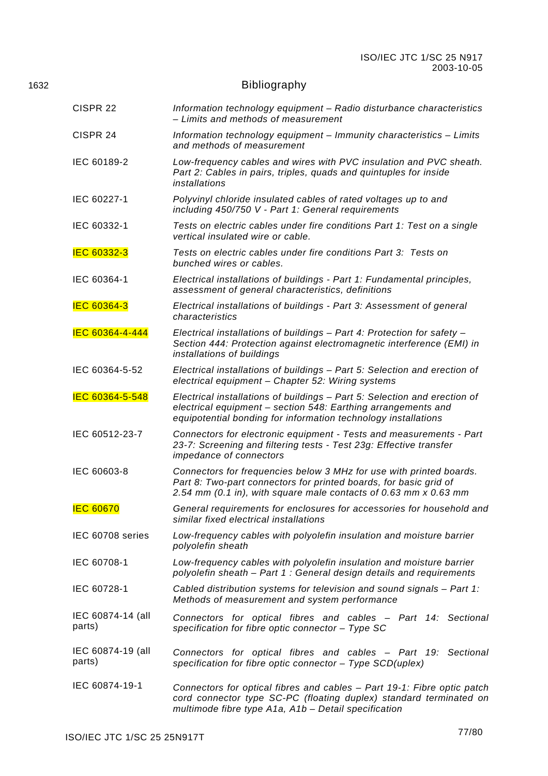# 1632 **Bibliography**

| CISPR <sub>22</sub>         | Information technology equipment - Radio disturbance characteristics<br>- Limits and methods of measurement                                                                                                  |  |  |  |  |
|-----------------------------|--------------------------------------------------------------------------------------------------------------------------------------------------------------------------------------------------------------|--|--|--|--|
| CISPR 24                    | Information technology equipment - Immunity characteristics - Limits<br>and methods of measurement                                                                                                           |  |  |  |  |
| IEC 60189-2                 | Low-frequency cables and wires with PVC insulation and PVC sheath.<br>Part 2: Cables in pairs, triples, quads and quintuples for inside<br>installations                                                     |  |  |  |  |
| IEC 60227-1                 | Polyvinyl chloride insulated cables of rated voltages up to and<br>including 450/750 V - Part 1: General requirements                                                                                        |  |  |  |  |
| IEC 60332-1                 | Tests on electric cables under fire conditions Part 1: Test on a single<br>vertical insulated wire or cable.                                                                                                 |  |  |  |  |
| <b>IEC 60332-3</b>          | Tests on electric cables under fire conditions Part 3: Tests on<br>bunched wires or cables.                                                                                                                  |  |  |  |  |
| IEC 60364-1                 | Electrical installations of buildings - Part 1: Fundamental principles,<br>assessment of general characteristics, definitions                                                                                |  |  |  |  |
| <b>IEC 60364-3</b>          | Electrical installations of buildings - Part 3: Assessment of general<br>characteristics                                                                                                                     |  |  |  |  |
| IEC 60364-4-444             | Electrical installations of buildings - Part 4: Protection for safety -<br>Section 444: Protection against electromagnetic interference (EMI) in<br>installations of buildings                               |  |  |  |  |
| IEC 60364-5-52              | Electrical installations of buildings - Part 5: Selection and erection of<br>electrical equipment - Chapter 52: Wiring systems                                                                               |  |  |  |  |
| IEC 60364-5-548             | Electrical installations of buildings - Part 5: Selection and erection of<br>electrical equipment - section 548: Earthing arrangements and<br>equipotential bonding for information technology installations |  |  |  |  |
| IEC 60512-23-7              | Connectors for electronic equipment - Tests and measurements - Part<br>23-7: Screening and filtering tests - Test 23g: Effective transfer<br>impedance of connectors                                         |  |  |  |  |
| IEC 60603-8                 | Connectors for frequencies below 3 MHz for use with printed boards.<br>Part 8: Two-part connectors for printed boards, for basic grid of<br>2.54 mm (0.1 in), with square male contacts of 0.63 mm x 0.63 mm |  |  |  |  |
| <b>IEC 60670</b>            | General requirements for enclosures for accessories for household and<br>similar fixed electrical installations                                                                                              |  |  |  |  |
| IEC 60708 series            | Low-frequency cables with polyolefin insulation and moisture barrier<br>polyolefin sheath                                                                                                                    |  |  |  |  |
| IEC 60708-1                 | Low-frequency cables with polyolefin insulation and moisture barrier<br>polyolefin sheath - Part 1: General design details and requirements                                                                  |  |  |  |  |
| IEC 60728-1                 | Cabled distribution systems for television and sound signals - Part 1:<br>Methods of measurement and system performance                                                                                      |  |  |  |  |
| IEC 60874-14 (all<br>parts) | Connectors for optical fibres and cables - Part 14: Sectional<br>specification for fibre optic connector - Type SC                                                                                           |  |  |  |  |
| IEC 60874-19 (all<br>parts) | Connectors for optical fibres and cables - Part 19: Sectional<br>specification for fibre optic connector $-$ Type SCD(uplex)                                                                                 |  |  |  |  |
| IEC 60874-19-1              | Connectors for optical fibres and cables – Part 19-1: Fibre optic patch<br>cord connector type SC-PC (floating duplex) standard terminated on<br>multimode fibre type A1a, A1b - Detail specification        |  |  |  |  |